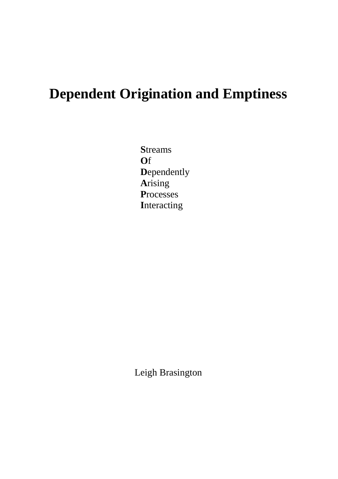### Dependent Origination and Emptiness

**Streams** Of **Dependently** Arising **Processes Interacting** 

Leigh Brasington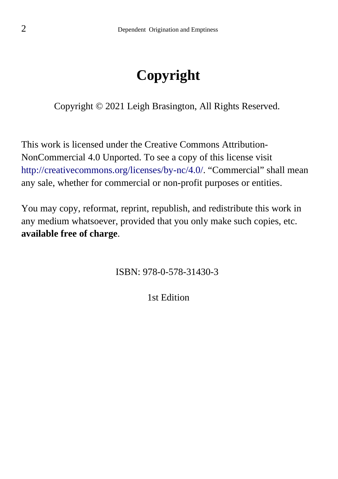# Copyright

Copyright © 2021 Leigh Brasington, All Rights Reserved.

This work is licensed under the Creative Commons Attribution-NonCommercial 4.0 Unported. To see a copy of this license visit http://creativecommons.org/licenses/by-nc/4.0/. "Commercial" shall mean any sale, whether for commercial or non-profit purposes or entities.

You may copy, reformat, reprint, republish, and redistribute this work in any medium whatsoever, provided that you only make such copies, etc. available free of charge.

ISBN: 978-0-578-31430-3

1st Edition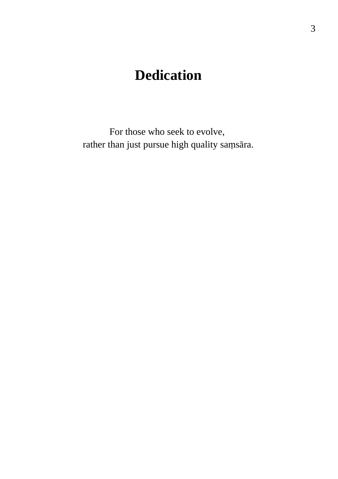## Dedication

For those who seek to evolve, rather than just pursue high quality saṃsāra.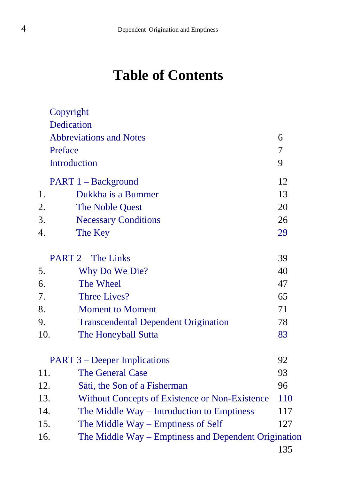# Table of Contents

|     | Copyright                                            |     |  |  |
|-----|------------------------------------------------------|-----|--|--|
|     | <b>Dedication</b>                                    |     |  |  |
|     | <b>Abbreviations and Notes</b>                       |     |  |  |
|     | Preface                                              |     |  |  |
|     | Introduction                                         | 9   |  |  |
|     | <b>PART 1 - Background</b>                           | 12  |  |  |
| 1.  | Dukkha is a Bummer                                   | 13  |  |  |
| 2.  | The Noble Quest                                      | 20  |  |  |
| 3.  | <b>Necessary Conditions</b>                          | 26  |  |  |
| 4.  | The Key                                              | 29  |  |  |
|     | <b>PART 2 - The Links</b>                            | 39  |  |  |
| 5.  | Why Do We Die?                                       | 40  |  |  |
| 6.  | The Wheel                                            | 47  |  |  |
| 7.  | <b>Three Lives?</b>                                  | 65  |  |  |
| 8.  | <b>Moment</b> to Moment                              | 71  |  |  |
| 9.  | <b>Transcendental Dependent Origination</b>          | 78  |  |  |
| 10. | The Honeyball Sutta                                  | 83  |  |  |
|     | <b>PART 3 – Deeper Implications</b>                  | 92  |  |  |
| 11. | The General Case                                     | 93  |  |  |
| 12. | Sāti, the Son of a Fisherman                         | 96  |  |  |
| 13. | Without Concepts of Existence or Non-Existence       | 110 |  |  |
| 14. | The Middle Way - Introduction to Emptiness           | 117 |  |  |
| 15. | The Middle Way – Emptiness of Self                   | 127 |  |  |
| 16. | The Middle Way - Emptiness and Dependent Origination |     |  |  |
|     |                                                      | 135 |  |  |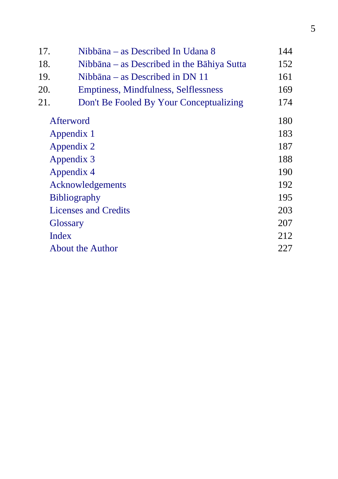| 17.      | Nibbāna – as Described In Udana 8          | 144 |
|----------|--------------------------------------------|-----|
| 18.      | Nibbāna – as Described in the Bāhiya Sutta | 152 |
| 19.      | Nibbāna – as Described in DN 11            | 161 |
| 20.      | Emptiness, Mindfulness, Selflessness       | 169 |
| 21.      | Don't Be Fooled By Your Conceptualizing    | 174 |
|          | Afterword                                  | 180 |
|          | Appendix 1                                 |     |
|          | <b>Appendix 2</b>                          |     |
|          | Appendix 3                                 |     |
|          | Appendix 4                                 |     |
|          | Acknowledgements                           |     |
|          | <b>Bibliography</b>                        |     |
|          | <b>Licenses and Credits</b>                |     |
| Glossary |                                            | 207 |
|          | <b>Index</b>                               |     |
|          | <b>About the Author</b>                    | 227 |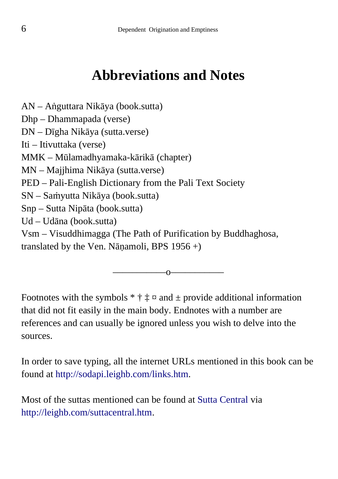### Abbreviations and Notes

AN – Aṅguttara Nikāya (book.sutta) Dhp – Dhammapada (verse) DN – Dīgha Nikāya (sutta.verse) Iti – Itivuttaka (verse) MMK – Mūlamadhyamaka-kārikā (chapter) MN – Majjhima Nikāya (sutta.verse) PED – Pali-English Dictionary from the Pali Text Society SN – Saṁyutta Nikāya (book.sutta) Snp – Sutta Nipāta (book.sutta) Ud – Udāna (book.sutta) Vsm – Visuddhimagga (The Path of Purification by Buddhaghosa, translated by the Ven. Nānamoli, BPS  $1956 +$ )

Footnotes with the symbols  $* + \pm \infty$  and  $\pm$  provide additional information that did not fit easily in the main body. Endnotes with a number are references and can usually be ignored unless you wish to delve into the sources.

–––––––––––o–––––––––––

In order to save typing, all the internet URLs mentioned in this book can be found at http://sodapi.leighb.com/links.htm.

Most of the suttas mentioned can be found at Sutta Central via http://leighb.com/suttacentral.htm.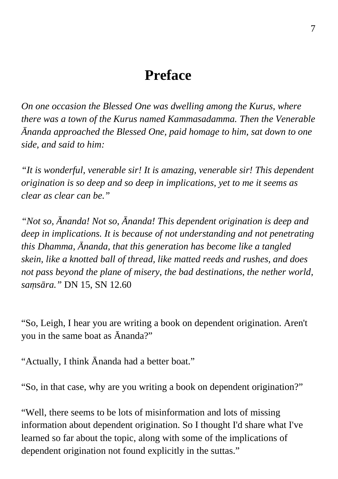#### Preface

On one occasion the Blessed One was dwelling among the Kurus, where there was a town of the Kurus named Kammasadamma. Then the Venerable Ānanda approached the Blessed One, paid homage to him, sat down to one side, and said to him:

"It is wonderful, venerable sir! It is amazing, venerable sir! This dependent origination is so deep and so deep in implications, yet to me it seems as clear as clear can be."

"Not so, Ānanda! Not so, Ānanda! This dependent origination is deep and deep in implications. It is because of not understanding and not penetrating this Dhamma, Ānanda, that this generation has become like a tangled skein, like a knotted ball of thread, like matted reeds and rushes, and does not pass beyond the plane of misery, the bad destinations, the nether world, saṃsāra." DN 15, SN 12.60

"So, Leigh, I hear you are writing a book on dependent origination. Aren't you in the same boat as Ānanda?"

"Actually, I think Ānanda had a better boat."

"So, in that case, why are you writing a book on dependent origination?"

"Well, there seems to be lots of misinformation and lots of missing information about dependent origination. So I thought I'd share what I've learned so far about the topic, along with some of the implications of dependent origination not found explicitly in the suttas."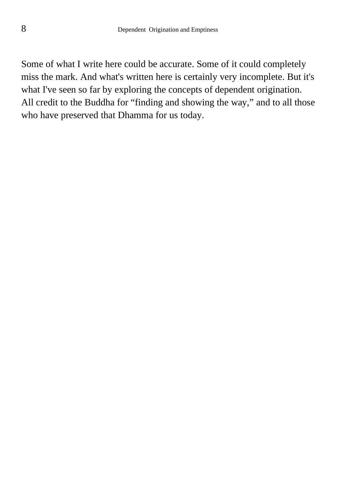Some of what I write here could be accurate. Some of it could completely miss the mark. And what's written here is certainly very incomplete. But it's what I've seen so far by exploring the concepts of dependent origination. All credit to the Buddha for "finding and showing the way," and to all those who have preserved that Dhamma for us today.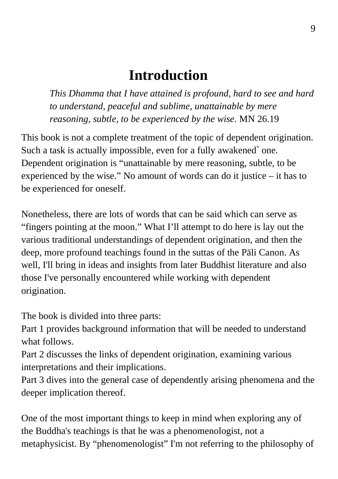#### **Introduction**

This Dhamma that I have attained is profound, hard to see and hard to understand, peaceful and sublime, unattainable by mere reasoning, subtle, to be experienced by the wise. MN 26.19

This book is not a complete treatment of the topic of dependent origination. Such a task is actually impossible, even for a fully awakened<sup>\*</sup> one. Dependent origination is "unattainable by mere reasoning, subtle, to be experienced by the wise." No amount of words can do it justice – it has to be experienced for oneself.

Nonetheless, there are lots of words that can be said which can serve as "fingers pointing at the moon." What I'll attempt to do here is lay out the various traditional understandings of dependent origination, and then the deep, more profound teachings found in the suttas of the Pāli Canon. As well, I'll bring in ideas and insights from later Buddhist literature and also those I've personally encountered while working with dependent origination.

The book is divided into three parts:

Part 1 provides background information that will be needed to understand what follows.

Part 2 discusses the links of dependent origination, examining various interpretations and their implications.

Part 3 dives into the general case of dependently arising phenomena and the deeper implication thereof.

One of the most important things to keep in mind when exploring any of the Buddha's teachings is that he was a phenomenologist, not a metaphysicist. By "phenomenologist" I'm not referring to the philosophy of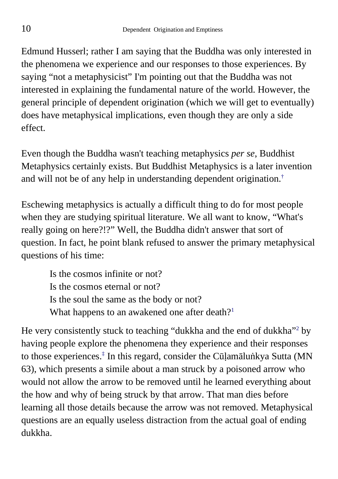Edmund Husserl; rather I am saying that the Buddha was only interested in the phenomena we experience and our responses to those experiences. By saying "not a metaphysicist" I'm pointing out that the Buddha was not interested in explaining the fundamental nature of the world. However, the general principle of dependent origination (which we will get to eventually) does have metaphysical implications, even though they are only a side effect.

Even though the Buddha wasn't teaching metaphysics per se, Buddhist Metaphysics certainly exists. But Buddhist Metaphysics is a later invention and will not be of any help in understanding dependent origination.†

Eschewing metaphysics is actually a difficult thing to do for most people when they are studying spiritual literature. We all want to know, "What's really going on here?!?" Well, the Buddha didn't answer that sort of question. In fact, he point blank refused to answer the primary metaphysical questions of his time:

Is the cosmos infinite or not? Is the cosmos eternal or not? Is the soul the same as the body or not? What happens to an awakened one after death?<sup>1</sup>

He very consistently stuck to teaching "dukkha and the end of dukkha"<sup>2</sup> by having people explore the phenomena they experience and their responses to those experiences.<sup>‡</sup> In this regard, consider the Cūḷamāluṅkya Sutta (MN 63), which presents a simile about a man struck by a poisoned arrow who would not allow the arrow to be removed until he learned everything about the how and why of being struck by that arrow. That man dies before learning all those details because the arrow was not removed. Metaphysical questions are an equally useless distraction from the actual goal of ending dukkha.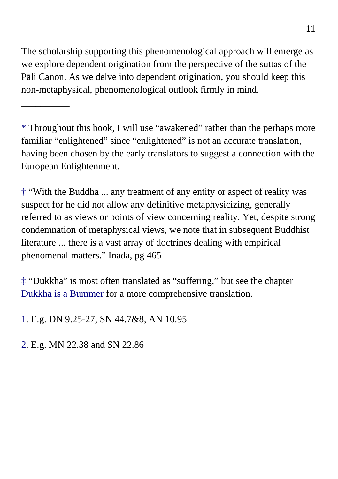11

The scholarship supporting this phenomenological approach will emerge as we explore dependent origination from the perspective of the suttas of the Pāli Canon. As we delve into dependent origination, you should keep this non-metaphysical, phenomenological outlook firmly in mind.

\* Throughout this book, I will use "awakened" rather than the perhaps more familiar "enlightened" since "enlightened" is not an accurate translation, having been chosen by the early translators to suggest a connection with the European Enlightenment.

† "With the Buddha ... any treatment of any entity or aspect of reality was suspect for he did not allow any definitive metaphysicizing, generally referred to as views or points of view concerning reality. Yet, despite strong condemnation of metaphysical views, we note that in subsequent Buddhist literature ... there is a vast array of doctrines dealing with empirical phenomenal matters." Inada, pg 465

‡ "Dukkha" is most often translated as "suffering," but see the chapter Dukkha is a Bummer for a more comprehensive translation.

1. E.g. DN 9.25-27, SN 44.7&8, AN 10.95

2. E.g. MN 22.38 and SN 22.86

 $\overline{\phantom{a}}$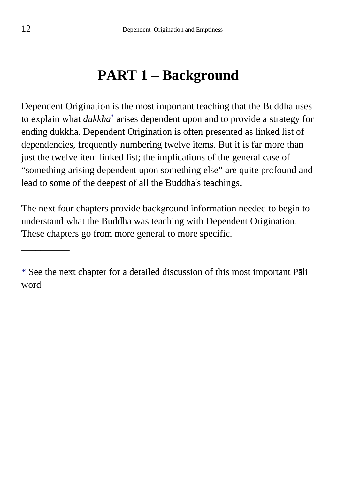# PART 1 – Background

Dependent Origination is the most important teaching that the Buddha uses to explain what dukkha<sup>\*</sup> arises dependent upon and to provide a strategy for ending dukkha. Dependent Origination is often presented as linked list of dependencies, frequently numbering twelve items. But it is far more than just the twelve item linked list; the implications of the general case of "something arising dependent upon something else" are quite profound and lead to some of the deepest of all the Buddha's teachings.

The next four chapters provide background information needed to begin to understand what the Buddha was teaching with Dependent Origination. These chapters go from more general to more specific.

 $\overline{\phantom{a}}$ 

<sup>\*</sup> See the next chapter for a detailed discussion of this most important Pāli word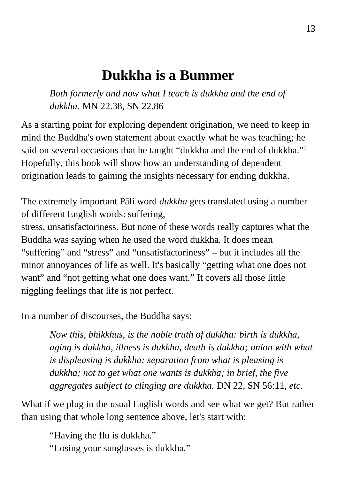#### Dukkha is a Bummer

Both formerly and now what I teach is dukkha and the end of dukkha. MN 22.38, SN 22.86

As a starting point for exploring dependent origination, we need to keep in mind the Buddha's own statement about exactly what he was teaching; he said on several occasions that he taught "dukkha and the end of dukkha."<sup>1</sup> Hopefully, this book will show how an understanding of dependent origination leads to gaining the insights necessary for ending dukkha.

The extremely important Pāli word dukkha gets translated using a number of different English words: suffering,

stress, unsatisfactoriness. But none of these words really captures what the Buddha was saying when he used the word dukkha. It does mean "suffering" and "stress" and "unsatisfactoriness" – but it includes all the minor annoyances of life as well. It's basically "getting what one does not want" and "not getting what one does want." It covers all those little niggling feelings that life is not perfect.

In a number of discourses, the Buddha says:

Now this, bhikkhus, is the noble truth of dukkha: birth is dukkha, aging is dukkha, illness is dukkha, death is dukkha; union with what is displeasing is dukkha; separation from what is pleasing is dukkha; not to get what one wants is dukkha; in brief, the five aggregates subject to clinging are dukkha. DN 22, SN 56:11, etc.

What if we plug in the usual English words and see what we get? But rather than using that whole long sentence above, let's start with:

"Having the flu is dukkha." "Losing your sunglasses is dukkha."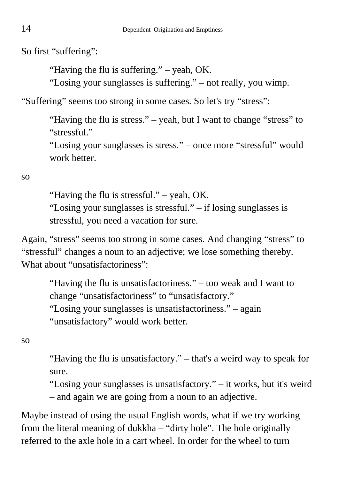So first "suffering":

"Having the flu is suffering."  $-$  yeah, OK.

"Losing your sunglasses is suffering." – not really, you wimp.

"Suffering" seems too strong in some cases. So let's try "stress":

"Having the flu is stress." – yeah, but I want to change "stress" to "stressful."

"Losing your sunglasses is stress." – once more "stressful" would work better.

so

"Having the flu is stressful." – yeah, OK.

"Losing your sunglasses is stressful." – if losing sunglasses is stressful, you need a vacation for sure.

Again, "stress" seems too strong in some cases. And changing "stress" to "stressful" changes a noun to an adjective; we lose something thereby. What about "unsatisfactoriness":

"Having the flu is unsatisfactoriness." – too weak and I want to change "unsatisfactoriness" to "unsatisfactory." "Losing your sunglasses is unsatisfactoriness." – again "unsatisfactory" would work better.

so

"Having the flu is unsatisfactory." – that's a weird way to speak for sure.

"Losing your sunglasses is unsatisfactory." – it works, but it's weird – and again we are going from a noun to an adjective.

Maybe instead of using the usual English words, what if we try working from the literal meaning of dukkha – "dirty hole". The hole originally referred to the axle hole in a cart wheel. In order for the wheel to turn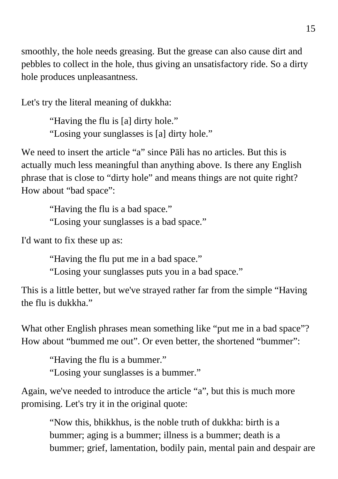smoothly, the hole needs greasing. But the grease can also cause dirt and pebbles to collect in the hole, thus giving an unsatisfactory ride. So a dirty hole produces unpleasantness.

Let's try the literal meaning of dukkha:

"Having the flu is [a] dirty hole." "Losing your sunglasses is [a] dirty hole."

We need to insert the article "a" since Pāli has no articles. But this is actually much less meaningful than anything above. Is there any English phrase that is close to "dirty hole" and means things are not quite right? How about "bad space":

> "Having the flu is a bad space." "Losing your sunglasses is a bad space."

I'd want to fix these up as:

"Having the flu put me in a bad space."

"Losing your sunglasses puts you in a bad space."

This is a little better, but we've strayed rather far from the simple "Having the flu is dukkha."

What other English phrases mean something like "put me in a bad space"? How about "bummed me out". Or even better, the shortened "bummer":

"Having the flu is a bummer."

"Losing your sunglasses is a bummer."

Again, we've needed to introduce the article "a", but this is much more promising. Let's try it in the original quote:

> "Now this, bhikkhus, is the noble truth of dukkha: birth is a bummer; aging is a bummer; illness is a bummer; death is a bummer; grief, lamentation, bodily pain, mental pain and despair are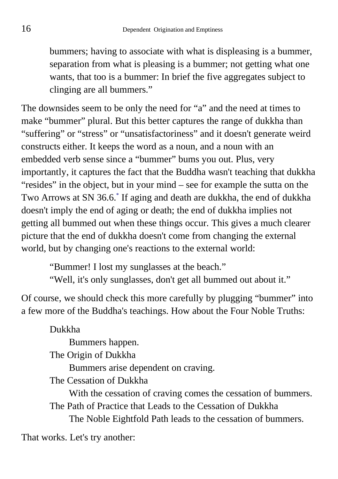bummers; having to associate with what is displeasing is a bummer, separation from what is pleasing is a bummer; not getting what one wants, that too is a bummer: In brief the five aggregates subject to clinging are all bummers."

The downsides seem to be only the need for "a" and the need at times to make "bummer" plural. But this better captures the range of dukkha than "suffering" or "stress" or "unsatisfactoriness" and it doesn't generate weird constructs either. It keeps the word as a noun, and a noun with an embedded verb sense since a "bummer" bums you out. Plus, very importantly, it captures the fact that the Buddha wasn't teaching that dukkha "resides" in the object, but in your mind – see for example the sutta on the Two Arrows at SN 36.6.\* If aging and death are dukkha, the end of dukkha doesn't imply the end of aging or death; the end of dukkha implies not getting all bummed out when these things occur. This gives a much clearer picture that the end of dukkha doesn't come from changing the external world, but by changing one's reactions to the external world:

"Bummer! I lost my sunglasses at the beach."

"Well, it's only sunglasses, don't get all bummed out about it."

Of course, we should check this more carefully by plugging "bummer" into a few more of the Buddha's teachings. How about the Four Noble Truths:

Dukkha Bummers happen. The Origin of Dukkha Bummers arise dependent on craving. The Cessation of Dukkha With the cessation of craving comes the cessation of bummers. The Path of Practice that Leads to the Cessation of Dukkha

The Noble Eightfold Path leads to the cessation of bummers.

That works. Let's try another: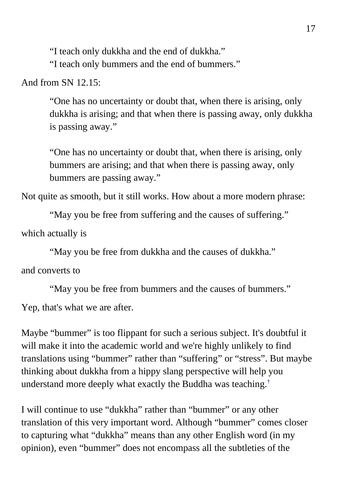"I teach only dukkha and the end of dukkha."

"I teach only bummers and the end of bummers."

And from SN  $12.15$ :

"One has no uncertainty or doubt that, when there is arising, only dukkha is arising; and that when there is passing away, only dukkha is passing away."

"One has no uncertainty or doubt that, when there is arising, only bummers are arising; and that when there is passing away, only bummers are passing away."

Not quite as smooth, but it still works. How about a more modern phrase:

"May you be free from suffering and the causes of suffering."

which actually is

"May you be free from dukkha and the causes of dukkha."

and converts to

"May you be free from bummers and the causes of bummers."

Yep, that's what we are after.

Maybe "bummer" is too flippant for such a serious subject. It's doubtful it will make it into the academic world and we're highly unlikely to find translations using "bummer" rather than "suffering" or "stress". But maybe thinking about dukkha from a hippy slang perspective will help you understand more deeply what exactly the Buddha was teaching.†

I will continue to use "dukkha" rather than "bummer" or any other translation of this very important word. Although "bummer" comes closer to capturing what "dukkha" means than any other English word (in my opinion), even "bummer" does not encompass all the subtleties of the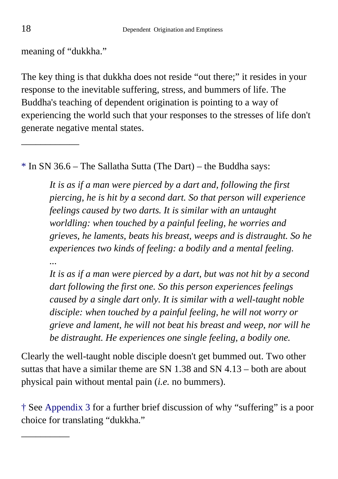meaning of "dukkha."

 $\overline{\phantom{a}}$ 

 $\overline{\phantom{a}}$ 

The key thing is that dukkha does not reside "out there;" it resides in your response to the inevitable suffering, stress, and bummers of life. The Buddha's teaching of dependent origination is pointing to a way of experiencing the world such that your responses to the stresses of life don't generate negative mental states.

\* In SN 36.6 – The Sallatha Sutta (The Dart) – the Buddha says:

It is as if a man were pierced by a dart and, following the first piercing, he is hit by a second dart. So that person will experience feelings caused by two darts. It is similar with an untaught worldling: when touched by a painful feeling, he worries and grieves, he laments, beats his breast, weeps and is distraught. So he experiences two kinds of feeling: a bodily and a mental feeling. ...

It is as if a man were pierced by a dart, but was not hit by a second dart following the first one. So this person experiences feelings caused by a single dart only. It is similar with a well-taught noble disciple: when touched by a painful feeling, he will not worry or grieve and lament, he will not beat his breast and weep, nor will he be distraught. He experiences one single feeling, a bodily one.

Clearly the well-taught noble disciple doesn't get bummed out. Two other suttas that have a similar theme are SN 1.38 and SN 4.13 – both are about physical pain without mental pain (i.e. no bummers).

† See Appendix 3 for a further brief discussion of why "suffering" is a poor choice for translating "dukkha."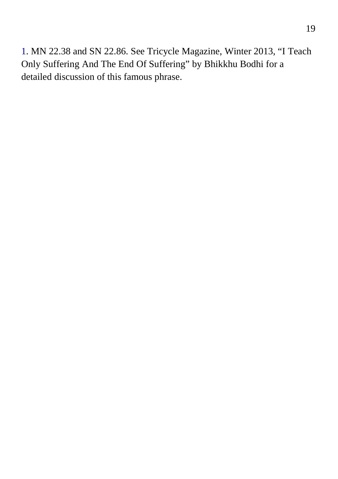1. MN 22.38 and SN 22.86. See Tricycle Magazine, Winter 2013, "I Teach Only Suffering And The End Of Suffering" by Bhikkhu Bodhi for a detailed discussion of this famous phrase.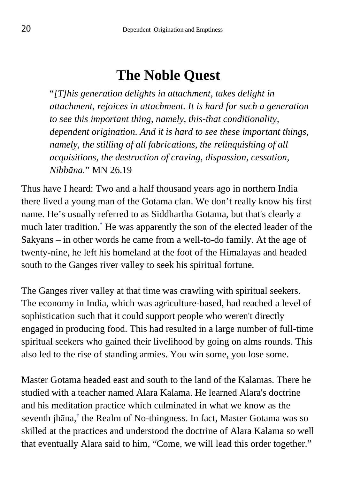## The Noble Quest

"[T]his generation delights in attachment, takes delight in attachment, rejoices in attachment. It is hard for such a generation to see this important thing, namely, this-that conditionality, dependent origination. And it is hard to see these important things, namely, the stilling of all fabrications, the relinquishing of all acquisitions, the destruction of craving, dispassion, cessation, Nibbāna." MN 26.19

Thus have I heard: Two and a half thousand years ago in northern India there lived a young man of the Gotama clan. We don't really know his first name. He's usually referred to as Siddhartha Gotama, but that's clearly a much later tradition.\* He was apparently the son of the elected leader of the Sakyans – in other words he came from a well-to-do family. At the age of twenty-nine, he left his homeland at the foot of the Himalayas and headed south to the Ganges river valley to seek his spiritual fortune.

The Ganges river valley at that time was crawling with spiritual seekers. The economy in India, which was agriculture-based, had reached a level of sophistication such that it could support people who weren't directly engaged in producing food. This had resulted in a large number of full-time spiritual seekers who gained their livelihood by going on alms rounds. This also led to the rise of standing armies. You win some, you lose some.

Master Gotama headed east and south to the land of the Kalamas. There he studied with a teacher named Alara Kalama. He learned Alara's doctrine and his meditation practice which culminated in what we know as the seventh jhāna,<sup>†</sup> the Realm of No-thingness. In fact, Master Gotama was so skilled at the practices and understood the doctrine of Alara Kalama so well that eventually Alara said to him, "Come, we will lead this order together."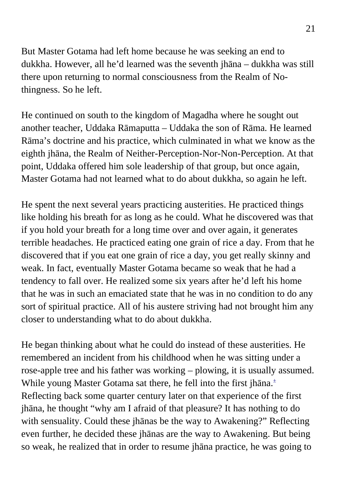But Master Gotama had left home because he was seeking an end to dukkha. However, all he'd learned was the seventh jhāna – dukkha was still there upon returning to normal consciousness from the Realm of Nothingness. So he left.

He continued on south to the kingdom of Magadha where he sought out another teacher, Uddaka Rāmaputta – Uddaka the son of Rāma. He learned Rāma's doctrine and his practice, which culminated in what we know as the eighth jhāna, the Realm of Neither-Perception-Nor-Non-Perception. At that point, Uddaka offered him sole leadership of that group, but once again, Master Gotama had not learned what to do about dukkha, so again he left.

He spent the next several years practicing austerities. He practiced things like holding his breath for as long as he could. What he discovered was that if you hold your breath for a long time over and over again, it generates terrible headaches. He practiced eating one grain of rice a day. From that he discovered that if you eat one grain of rice a day, you get really skinny and weak. In fact, eventually Master Gotama became so weak that he had a tendency to fall over. He realized some six years after he'd left his home that he was in such an emaciated state that he was in no condition to do any sort of spiritual practice. All of his austere striving had not brought him any closer to understanding what to do about dukkha.

He began thinking about what he could do instead of these austerities. He remembered an incident from his childhood when he was sitting under a rose-apple tree and his father was working – plowing, it is usually assumed. While young Master Gotama sat there, he fell into the first jhāna.<sup>±</sup> Reflecting back some quarter century later on that experience of the first jhāna, he thought "why am I afraid of that pleasure? It has nothing to do with sensuality. Could these jhānas be the way to Awakening?" Reflecting even further, he decided these jhānas are the way to Awakening. But being so weak, he realized that in order to resume jhāna practice, he was going to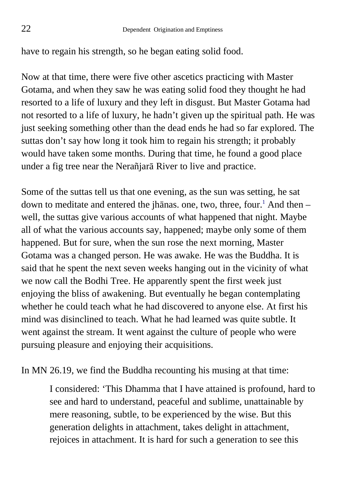have to regain his strength, so he began eating solid food.

Now at that time, there were five other ascetics practicing with Master Gotama, and when they saw he was eating solid food they thought he had resorted to a life of luxury and they left in disgust. But Master Gotama had not resorted to a life of luxury, he hadn't given up the spiritual path. He was just seeking something other than the dead ends he had so far explored. The suttas don't say how long it took him to regain his strength; it probably would have taken some months. During that time, he found a good place under a fig tree near the Nerañjarā River to live and practice.

Some of the suttas tell us that one evening, as the sun was setting, he sat down to meditate and entered the jhānas. one, two, three, four.<sup>1</sup> And then  $$ well, the suttas give various accounts of what happened that night. Maybe all of what the various accounts say, happened; maybe only some of them happened. But for sure, when the sun rose the next morning, Master Gotama was a changed person. He was awake. He was the Buddha. It is said that he spent the next seven weeks hanging out in the vicinity of what we now call the Bodhi Tree. He apparently spent the first week just enjoying the bliss of awakening. But eventually he began contemplating whether he could teach what he had discovered to anyone else. At first his mind was disinclined to teach. What he had learned was quite subtle. It went against the stream. It went against the culture of people who were pursuing pleasure and enjoying their acquisitions.

In MN 26.19, we find the Buddha recounting his musing at that time:

I considered: 'This Dhamma that I have attained is profound, hard to see and hard to understand, peaceful and sublime, unattainable by mere reasoning, subtle, to be experienced by the wise. But this generation delights in attachment, takes delight in attachment, rejoices in attachment. It is hard for such a generation to see this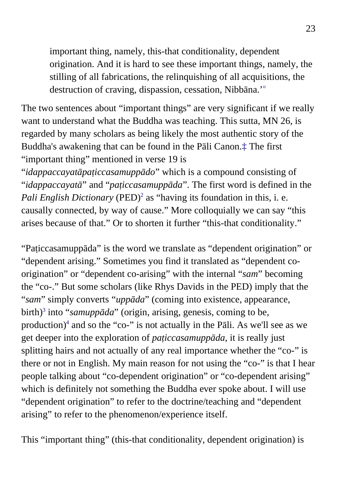important thing, namely, this-that conditionality, dependent origination. And it is hard to see these important things, namely, the stilling of all fabrications, the relinquishing of all acquisitions, the destruction of craving, dispassion, cessation, Nibbāna.'<sup>¤</sup>

The two sentences about "important things" are very significant if we really want to understand what the Buddha was teaching. This sutta, MN 26, is regarded by many scholars as being likely the most authentic story of the Buddha's awakening that can be found in the Pāli Canon.‡ The first "important thing" mentioned in verse 19 is

"idappaccayatāpaṭiccasamuppādo" which is a compound consisting of "*idappaccayatā*" and "*paticcasamuppāda*". The first word is defined in the Pali English Dictionary (PED)<sup>2</sup> as "having its foundation in this, i. e. causally connected, by way of cause." More colloquially we can say "this arises because of that." Or to shorten it further "this-that conditionality."

"Paṭiccasamuppāda" is the word we translate as "dependent origination" or "dependent arising." Sometimes you find it translated as "dependent coorigination" or "dependent co-arising" with the internal "sam" becoming the "co-." But some scholars (like Rhys Davids in the PED) imply that the "sam" simply converts "uppāda" (coming into existence, appearance, birth)<sup>3</sup> into "samuppāda" (origin, arising, genesis, coming to be, production)<sup>4</sup> and so the "co-" is not actually in the Pāli. As we'll see as we get deeper into the exploration of paṭiccasamuppāda, it is really just splitting hairs and not actually of any real importance whether the "co-" is there or not in English. My main reason for not using the "co-" is that I hear people talking about "co-dependent origination" or "co-dependent arising" which is definitely not something the Buddha ever spoke about. I will use "dependent origination" to refer to the doctrine/teaching and "dependent arising" to refer to the phenomenon/experience itself.

This "important thing" (this-that conditionality, dependent origination) is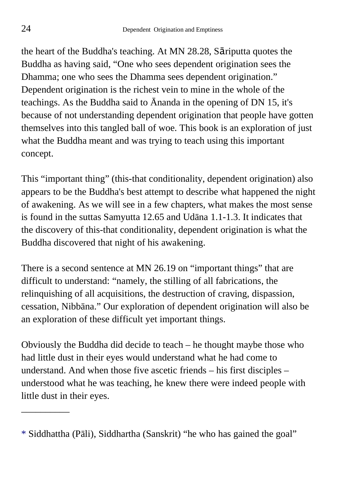the heart of the Buddha's teaching. At MN 28.28, Sāriputta quotes the Buddha as having said, "One who sees dependent origination sees the Dhamma; one who sees the Dhamma sees dependent origination." Dependent origination is the richest vein to mine in the whole of the teachings. As the Buddha said to Ānanda in the opening of DN 15, it's because of not understanding dependent origination that people have gotten themselves into this tangled ball of woe. This book is an exploration of just what the Buddha meant and was trying to teach using this important concept.

This "important thing" (this-that conditionality, dependent origination) also appears to be the Buddha's best attempt to describe what happened the night of awakening. As we will see in a few chapters, what makes the most sense is found in the suttas Samyutta 12.65 and Udāna 1.1-1.3. It indicates that the discovery of this-that conditionality, dependent origination is what the Buddha discovered that night of his awakening.

There is a second sentence at MN 26.19 on "important things" that are difficult to understand: "namely, the stilling of all fabrications, the relinquishing of all acquisitions, the destruction of craving, dispassion, cessation, Nibbāna." Our exploration of dependent origination will also be an exploration of these difficult yet important things.

Obviously the Buddha did decide to teach – he thought maybe those who had little dust in their eyes would understand what he had come to understand. And when those five ascetic friends – his first disciples – understood what he was teaching, he knew there were indeed people with little dust in their eyes.

 $\overline{\phantom{a}}$ 

<sup>\*</sup> Siddhattha (Pāli), Siddhartha (Sanskrit) "he who has gained the goal"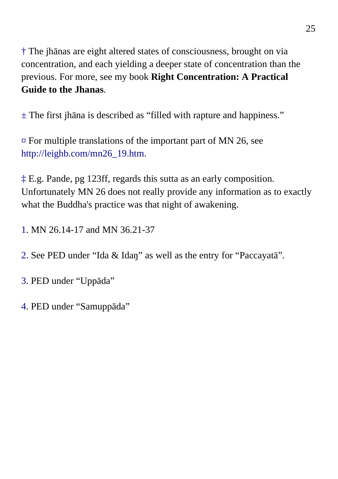† The jhānas are eight altered states of consciousness, brought on via concentration, and each yielding a deeper state of concentration than the previous. For more, see my book Right Concentration: A Practical Guide to the Jhanas.

± The first jhāna is described as "filled with rapture and happiness."

 $\alpha$  For multiple translations of the important part of MN 26, see http://leighb.com/mn26\_19.htm.

‡ E.g. Pande, pg 123ff, regards this sutta as an early composition. Unfortunately MN 26 does not really provide any information as to exactly what the Buddha's practice was that night of awakening.

1. MN 26.14-17 and MN 36.21-37

2. See PED under "Ida & Idaŋ" as well as the entry for "Paccayatā".

3. PED under "Uppāda"

4. PED under "Samuppāda"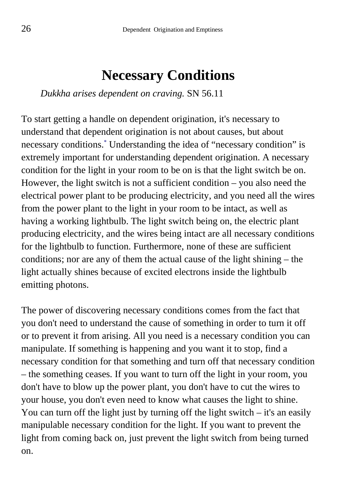#### Necessary Conditions

Dukkha arises dependent on craving. SN 56.11

To start getting a handle on dependent origination, it's necessary to understand that dependent origination is not about causes, but about necessary conditions.\* Understanding the idea of "necessary condition" is extremely important for understanding dependent origination. A necessary condition for the light in your room to be on is that the light switch be on. However, the light switch is not a sufficient condition – you also need the electrical power plant to be producing electricity, and you need all the wires from the power plant to the light in your room to be intact, as well as having a working lightbulb. The light switch being on, the electric plant producing electricity, and the wires being intact are all necessary conditions for the lightbulb to function. Furthermore, none of these are sufficient conditions; nor are any of them the actual cause of the light shining – the light actually shines because of excited electrons inside the lightbulb emitting photons.

The power of discovering necessary conditions comes from the fact that you don't need to understand the cause of something in order to turn it off or to prevent it from arising. All you need is a necessary condition you can manipulate. If something is happening and you want it to stop, find a necessary condition for that something and turn off that necessary condition – the something ceases. If you want to turn off the light in your room, you don't have to blow up the power plant, you don't have to cut the wires to your house, you don't even need to know what causes the light to shine. You can turn off the light just by turning off the light switch – it's an easily manipulable necessary condition for the light. If you want to prevent the light from coming back on, just prevent the light switch from being turned on.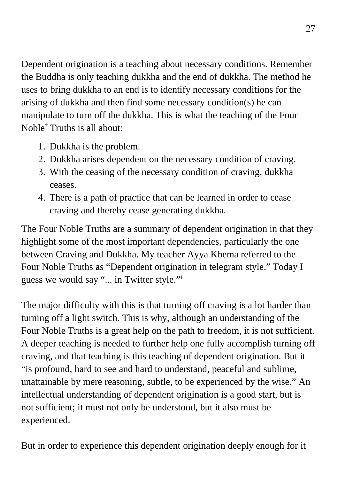Dependent origination is a teaching about necessary conditions. Remember the Buddha is only teaching dukkha and the end of dukkha. The method he uses to bring dukkha to an end is to identify necessary conditions for the arising of dukkha and then find some necessary condition(s) he can manipulate to turn off the dukkha. This is what the teaching of the Four Noble† Truths is all about:

- 1. Dukkha is the problem.
- 2. Dukkha arises dependent on the necessary condition of craving.
- 3. With the ceasing of the necessary condition of craving, dukkha ceases.
- 4. There is a path of practice that can be learned in order to cease craving and thereby cease generating dukkha.

The Four Noble Truths are a summary of dependent origination in that they highlight some of the most important dependencies, particularly the one between Craving and Dukkha. My teacher Ayya Khema referred to the Four Noble Truths as "Dependent origination in telegram style." Today I guess we would say "... in Twitter style."<sup>1</sup>

The major difficulty with this is that turning off craving is a lot harder than turning off a light switch. This is why, although an understanding of the Four Noble Truths is a great help on the path to freedom, it is not sufficient. A deeper teaching is needed to further help one fully accomplish turning off craving, and that teaching is this teaching of dependent origination. But it "is profound, hard to see and hard to understand, peaceful and sublime, unattainable by mere reasoning, subtle, to be experienced by the wise." An intellectual understanding of dependent origination is a good start, but is not sufficient; it must not only be understood, but it also must be experienced.

But in order to experience this dependent origination deeply enough for it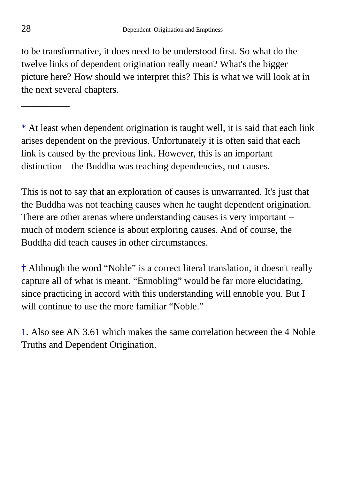to be transformative, it does need to be understood first. So what do the twelve links of dependent origination really mean? What's the bigger picture here? How should we interpret this? This is what we will look at in the next several chapters.

\* At least when dependent origination is taught well, it is said that each link arises dependent on the previous. Unfortunately it is often said that each link is caused by the previous link. However, this is an important distinction – the Buddha was teaching dependencies, not causes.

This is not to say that an exploration of causes is unwarranted. It's just that the Buddha was not teaching causes when he taught dependent origination. There are other arenas where understanding causes is very important – much of modern science is about exploring causes. And of course, the Buddha did teach causes in other circumstances.

† Although the word "Noble" is a correct literal translation, it doesn't really capture all of what is meant. "Ennobling" would be far more elucidating, since practicing in accord with this understanding will ennoble you. But I will continue to use the more familiar "Noble."

1. Also see AN 3.61 which makes the same correlation between the 4 Noble Truths and Dependent Origination.

 $\overline{\phantom{a}}$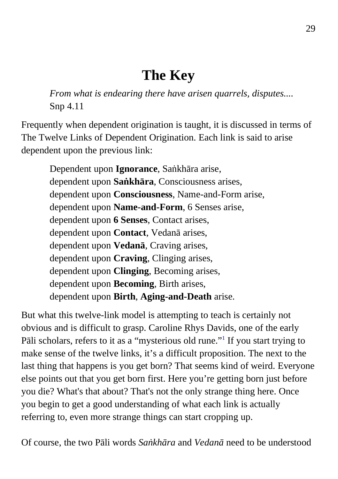## The Key

From what is endearing there have arisen quarrels, disputes.... Snp 4.11

Frequently when dependent origination is taught, it is discussed in terms of The Twelve Links of Dependent Origination. Each link is said to arise dependent upon the previous link:

Dependent upon Ignorance, Saṅkhāra arise, dependent upon Saṅkhāra, Consciousness arises, dependent upon Consciousness, Name-and-Form arise, dependent upon Name-and-Form, 6 Senses arise, dependent upon 6 Senses, Contact arises, dependent upon Contact, Vedanā arises, dependent upon Vedanā, Craving arises, dependent upon Craving, Clinging arises, dependent upon **Clinging**, Becoming arises, dependent upon Becoming, Birth arises, dependent upon Birth, Aging-and-Death arise.

But what this twelve-link model is attempting to teach is certainly not obvious and is difficult to grasp. Caroline Rhys Davids, one of the early Pāli scholars, refers to it as a "mysterious old rune."<sup>1</sup> If you start trying to make sense of the twelve links, it's a difficult proposition. The next to the last thing that happens is you get born? That seems kind of weird. Everyone else points out that you get born first. Here you're getting born just before you die? What's that about? That's not the only strange thing here. Once you begin to get a good understanding of what each link is actually referring to, even more strange things can start cropping up.

Of course, the two Pāli words Saṅkhāra and Vedanā need to be understood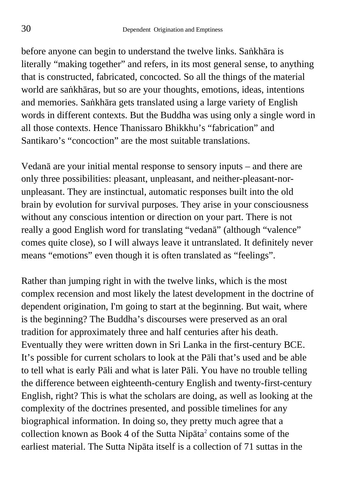before anyone can begin to understand the twelve links. Saṅkhāra is literally "making together" and refers, in its most general sense, to anything that is constructed, fabricated, concocted. So all the things of the material world are saṅkhāras, but so are your thoughts, emotions, ideas, intentions and memories. Saṅkhāra gets translated using a large variety of English words in different contexts. But the Buddha was using only a single word in all those contexts. Hence Thanissaro Bhikkhu's "fabrication" and Santikaro's "concoction" are the most suitable translations.

Vedanā are your initial mental response to sensory inputs – and there are only three possibilities: pleasant, unpleasant, and neither-pleasant-norunpleasant. They are instinctual, automatic responses built into the old brain by evolution for survival purposes. They arise in your consciousness without any conscious intention or direction on your part. There is not really a good English word for translating "vedanā" (although "valence" comes quite close), so I will always leave it untranslated. It definitely never means "emotions" even though it is often translated as "feelings".

Rather than jumping right in with the twelve links, which is the most complex recension and most likely the latest development in the doctrine of dependent origination, I'm going to start at the beginning. But wait, where is the beginning? The Buddha's discourses were preserved as an oral tradition for approximately three and half centuries after his death. Eventually they were written down in Sri Lanka in the first-century BCE. It's possible for current scholars to look at the Pāli that's used and be able to tell what is early Pāli and what is later Pāli. You have no trouble telling the difference between eighteenth-century English and twenty-first-century English, right? This is what the scholars are doing, as well as looking at the complexity of the doctrines presented, and possible timelines for any biographical information. In doing so, they pretty much agree that a collection known as Book 4 of the Sutta Nipāta $2$  contains some of the earliest material. The Sutta Nipāta itself is a collection of 71 suttas in the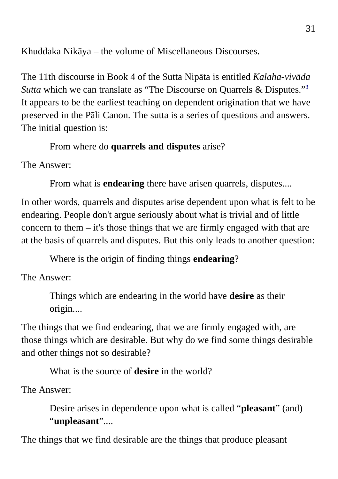Khuddaka Nikāya – the volume of Miscellaneous Discourses.

The 11th discourse in Book 4 of the Sutta Nipāta is entitled Kalaha-vivāda Sutta which we can translate as "The Discourse on Quarrels & Disputes."<sup>3</sup> It appears to be the earliest teaching on dependent origination that we have preserved in the Pāli Canon. The sutta is a series of questions and answers. The initial question is:

From where do quarrels and disputes arise?

The Answer:

From what is **endearing** there have arisen quarrels, disputes....

In other words, quarrels and disputes arise dependent upon what is felt to be endearing. People don't argue seriously about what is trivial and of little concern to them – it's those things that we are firmly engaged with that are at the basis of quarrels and disputes. But this only leads to another question:

Where is the origin of finding things **endearing**?

The Answer:

Things which are endearing in the world have **desire** as their origin....

The things that we find endearing, that we are firmly engaged with, are those things which are desirable. But why do we find some things desirable and other things not so desirable?

What is the source of **desire** in the world?

The Answer:

Desire arises in dependence upon what is called "pleasant" (and) "unpleasant"....

The things that we find desirable are the things that produce pleasant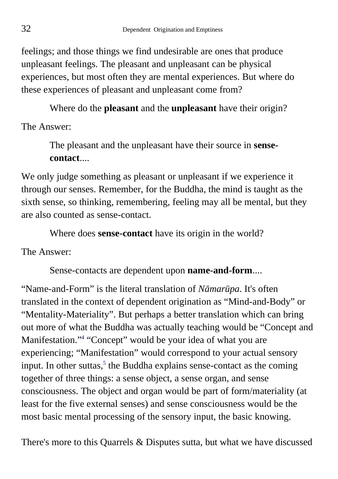feelings; and those things we find undesirable are ones that produce unpleasant feelings. The pleasant and unpleasant can be physical experiences, but most often they are mental experiences. But where do these experiences of pleasant and unpleasant come from?

Where do the **pleasant** and the **unpleasant** have their origin?

The Answer:

The pleasant and the unpleasant have their source in sensecontact....

We only judge something as pleasant or unpleasant if we experience it through our senses. Remember, for the Buddha, the mind is taught as the sixth sense, so thinking, remembering, feeling may all be mental, but they are also counted as sense-contact.

Where does **sense-contact** have its origin in the world?

The Answer:

Sense-contacts are dependent upon name-and-form....

"Name-and-Form" is the literal translation of Nāmarūpa. It's often translated in the context of dependent origination as "Mind-and-Body" or "Mentality-Materiality". But perhaps a better translation which can bring out more of what the Buddha was actually teaching would be "Concept and Manifestation."<sup>4</sup> "Concept" would be your idea of what you are experiencing; "Manifestation" would correspond to your actual sensory input. In other suttas, $5$  the Buddha explains sense-contact as the coming together of three things: a sense object, a sense organ, and sense consciousness. The object and organ would be part of form/materiality (at least for the five external senses) and sense consciousness would be the most basic mental processing of the sensory input, the basic knowing.

There's more to this Quarrels & Disputes sutta, but what we have discussed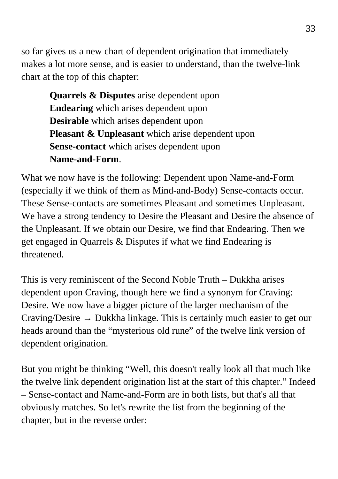so far gives us a new chart of dependent origination that immediately makes a lot more sense, and is easier to understand, than the twelve-link chart at the top of this chapter:

> Quarrels & Disputes arise dependent upon Endearing which arises dependent upon Desirable which arises dependent upon Pleasant & Unpleasant which arise dependent upon Sense-contact which arises dependent upon Name-and-Form.

What we now have is the following: Dependent upon Name-and-Form (especially if we think of them as Mind-and-Body) Sense-contacts occur. These Sense-contacts are sometimes Pleasant and sometimes Unpleasant. We have a strong tendency to Desire the Pleasant and Desire the absence of the Unpleasant. If we obtain our Desire, we find that Endearing. Then we get engaged in Quarrels & Disputes if what we find Endearing is threatened.

This is very reminiscent of the Second Noble Truth – Dukkha arises dependent upon Craving, though here we find a synonym for Craving: Desire. We now have a bigger picture of the larger mechanism of the Craving/Desire  $\rightarrow$  Dukkha linkage. This is certainly much easier to get our heads around than the "mysterious old rune" of the twelve link version of dependent origination.

But you might be thinking "Well, this doesn't really look all that much like the twelve link dependent origination list at the start of this chapter." Indeed – Sense-contact and Name-and-Form are in both lists, but that's all that obviously matches. So let's rewrite the list from the beginning of the chapter, but in the reverse order: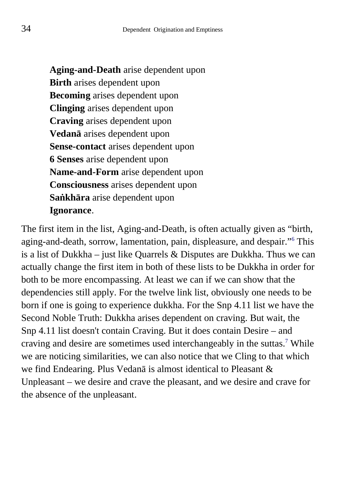Aging-and-Death arise dependent upon Birth arises dependent upon Becoming arises dependent upon Clinging arises dependent upon Craving arises dependent upon Vedanā arises dependent upon Sense-contact arises dependent upon 6 Senses arise dependent upon Name-and-Form arise dependent upon Consciousness arises dependent upon Saṅkhāra arise dependent upon Ignorance.

The first item in the list, Aging-and-Death, is often actually given as "birth, aging-and-death, sorrow, lamentation, pain, displeasure, and despair."<sup>6</sup> This is a list of Dukkha – just like Quarrels & Disputes are Dukkha. Thus we can actually change the first item in both of these lists to be Dukkha in order for both to be more encompassing. At least we can if we can show that the dependencies still apply. For the twelve link list, obviously one needs to be born if one is going to experience dukkha. For the Snp 4.11 list we have the Second Noble Truth: Dukkha arises dependent on craving. But wait, the Snp 4.11 list doesn't contain Craving. But it does contain Desire – and craving and desire are sometimes used interchangeably in the suttas.<sup>7</sup> While we are noticing similarities, we can also notice that we Cling to that which we find Endearing. Plus Vedanā is almost identical to Pleasant & Unpleasant – we desire and crave the pleasant, and we desire and crave for the absence of the unpleasant.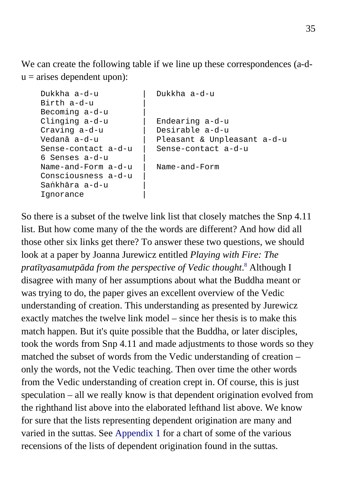We can create the following table if we line up these correspondences (a-d $u =$  arises dependent upon):

```
 Dukkha a-d-u | Dukkha a-d-u
Birth A-d-u Becoming a-d-u |
 Clinging a-d-u | Endearing a-d-u
 Craving a-d-u | Desirable a-d-u
 Vedanā a-d-u | Pleasant & Unpleasant a-d-u
                       Sense-control a-d-u
 6 Senses a-d-u |
 Name-and-Form a-d-u | Name-and-Form
 Consciousness a-d-u |
 Saṅkhāra a-d-u |
Ignorance
```
So there is a subset of the twelve link list that closely matches the Snp 4.11 list. But how come many of the the words are different? And how did all those other six links get there? To answer these two questions, we should look at a paper by Joanna Jurewicz entitled Playing with Fire: The pratītyasamutpāda from the perspective of Vedic thought.<sup>8</sup> Although I disagree with many of her assumptions about what the Buddha meant or was trying to do, the paper gives an excellent overview of the Vedic understanding of creation. This understanding as presented by Jurewicz exactly matches the twelve link model – since her thesis is to make this match happen. But it's quite possible that the Buddha, or later disciples, took the words from Snp 4.11 and made adjustments to those words so they matched the subset of words from the Vedic understanding of creation – only the words, not the Vedic teaching. Then over time the other words from the Vedic understanding of creation crept in. Of course, this is just speculation – all we really know is that dependent origination evolved from the righthand list above into the elaborated lefthand list above. We know for sure that the lists representing dependent origination are many and varied in the suttas. See Appendix 1 for a chart of some of the various recensions of the lists of dependent origination found in the suttas.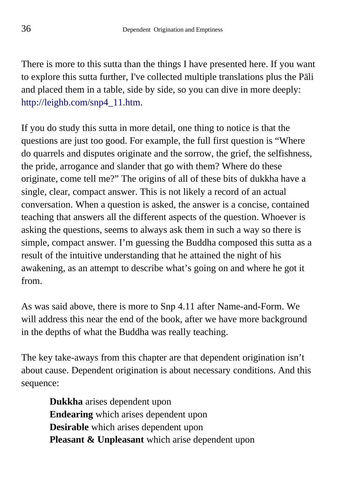There is more to this sutta than the things I have presented here. If you want to explore this sutta further, I've collected multiple translations plus the Pāli and placed them in a table, side by side, so you can dive in more deeply: http://leighb.com/snp4\_11.htm.

If you do study this sutta in more detail, one thing to notice is that the questions are just too good. For example, the full first question is "Where do quarrels and disputes originate and the sorrow, the grief, the selfishness, the pride, arrogance and slander that go with them? Where do these originate, come tell me?" The origins of all of these bits of dukkha have a single, clear, compact answer. This is not likely a record of an actual conversation. When a question is asked, the answer is a concise, contained teaching that answers all the different aspects of the question. Whoever is asking the questions, seems to always ask them in such a way so there is simple, compact answer. I'm guessing the Buddha composed this sutta as a result of the intuitive understanding that he attained the night of his awakening, as an attempt to describe what's going on and where he got it from.

As was said above, there is more to Snp 4.11 after Name-and-Form. We will address this near the end of the book, after we have more background in the depths of what the Buddha was really teaching.

The key take-aways from this chapter are that dependent origination isn't about cause. Dependent origination is about necessary conditions. And this sequence:

Dukkha arises dependent upon Endearing which arises dependent upon Desirable which arises dependent upon Pleasant & Unpleasant which arise dependent upon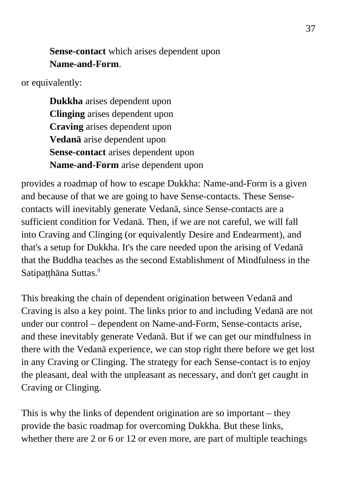#### Sense-contact which arises dependent upon Name-and-Form.

or equivalently:

Dukkha arises dependent upon Clinging arises dependent upon Craving arises dependent upon Vedanā arise dependent upon Sense-contact arises dependent upon Name-and-Form arise dependent upon

provides a roadmap of how to escape Dukkha: Name-and-Form is a given and because of that we are going to have Sense-contacts. These Sensecontacts will inevitably generate Vedanā, since Sense-contacts are a sufficient condition for Vedanā. Then, if we are not careful, we will fall into Craving and Clinging (or equivalently Desire and Endearment), and that's a setup for Dukkha. It's the care needed upon the arising of Vedanā that the Buddha teaches as the second Establishment of Mindfulness in the Satipatthāna Suttas.<sup>9</sup>

This breaking the chain of dependent origination between Vedanā and Craving is also a key point. The links prior to and including Vedanā are not under our control – dependent on Name-and-Form, Sense-contacts arise, and these inevitably generate Vedanā. But if we can get our mindfulness in there with the Vedanā experience, we can stop right there before we get lost in any Craving or Clinging. The strategy for each Sense-contact is to enjoy the pleasant, deal with the unpleasant as necessary, and don't get caught in Craving or Clinging.

This is why the links of dependent origination are so important – they provide the basic roadmap for overcoming Dukkha. But these links, whether there are 2 or 6 or 12 or even more, are part of multiple teachings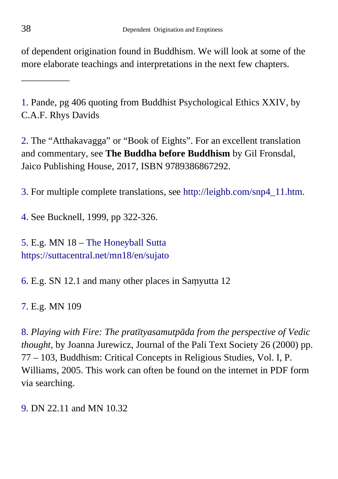of dependent origination found in Buddhism. We will look at some of the more elaborate teachings and interpretations in the next few chapters.

1. Pande, pg 406 quoting from Buddhist Psychological Ethics XXIV, by C.A.F. Rhys Davids

2. The "Atthakavagga" or "Book of Eights". For an excellent translation and commentary, see The Buddha before Buddhism by Gil Fronsdal, Jaico Publishing House, 2017, ISBN 9789386867292.

3. For multiple complete translations, see http://leighb.com/snp4\_11.htm.

4. See Bucknell, 1999, pp 322-326.

5. E.g. MN 18 – The Honeyball Sutta https://suttacentral.net/mn18/en/sujato

6. E.g. SN 12.1 and many other places in Saṃyutta 12

7. E.g. MN 109

8. Playing with Fire: The pratītyasamutpāda from the perspective of Vedic thought, by Joanna Jurewicz, Journal of the Pali Text Society 26 (2000) pp. 77 – 103, Buddhism: Critical Concepts in Religious Studies, Vol. I, P. Williams, 2005. This work can often be found on the internet in PDF form via searching.

9. DN 22.11 and MN 10.32

 $\frac{1}{2}$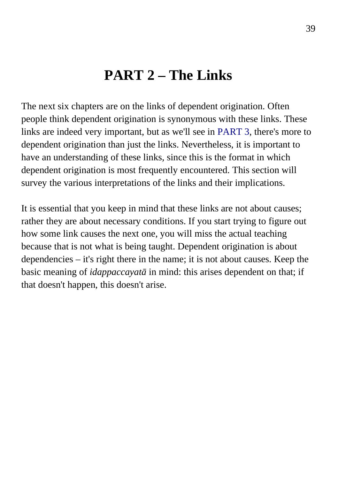### PART 2 – The Links

The next six chapters are on the links of dependent origination. Often people think dependent origination is synonymous with these links. These links are indeed very important, but as we'll see in PART 3, there's more to dependent origination than just the links. Nevertheless, it is important to have an understanding of these links, since this is the format in which dependent origination is most frequently encountered. This section will survey the various interpretations of the links and their implications.

It is essential that you keep in mind that these links are not about causes; rather they are about necessary conditions. If you start trying to figure out how some link causes the next one, you will miss the actual teaching because that is not what is being taught. Dependent origination is about dependencies – it's right there in the name; it is not about causes. Keep the basic meaning of idappaccayatā in mind: this arises dependent on that; if that doesn't happen, this doesn't arise.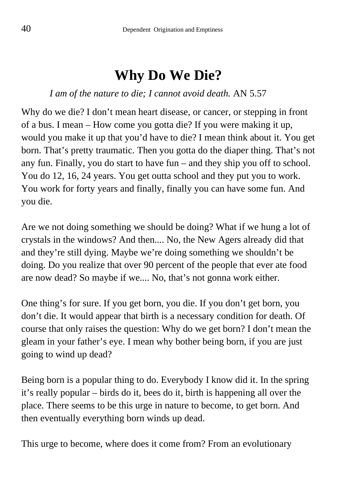# Why Do We Die?

I am of the nature to die; I cannot avoid death. AN 5.57

Why do we die? I don't mean heart disease, or cancer, or stepping in front of a bus. I mean – How come you gotta die? If you were making it up, would you make it up that you'd have to die? I mean think about it. You get born. That's pretty traumatic. Then you gotta do the diaper thing. That's not any fun. Finally, you do start to have fun – and they ship you off to school. You do 12, 16, 24 years. You get outta school and they put you to work. You work for forty years and finally, finally you can have some fun. And you die.

Are we not doing something we should be doing? What if we hung a lot of crystals in the windows? And then.... No, the New Agers already did that and they're still dying. Maybe we're doing something we shouldn't be doing. Do you realize that over 90 percent of the people that ever ate food are now dead? So maybe if we.... No, that's not gonna work either.

One thing's for sure. If you get born, you die. If you don't get born, you don't die. It would appear that birth is a necessary condition for death. Of course that only raises the question: Why do we get born? I don't mean the gleam in your father's eye. I mean why bother being born, if you are just going to wind up dead?

Being born is a popular thing to do. Everybody I know did it. In the spring it's really popular – birds do it, bees do it, birth is happening all over the place. There seems to be this urge in nature to become, to get born. And then eventually everything born winds up dead.

This urge to become, where does it come from? From an evolutionary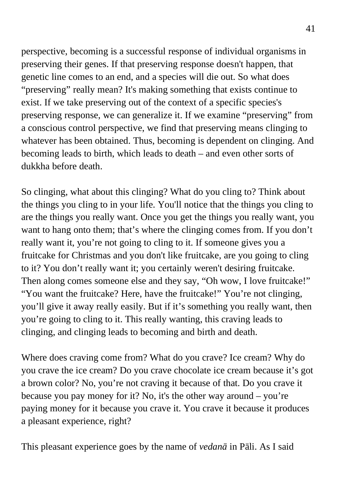perspective, becoming is a successful response of individual organisms in preserving their genes. If that preserving response doesn't happen, that genetic line comes to an end, and a species will die out. So what does "preserving" really mean? It's making something that exists continue to exist. If we take preserving out of the context of a specific species's preserving response, we can generalize it. If we examine "preserving" from a conscious control perspective, we find that preserving means clinging to whatever has been obtained. Thus, becoming is dependent on clinging. And becoming leads to birth, which leads to death – and even other sorts of dukkha before death.

So clinging, what about this clinging? What do you cling to? Think about the things you cling to in your life. You'll notice that the things you cling to are the things you really want. Once you get the things you really want, you want to hang onto them; that's where the clinging comes from. If you don't really want it, you're not going to cling to it. If someone gives you a fruitcake for Christmas and you don't like fruitcake, are you going to cling to it? You don't really want it; you certainly weren't desiring fruitcake. Then along comes someone else and they say, "Oh wow, I love fruitcake!" "You want the fruitcake? Here, have the fruitcake!" You're not clinging, you'll give it away really easily. But if it's something you really want, then you're going to cling to it. This really wanting, this craving leads to clinging, and clinging leads to becoming and birth and death.

Where does craving come from? What do you crave? Ice cream? Why do you crave the ice cream? Do you crave chocolate ice cream because it's got a brown color? No, you're not craving it because of that. Do you crave it because you pay money for it? No, it's the other way around – you're paying money for it because you crave it. You crave it because it produces a pleasant experience, right?

This pleasant experience goes by the name of vedanā in Pāli. As I said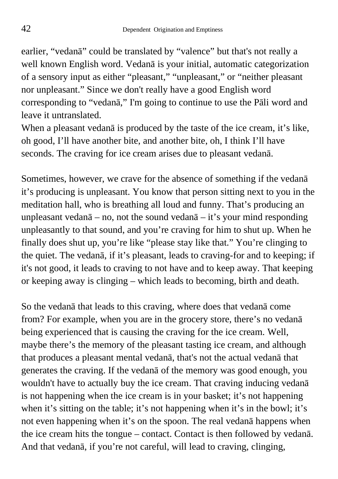earlier, "vedanā" could be translated by "valence" but that's not really a well known English word. Vedanā is your initial, automatic categorization of a sensory input as either "pleasant," "unpleasant," or "neither pleasant nor unpleasant." Since we don't really have a good English word corresponding to "vedanā," I'm going to continue to use the Pāli word and leave it untranslated.

When a pleasant vedanā is produced by the taste of the ice cream, it's like, oh good, I'll have another bite, and another bite, oh, I think I'll have seconds. The craving for ice cream arises due to pleasant vedanā.

Sometimes, however, we crave for the absence of something if the vedanā it's producing is unpleasant. You know that person sitting next to you in the meditation hall, who is breathing all loud and funny. That's producing an unpleasant vedanā – no, not the sound vedanā – it's your mind responding unpleasantly to that sound, and you're craving for him to shut up. When he finally does shut up, you're like "please stay like that." You're clinging to the quiet. The vedanā, if it's pleasant, leads to craving-for and to keeping; if it's not good, it leads to craving to not have and to keep away. That keeping or keeping away is clinging – which leads to becoming, birth and death.

So the vedanā that leads to this craving, where does that vedanā come from? For example, when you are in the grocery store, there's no vedanā being experienced that is causing the craving for the ice cream. Well, maybe there's the memory of the pleasant tasting ice cream, and although that produces a pleasant mental vedanā, that's not the actual vedanā that generates the craving. If the vedanā of the memory was good enough, you wouldn't have to actually buy the ice cream. That craving inducing vedanā is not happening when the ice cream is in your basket; it's not happening when it's sitting on the table; it's not happening when it's in the bowl; it's not even happening when it's on the spoon. The real vedanā happens when the ice cream hits the tongue – contact. Contact is then followed by vedanā. And that vedanā, if you're not careful, will lead to craving, clinging,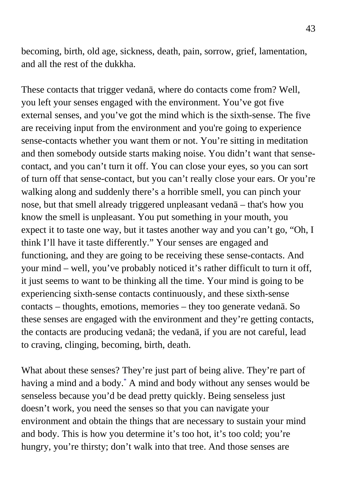becoming, birth, old age, sickness, death, pain, sorrow, grief, lamentation, and all the rest of the dukkha.

These contacts that trigger vedanā, where do contacts come from? Well, you left your senses engaged with the environment. You've got five external senses, and you've got the mind which is the sixth-sense. The five are receiving input from the environment and you're going to experience sense-contacts whether you want them or not. You're sitting in meditation and then somebody outside starts making noise. You didn't want that sensecontact, and you can't turn it off. You can close your eyes, so you can sort of turn off that sense-contact, but you can't really close your ears. Or you're walking along and suddenly there's a horrible smell, you can pinch your nose, but that smell already triggered unpleasant vedanā – that's how you know the smell is unpleasant. You put something in your mouth, you expect it to taste one way, but it tastes another way and you can't go, "Oh, I think I'll have it taste differently." Your senses are engaged and functioning, and they are going to be receiving these sense-contacts. And your mind – well, you've probably noticed it's rather difficult to turn it off, it just seems to want to be thinking all the time. Your mind is going to be experiencing sixth-sense contacts continuously, and these sixth-sense contacts – thoughts, emotions, memories – they too generate vedanā. So these senses are engaged with the environment and they're getting contacts, the contacts are producing vedanā; the vedanā, if you are not careful, lead to craving, clinging, becoming, birth, death.

What about these senses? They're just part of being alive. They're part of having a mind and a body.\* A mind and body without any senses would be senseless because you'd be dead pretty quickly. Being senseless just doesn't work, you need the senses so that you can navigate your environment and obtain the things that are necessary to sustain your mind and body. This is how you determine it's too hot, it's too cold; you're hungry, you're thirsty; don't walk into that tree. And those senses are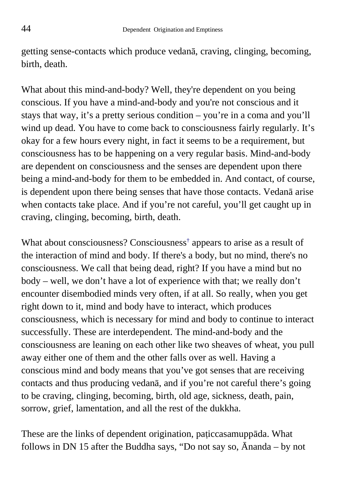getting sense-contacts which produce vedanā, craving, clinging, becoming, birth, death.

What about this mind-and-body? Well, they're dependent on you being conscious. If you have a mind-and-body and you're not conscious and it stays that way, it's a pretty serious condition – you're in a coma and you'll wind up dead. You have to come back to consciousness fairly regularly. It's okay for a few hours every night, in fact it seems to be a requirement, but consciousness has to be happening on a very regular basis. Mind-and-body are dependent on consciousness and the senses are dependent upon there being a mind-and-body for them to be embedded in. And contact, of course, is dependent upon there being senses that have those contacts. Vedanā arise when contacts take place. And if you're not careful, you'll get caught up in craving, clinging, becoming, birth, death.

What about consciousness? Consciousness<sup>†</sup> appears to arise as a result of the interaction of mind and body. If there's a body, but no mind, there's no consciousness. We call that being dead, right? If you have a mind but no body – well, we don't have a lot of experience with that; we really don't encounter disembodied minds very often, if at all. So really, when you get right down to it, mind and body have to interact, which produces consciousness, which is necessary for mind and body to continue to interact successfully. These are interdependent. The mind-and-body and the consciousness are leaning on each other like two sheaves of wheat, you pull away either one of them and the other falls over as well. Having a conscious mind and body means that you've got senses that are receiving contacts and thus producing vedanā, and if you're not careful there's going to be craving, clinging, becoming, birth, old age, sickness, death, pain, sorrow, grief, lamentation, and all the rest of the dukkha.

These are the links of dependent origination, paṭiccasamuppāda. What follows in DN 15 after the Buddha says, "Do not say so, Ānanda – by not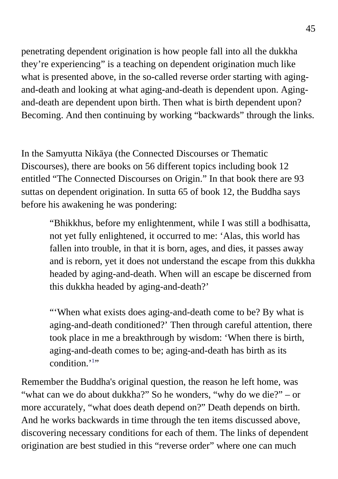penetrating dependent origination is how people fall into all the dukkha they're experiencing" is a teaching on dependent origination much like what is presented above, in the so-called reverse order starting with agingand-death and looking at what aging-and-death is dependent upon. Agingand-death are dependent upon birth. Then what is birth dependent upon? Becoming. And then continuing by working "backwards" through the links.

In the Samyutta Nikāya (the Connected Discourses or Thematic Discourses), there are books on 56 different topics including book 12 entitled "The Connected Discourses on Origin." In that book there are 93 suttas on dependent origination. In sutta 65 of book 12, the Buddha says before his awakening he was pondering:

"Bhikkhus, before my enlightenment, while I was still a bodhisatta, not yet fully enlightened, it occurred to me: 'Alas, this world has fallen into trouble, in that it is born, ages, and dies, it passes away and is reborn, yet it does not understand the escape from this dukkha headed by aging-and-death. When will an escape be discerned from this dukkha headed by aging-and-death?'

"'When what exists does aging-and-death come to be? By what is aging-and-death conditioned?' Then through careful attention, there took place in me a breakthrough by wisdom: 'When there is birth, aging-and-death comes to be; aging-and-death has birth as its condition<sup>'1"</sup>

Remember the Buddha's original question, the reason he left home, was "what can we do about dukkha?" So he wonders, "why do we die?" – or more accurately, "what does death depend on?" Death depends on birth. And he works backwards in time through the ten items discussed above, discovering necessary conditions for each of them. The links of dependent origination are best studied in this "reverse order" where one can much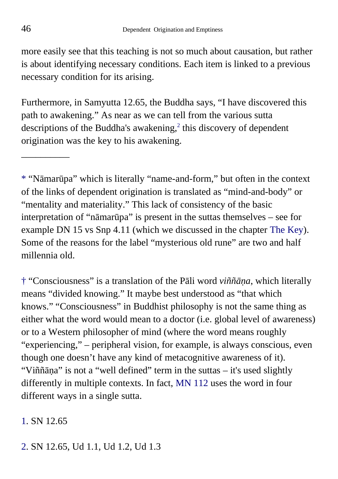more easily see that this teaching is not so much about causation, but rather is about identifying necessary conditions. Each item is linked to a previous necessary condition for its arising.

Furthermore, in Samyutta 12.65, the Buddha says, "I have discovered this path to awakening." As near as we can tell from the various sutta descriptions of the Buddha's awakening, $<sup>2</sup>$  this discovery of dependent</sup> origination was the key to his awakening.

\* "Nāmarūpa" which is literally "name-and-form," but often in the context of the links of dependent origination is translated as "mind-and-body" or "mentality and materiality." This lack of consistency of the basic interpretation of "nāmarūpa" is present in the suttas themselves – see for example DN 15 vs Snp 4.11 (which we discussed in the chapter The Key). Some of the reasons for the label "mysterious old rune" are two and half millennia old.

† "Consciousness" is a translation of the Pāli word viññāṇa, which literally means "divided knowing." It maybe best understood as "that which knows." "Consciousness" in Buddhist philosophy is not the same thing as either what the word would mean to a doctor (i.e. global level of awareness) or to a Western philosopher of mind (where the word means roughly "experiencing," – peripheral vision, for example, is always conscious, even though one doesn't have any kind of metacognitive awareness of it). "Viññāṇa" is not a "well defined" term in the suttas – it's used slightly differently in multiple contexts. In fact, MN 112 uses the word in four different ways in a single sutta.

1. SN 12.65

 $\overline{\phantom{a}}$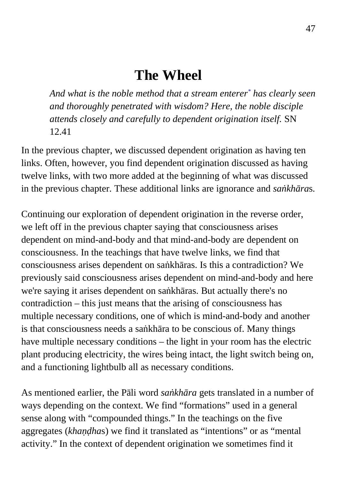### The Wheel

And what is the noble method that a stream enterer\* has clearly seen and thoroughly penetrated with wisdom? Here, the noble disciple attends closely and carefully to dependent origination itself. SN 12.41

In the previous chapter, we discussed dependent origination as having ten links. Often, however, you find dependent origination discussed as having twelve links, with two more added at the beginning of what was discussed in the previous chapter. These additional links are ignorance and saṅkhāras.

Continuing our exploration of dependent origination in the reverse order, we left off in the previous chapter saying that consciousness arises dependent on mind-and-body and that mind-and-body are dependent on consciousness. In the teachings that have twelve links, we find that consciousness arises dependent on saṅkhāras. Is this a contradiction? We previously said consciousness arises dependent on mind-and-body and here we're saying it arises dependent on saṅkhāras. But actually there's no contradiction – this just means that the arising of consciousness has multiple necessary conditions, one of which is mind-and-body and another is that consciousness needs a saṅkhāra to be conscious of. Many things have multiple necessary conditions – the light in your room has the electric plant producing electricity, the wires being intact, the light switch being on, and a functioning lightbulb all as necessary conditions.

As mentioned earlier, the Pāli word saṅkhāra gets translated in a number of ways depending on the context. We find "formations" used in a general sense along with "compounded things." In the teachings on the five aggregates (khandhas) we find it translated as "intentions" or as "mental activity." In the context of dependent origination we sometimes find it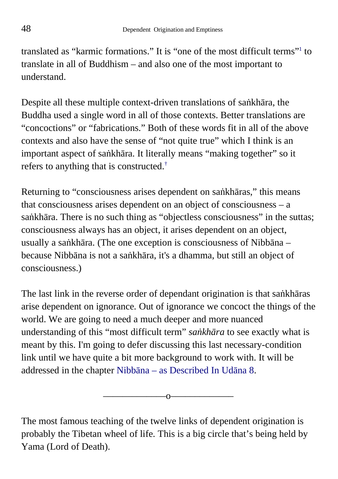translated as "karmic formations." It is "one of the most difficult terms"<sup>1</sup> to translate in all of Buddhism – and also one of the most important to understand.

Despite all these multiple context-driven translations of saṅkhāra, the Buddha used a single word in all of those contexts. Better translations are "concoctions" or "fabrications." Both of these words fit in all of the above contexts and also have the sense of "not quite true" which I think is an important aspect of saṅkhāra. It literally means "making together" so it refers to anything that is constructed.†

Returning to "consciousness arises dependent on saṅkhāras," this means that consciousness arises dependent on an object of consciousness – a saṅkhāra. There is no such thing as "objectless consciousness" in the suttas; consciousness always has an object, it arises dependent on an object, usually a saṅkhāra. (The one exception is consciousness of Nibbāna – because Nibbāna is not a saṅkhāra, it's a dhamma, but still an object of consciousness.)

The last link in the reverse order of dependant origination is that saṅkhāras arise dependent on ignorance. Out of ignorance we concoct the things of the world. We are going to need a much deeper and more nuanced understanding of this "most difficult term" saṅkhāra to see exactly what is meant by this. I'm going to defer discussing this last necessary-condition link until we have quite a bit more background to work with. It will be addressed in the chapter Nibbāna – as Described In Udāna 8.

The most famous teaching of the twelve links of dependent origination is probably the Tibetan wheel of life. This is a big circle that's being held by Yama (Lord of Death).

–––––––––––––o–––––––––––––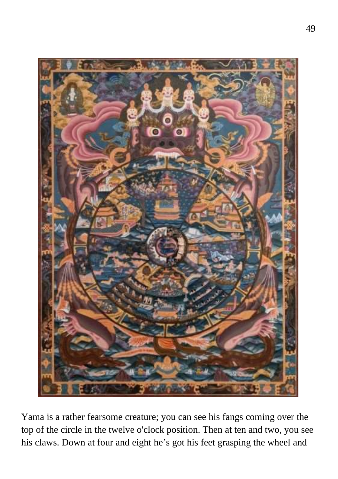

Yama is a rather fearsome creature; you can see his fangs coming over the top of the circle in the twelve o'clock position. Then at ten and two, you see his claws. Down at four and eight he's got his feet grasping the wheel and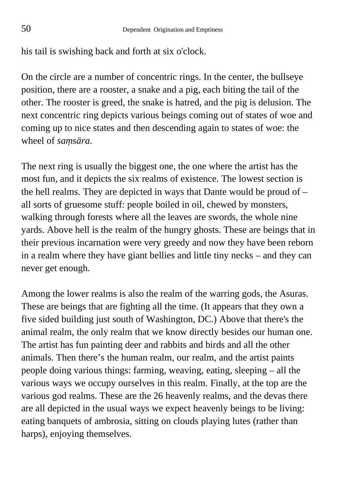his tail is swishing back and forth at six o'clock.

On the circle are a number of concentric rings. In the center, the bullseye position, there are a rooster, a snake and a pig, each biting the tail of the other. The rooster is greed, the snake is hatred, and the pig is delusion. The next concentric ring depicts various beings coming out of states of woe and coming up to nice states and then descending again to states of woe: the wheel of samsāra.

The next ring is usually the biggest one, the one where the artist has the most fun, and it depicts the six realms of existence. The lowest section is the hell realms. They are depicted in ways that Dante would be proud of – all sorts of gruesome stuff: people boiled in oil, chewed by monsters, walking through forests where all the leaves are swords, the whole nine yards. Above hell is the realm of the hungry ghosts. These are beings that in their previous incarnation were very greedy and now they have been reborn in a realm where they have giant bellies and little tiny necks – and they can never get enough.

Among the lower realms is also the realm of the warring gods, the Asuras. These are beings that are fighting all the time. (It appears that they own a five sided building just south of Washington, DC.) Above that there's the animal realm, the only realm that we know directly besides our human one. The artist has fun painting deer and rabbits and birds and all the other animals. Then there's the human realm, our realm, and the artist paints people doing various things: farming, weaving, eating, sleeping – all the various ways we occupy ourselves in this realm. Finally, at the top are the various god realms. These are the 26 heavenly realms, and the devas there are all depicted in the usual ways we expect heavenly beings to be living: eating banquets of ambrosia, sitting on clouds playing lutes (rather than harps), enjoying themselves.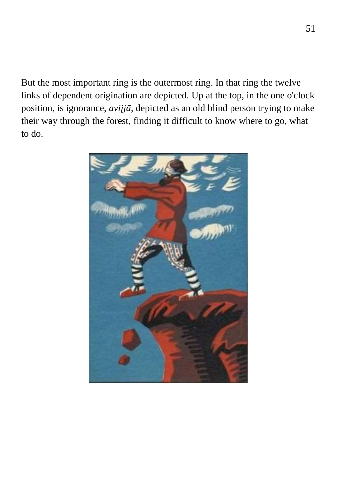But the most important ring is the outermost ring. In that ring the twelve links of dependent origination are depicted. Up at the top, in the one o'clock position, is ignorance, avijjā, depicted as an old blind person trying to make their way through the forest, finding it difficult to know where to go, what to do.

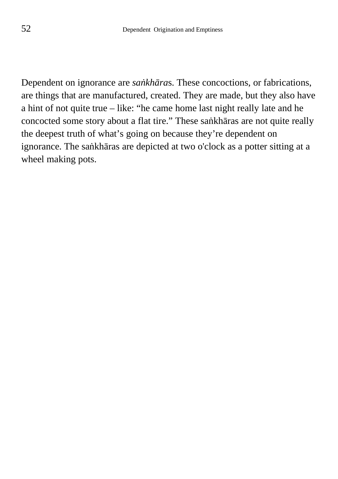Dependent on ignorance are saṅkhāras. These concoctions, or fabrications, are things that are manufactured, created. They are made, but they also have a hint of not quite true – like: "he came home last night really late and he concocted some story about a flat tire." These saṅkhāras are not quite really the deepest truth of what's going on because they're dependent on ignorance. The saṅkhāras are depicted at two o'clock as a potter sitting at a wheel making pots.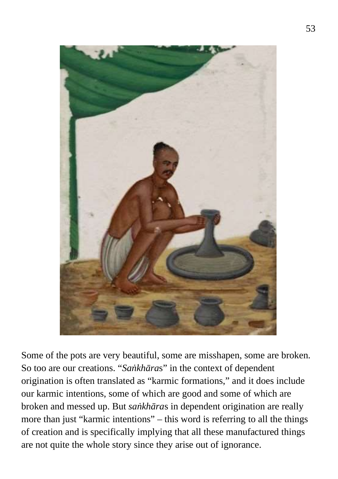

Some of the pots are very beautiful, some are misshapen, some are broken. So too are our creations. "Saṅkhāras" in the context of dependent origination is often translated as "karmic formations," and it does include our karmic intentions, some of which are good and some of which are broken and messed up. But saṅkhāras in dependent origination are really more than just "karmic intentions" – this word is referring to all the things of creation and is specifically implying that all these manufactured things are not quite the whole story since they arise out of ignorance.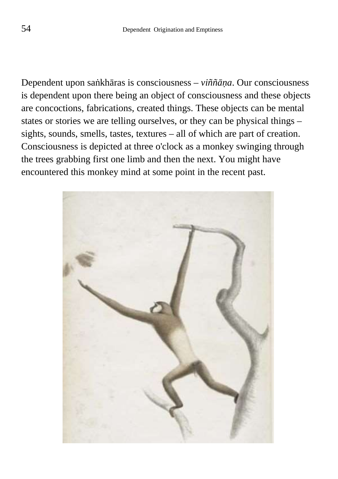Dependent upon saṅkhāras is consciousness – viññāṇa. Our consciousness is dependent upon there being an object of consciousness and these objects are concoctions, fabrications, created things. These objects can be mental states or stories we are telling ourselves, or they can be physical things – sights, sounds, smells, tastes, textures – all of which are part of creation. Consciousness is depicted at three o'clock as a monkey swinging through the trees grabbing first one limb and then the next. You might have encountered this monkey mind at some point in the recent past.

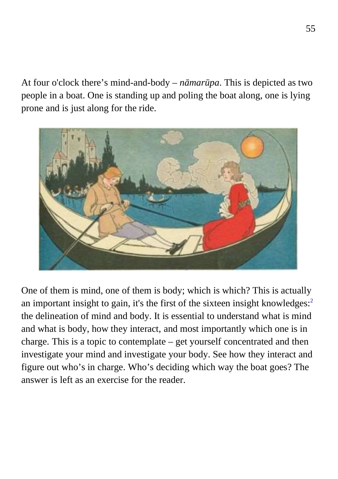At four o'clock there's mind-and-body – nāmarūpa. This is depicted as two people in a boat. One is standing up and poling the boat along, one is lying prone and is just along for the ride.



One of them is mind, one of them is body; which is which? This is actually an important insight to gain, it's the first of the sixteen insight knowledges:<sup>2</sup> the delineation of mind and body. It is essential to understand what is mind and what is body, how they interact, and most importantly which one is in charge. This is a topic to contemplate – get yourself concentrated and then investigate your mind and investigate your body. See how they interact and figure out who's in charge. Who's deciding which way the boat goes? The answer is left as an exercise for the reader.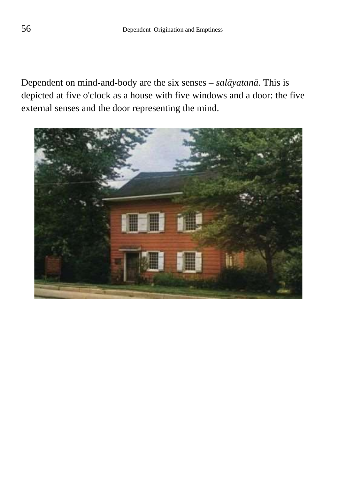Dependent on mind-and-body are the six senses – salāyatanā. This is depicted at five o'clock as a house with five windows and a door: the five external senses and the door representing the mind.

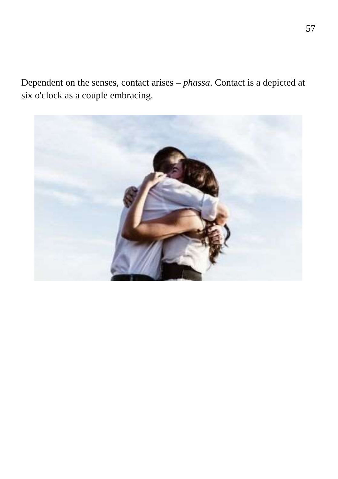Dependent on the senses, contact arises – phassa. Contact is a depicted at six o'clock as a couple embracing.

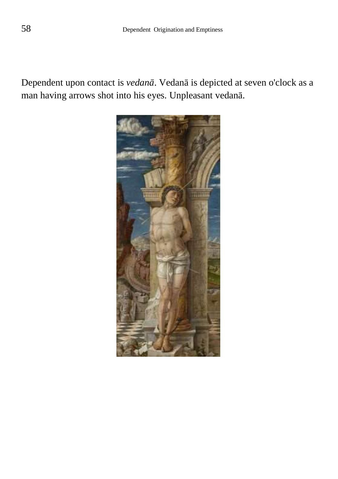Dependent upon contact is vedanā. Vedanā is depicted at seven o'clock as a man having arrows shot into his eyes. Unpleasant vedanā.

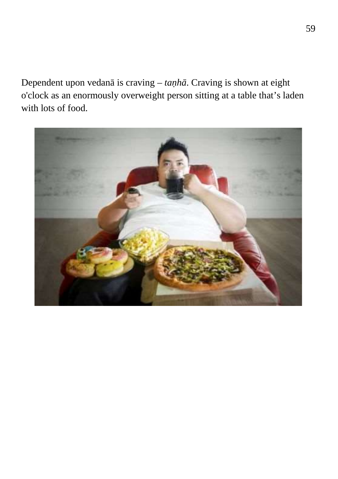Dependent upon vedanā is craving – taṇhā. Craving is shown at eight o'clock as an enormously overweight person sitting at a table that's laden with lots of food.

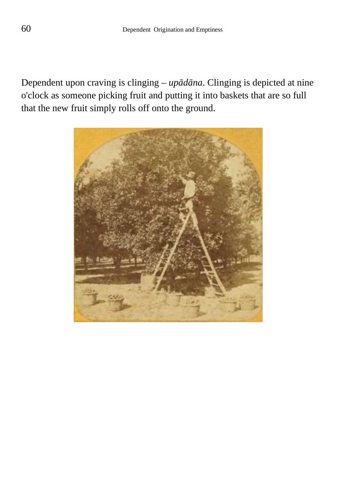Dependent upon craving is clinging – upādāna. Clinging is depicted at nine o'clock as someone picking fruit and putting it into baskets that are so full that the new fruit simply rolls off onto the ground.

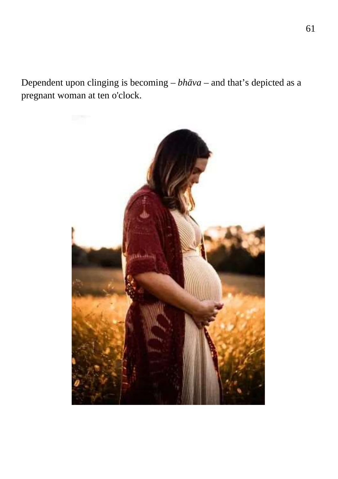Dependent upon clinging is becoming  $-bh\bar{a}va$  – and that's depicted as a pregnant woman at ten o'clock.

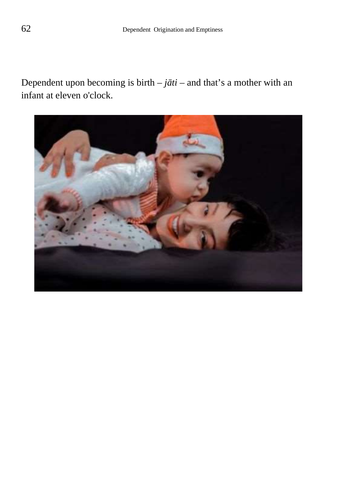Dependent upon becoming is birth  $-j\bar{a}t$  – and that's a mother with an infant at eleven o'clock.

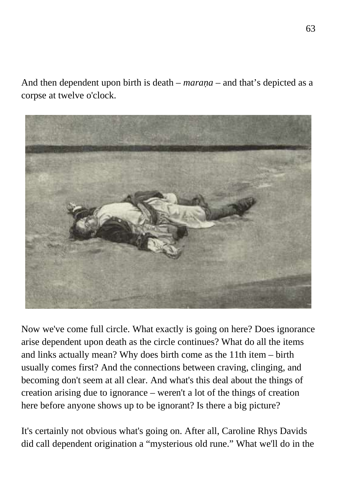And then dependent upon birth is death –  $marana$  – and that's depicted as a corpse at twelve o'clock.



Now we've come full circle. What exactly is going on here? Does ignorance arise dependent upon death as the circle continues? What do all the items and links actually mean? Why does birth come as the 11th item – birth usually comes first? And the connections between craving, clinging, and becoming don't seem at all clear. And what's this deal about the things of creation arising due to ignorance – weren't a lot of the things of creation here before anyone shows up to be ignorant? Is there a big picture?

It's certainly not obvious what's going on. After all, Caroline Rhys Davids did call dependent origination a "mysterious old rune." What we'll do in the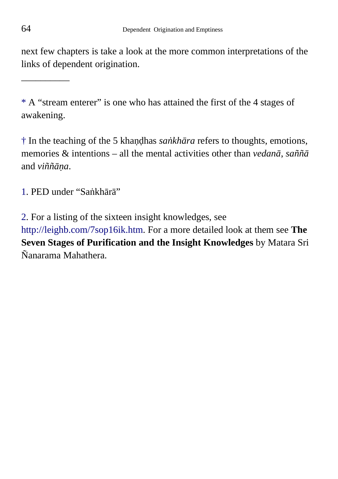next few chapters is take a look at the more common interpretations of the links of dependent origination.

\* A "stream enterer" is one who has attained the first of the 4 stages of awakening.

 $\dagger$  In the teaching of the 5 khandhas sankhāra refers to thoughts, emotions, memories  $\&$  intentions – all the mental activities other than vedanā, saññā and viññāṇa.

1. PED under "Saṅkhārā"

2. For a listing of the sixteen insight knowledges, see http://leighb.com/7sop16ik.htm. For a more detailed look at them see The Seven Stages of Purification and the Insight Knowledges by Matara Sri Ñanarama Mahathera.

 $\frac{1}{2}$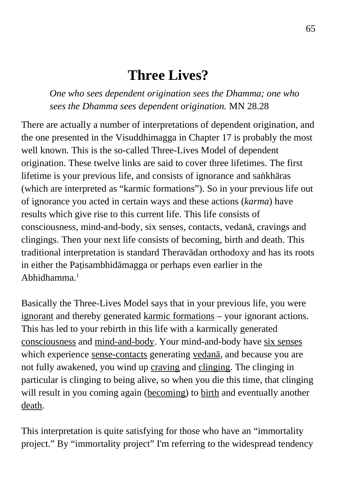## Three Lives?

One who sees dependent origination sees the Dhamma; one who sees the Dhamma sees dependent origination. MN 28.28

There are actually a number of interpretations of dependent origination, and the one presented in the Visuddhimagga in Chapter 17 is probably the most well known. This is the so-called Three-Lives Model of dependent origination. These twelve links are said to cover three lifetimes. The first lifetime is your previous life, and consists of ignorance and saṅkhāras (which are interpreted as "karmic formations"). So in your previous life out of ignorance you acted in certain ways and these actions (karma) have results which give rise to this current life. This life consists of consciousness, mind-and-body, six senses, contacts, vedanā, cravings and clingings. Then your next life consists of becoming, birth and death. This traditional interpretation is standard Theravādan orthodoxy and has its roots in either the Patisambhidāmagga or perhaps even earlier in the Abhidhamma $<sup>1</sup>$ </sup>

Basically the Three-Lives Model says that in your previous life, you were ignorant and thereby generated karmic formations – your ignorant actions. This has led to your rebirth in this life with a karmically generated consciousness and mind-and-body. Your mind-and-body have six senses which experience sense-contacts generating vedanā, and because you are not fully awakened, you wind up craving and clinging. The clinging in particular is clinging to being alive, so when you die this time, that clinging will result in you coming again (becoming) to birth and eventually another death.

This interpretation is quite satisfying for those who have an "immortality project." By "immortality project" I'm referring to the widespread tendency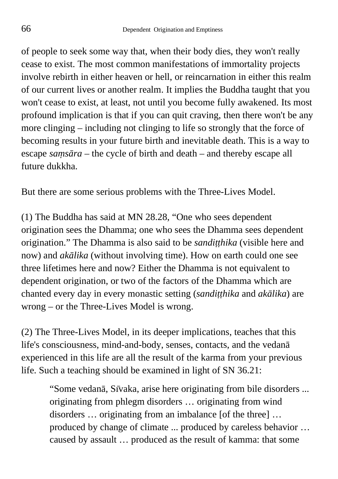of people to seek some way that, when their body dies, they won't really cease to exist. The most common manifestations of immortality projects involve rebirth in either heaven or hell, or reincarnation in either this realm of our current lives or another realm. It implies the Buddha taught that you won't cease to exist, at least, not until you become fully awakened. Its most profound implication is that if you can quit craving, then there won't be any more clinging – including not clinging to life so strongly that the force of becoming results in your future birth and inevitable death. This is a way to escape saṃsāra – the cycle of birth and death – and thereby escape all future dukkha.

But there are some serious problems with the Three-Lives Model.

(1) The Buddha has said at MN 28.28, "One who sees dependent origination sees the Dhamma; one who sees the Dhamma sees dependent origination." The Dhamma is also said to be *sanditthika* (visible here and now) and akālika (without involving time). How on earth could one see three lifetimes here and now? Either the Dhamma is not equivalent to dependent origination, or two of the factors of the Dhamma which are chanted every day in every monastic setting (sandiṭṭhika and akālika) are wrong – or the Three-Lives Model is wrong.

(2) The Three-Lives Model, in its deeper implications, teaches that this life's consciousness, mind-and-body, senses, contacts, and the vedanā experienced in this life are all the result of the karma from your previous life. Such a teaching should be examined in light of SN 36.21:

> "Some vedanā, Sı̄vaka, arise here originating from bile disorders ... originating from phlegm disorders … originating from wind disorders … originating from an imbalance [of the three] … produced by change of climate ... produced by careless behavior … caused by assault … produced as the result of kamma: that some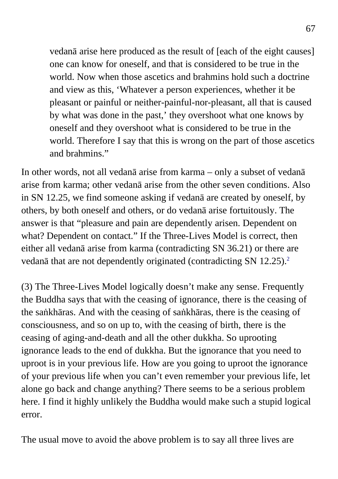vedanā arise here produced as the result of [each of the eight causes] one can know for oneself, and that is considered to be true in the world. Now when those ascetics and brahmins hold such a doctrine and view as this, 'Whatever a person experiences, whether it be pleasant or painful or neither-painful-nor-pleasant, all that is caused by what was done in the past,' they overshoot what one knows by oneself and they overshoot what is considered to be true in the world. Therefore I say that this is wrong on the part of those ascetics and brahmins."

In other words, not all vedanā arise from karma – only a subset of vedanā arise from karma; other vedanā arise from the other seven conditions. Also in SN 12.25, we find someone asking if vedanā are created by oneself, by others, by both oneself and others, or do vedanā arise fortuitously. The answer is that "pleasure and pain are dependently arisen. Dependent on what? Dependent on contact." If the Three-Lives Model is correct, then either all vedanā arise from karma (contradicting SN 36.21) or there are vedanā that are not dependently originated (contradicting SN 12.25).<sup>2</sup>

(3) The Three-Lives Model logically doesn't make any sense. Frequently the Buddha says that with the ceasing of ignorance, there is the ceasing of the saṅkhāras. And with the ceasing of saṅkhāras, there is the ceasing of consciousness, and so on up to, with the ceasing of birth, there is the ceasing of aging-and-death and all the other dukkha. So uprooting ignorance leads to the end of dukkha. But the ignorance that you need to uproot is in your previous life. How are you going to uproot the ignorance of your previous life when you can't even remember your previous life, let alone go back and change anything? There seems to be a serious problem here. I find it highly unlikely the Buddha would make such a stupid logical error.

The usual move to avoid the above problem is to say all three lives are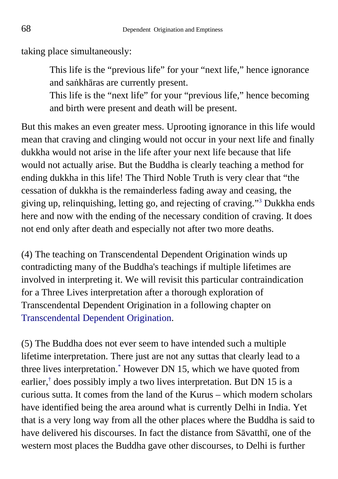taking place simultaneously:

This life is the "previous life" for your "next life," hence ignorance and saṅkhāras are currently present.

This life is the "next life" for your "previous life," hence becoming and birth were present and death will be present.

But this makes an even greater mess. Uprooting ignorance in this life would mean that craving and clinging would not occur in your next life and finally dukkha would not arise in the life after your next life because that life would not actually arise. But the Buddha is clearly teaching a method for ending dukkha in this life! The Third Noble Truth is very clear that "the cessation of dukkha is the remainderless fading away and ceasing, the giving up, relinquishing, letting go, and rejecting of craving."<sup>3</sup> Dukkha ends here and now with the ending of the necessary condition of craving. It does not end only after death and especially not after two more deaths.

(4) The teaching on Transcendental Dependent Origination winds up contradicting many of the Buddha's teachings if multiple lifetimes are involved in interpreting it. We will revisit this particular contraindication for a Three Lives interpretation after a thorough exploration of Transcendental Dependent Origination in a following chapter on Transcendental Dependent Origination.

(5) The Buddha does not ever seem to have intended such a multiple lifetime interpretation. There just are not any suttas that clearly lead to a three lives interpretation.\* However DN 15, which we have quoted from earlier,<sup>†</sup> does possibly imply a two lives interpretation. But DN 15 is a curious sutta. It comes from the land of the Kurus – which modern scholars have identified being the area around what is currently Delhi in India. Yet that is a very long way from all the other places where the Buddha is said to have delivered his discourses. In fact the distance from Sāvatthī, one of the western most places the Buddha gave other discourses, to Delhi is further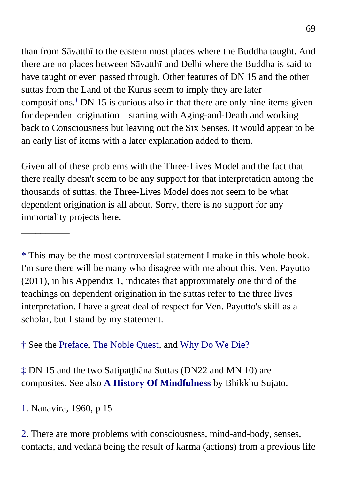than from Sāvatthī to the eastern most places where the Buddha taught. And there are no places between Sāvatthī and Delhi where the Buddha is said to have taught or even passed through. Other features of DN 15 and the other suttas from the Land of the Kurus seem to imply they are later compositions.‡ DN 15 is curious also in that there are only nine items given for dependent origination – starting with Aging-and-Death and working back to Consciousness but leaving out the Six Senses. It would appear to be an early list of items with a later explanation added to them.

Given all of these problems with the Three-Lives Model and the fact that there really doesn't seem to be any support for that interpretation among the thousands of suttas, the Three-Lives Model does not seem to be what dependent origination is all about. Sorry, there is no support for any immortality projects here.

\* This may be the most controversial statement I make in this whole book. I'm sure there will be many who disagree with me about this. Ven. Payutto (2011), in his Appendix 1, indicates that approximately one third of the teachings on dependent origination in the suttas refer to the three lives interpretation. I have a great deal of respect for Ven. Payutto's skill as a scholar, but I stand by my statement.

† See the Preface, The Noble Quest, and Why Do We Die?

 $\pm$  DN 15 and the two Satipatthāna Suttas (DN22 and MN 10) are composites. See also A History Of Mindfulness by Bhikkhu Sujato.

1. Nanavira, 1960, p 15

 $\overline{\phantom{a}}$ 

2. There are more problems with consciousness, mind-and-body, senses, contacts, and vedanā being the result of karma (actions) from a previous life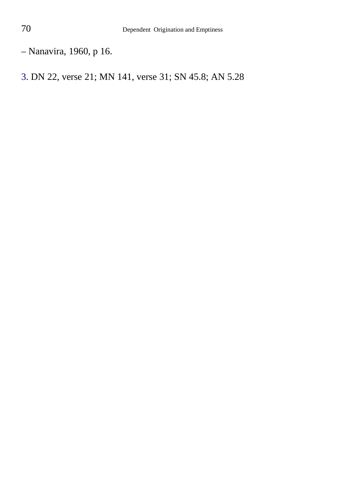– Nanavira, 1960, p 16.

#### 3. DN 22, verse 21; MN 141, verse 31; SN 45.8; AN 5.28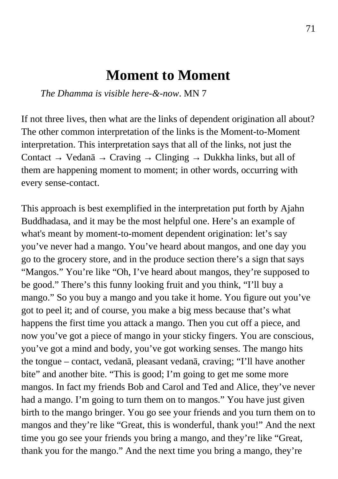#### Moment to Moment

The Dhamma is visible here-&-now. MN 7

If not three lives, then what are the links of dependent origination all about? The other common interpretation of the links is the Moment-to-Moment interpretation. This interpretation says that all of the links, not just the Contact → Vedanā → Craving → Clinging → Dukkha links, but all of them are happening moment to moment; in other words, occurring with every sense-contact.

This approach is best exemplified in the interpretation put forth by Ajahn Buddhadasa, and it may be the most helpful one. Here's an example of what's meant by moment-to-moment dependent origination: let's say you've never had a mango. You've heard about mangos, and one day you go to the grocery store, and in the produce section there's a sign that says "Mangos." You're like "Oh, I've heard about mangos, they're supposed to be good." There's this funny looking fruit and you think, "I'll buy a mango." So you buy a mango and you take it home. You figure out you've got to peel it; and of course, you make a big mess because that's what happens the first time you attack a mango. Then you cut off a piece, and now you've got a piece of mango in your sticky fingers. You are conscious, you've got a mind and body, you've got working senses. The mango hits the tongue – contact, vedanā, pleasant vedanā, craving; "I'll have another bite" and another bite. "This is good; I'm going to get me some more mangos. In fact my friends Bob and Carol and Ted and Alice, they've never had a mango. I'm going to turn them on to mangos." You have just given birth to the mango bringer. You go see your friends and you turn them on to mangos and they're like "Great, this is wonderful, thank you!" And the next time you go see your friends you bring a mango, and they're like "Great, thank you for the mango." And the next time you bring a mango, they're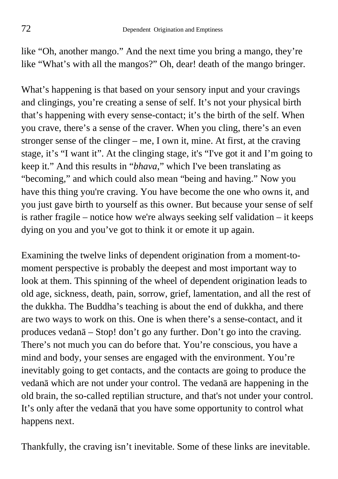like "Oh, another mango." And the next time you bring a mango, they're like "What's with all the mangos?" Oh, dear! death of the mango bringer.

What's happening is that based on your sensory input and your cravings and clingings, you're creating a sense of self. It's not your physical birth that's happening with every sense-contact; it's the birth of the self. When you crave, there's a sense of the craver. When you cling, there's an even stronger sense of the clinger – me, I own it, mine. At first, at the craving stage, it's "I want it". At the clinging stage, it's "I've got it and I'm going to keep it." And this results in "bhava," which I've been translating as "becoming," and which could also mean "being and having." Now you have this thing you're craving. You have become the one who owns it, and you just gave birth to yourself as this owner. But because your sense of self is rather fragile – notice how we're always seeking self validation – it keeps dying on you and you've got to think it or emote it up again.

Examining the twelve links of dependent origination from a moment-tomoment perspective is probably the deepest and most important way to look at them. This spinning of the wheel of dependent origination leads to old age, sickness, death, pain, sorrow, grief, lamentation, and all the rest of the dukkha. The Buddha's teaching is about the end of dukkha, and there are two ways to work on this. One is when there's a sense-contact, and it produces vedanā – Stop! don't go any further. Don't go into the craving. There's not much you can do before that. You're conscious, you have a mind and body, your senses are engaged with the environment. You're inevitably going to get contacts, and the contacts are going to produce the vedanā which are not under your control. The vedanā are happening in the old brain, the so-called reptilian structure, and that's not under your control. It's only after the vedanā that you have some opportunity to control what happens next.

Thankfully, the craving isn't inevitable. Some of these links are inevitable.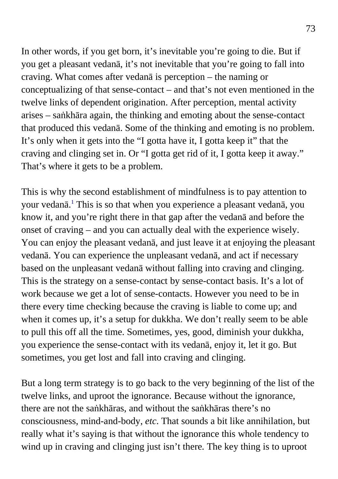In other words, if you get born, it's inevitable you're going to die. But if you get a pleasant vedanā, it's not inevitable that you're going to fall into craving. What comes after vedanā is perception – the naming or conceptualizing of that sense-contact – and that's not even mentioned in the twelve links of dependent origination. After perception, mental activity arises – saṅkhāra again, the thinking and emoting about the sense-contact that produced this vedanā. Some of the thinking and emoting is no problem. It's only when it gets into the "I gotta have it, I gotta keep it" that the craving and clinging set in. Or "I gotta get rid of it, I gotta keep it away." That's where it gets to be a problem.

This is why the second establishment of mindfulness is to pay attention to your vedanā.<sup>1</sup> This is so that when you experience a pleasant vedanā, you know it, and you're right there in that gap after the vedanā and before the onset of craving – and you can actually deal with the experience wisely. You can enjoy the pleasant vedanā, and just leave it at enjoying the pleasant vedanā. You can experience the unpleasant vedanā, and act if necessary based on the unpleasant vedanā without falling into craving and clinging. This is the strategy on a sense-contact by sense-contact basis. It's a lot of work because we get a lot of sense-contacts. However you need to be in there every time checking because the craving is liable to come up; and when it comes up, it's a setup for dukkha. We don't really seem to be able to pull this off all the time. Sometimes, yes, good, diminish your dukkha, you experience the sense-contact with its vedanā, enjoy it, let it go. But sometimes, you get lost and fall into craving and clinging.

But a long term strategy is to go back to the very beginning of the list of the twelve links, and uproot the ignorance. Because without the ignorance, there are not the saṅkhāras, and without the saṅkhāras there's no consciousness, mind-and-body, etc. That sounds a bit like annihilation, but really what it's saying is that without the ignorance this whole tendency to wind up in craving and clinging just isn't there. The key thing is to uproot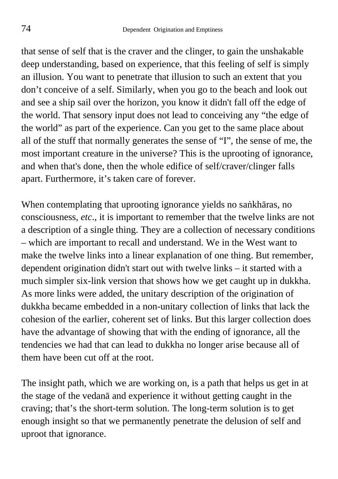that sense of self that is the craver and the clinger, to gain the unshakable deep understanding, based on experience, that this feeling of self is simply an illusion. You want to penetrate that illusion to such an extent that you don't conceive of a self. Similarly, when you go to the beach and look out and see a ship sail over the horizon, you know it didn't fall off the edge of the world. That sensory input does not lead to conceiving any "the edge of the world" as part of the experience. Can you get to the same place about all of the stuff that normally generates the sense of "I", the sense of me, the most important creature in the universe? This is the uprooting of ignorance, and when that's done, then the whole edifice of self/craver/clinger falls apart. Furthermore, it's taken care of forever.

When contemplating that uprooting ignorance yields no saṅkhāras, no consciousness, etc., it is important to remember that the twelve links are not a description of a single thing. They are a collection of necessary conditions – which are important to recall and understand. We in the West want to make the twelve links into a linear explanation of one thing. But remember, dependent origination didn't start out with twelve links – it started with a much simpler six-link version that shows how we get caught up in dukkha. As more links were added, the unitary description of the origination of dukkha became embedded in a non-unitary collection of links that lack the cohesion of the earlier, coherent set of links. But this larger collection does have the advantage of showing that with the ending of ignorance, all the tendencies we had that can lead to dukkha no longer arise because all of them have been cut off at the root.

The insight path, which we are working on, is a path that helps us get in at the stage of the vedanā and experience it without getting caught in the craving; that's the short-term solution. The long-term solution is to get enough insight so that we permanently penetrate the delusion of self and uproot that ignorance.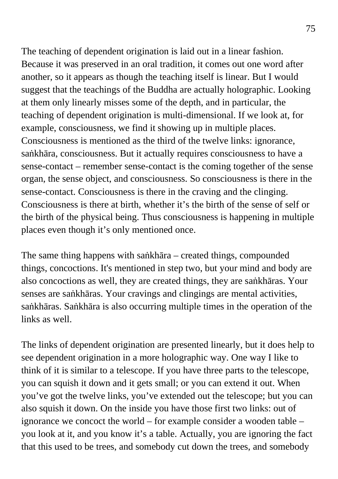The teaching of dependent origination is laid out in a linear fashion. Because it was preserved in an oral tradition, it comes out one word after another, so it appears as though the teaching itself is linear. But I would suggest that the teachings of the Buddha are actually holographic. Looking at them only linearly misses some of the depth, and in particular, the teaching of dependent origination is multi-dimensional. If we look at, for example, consciousness, we find it showing up in multiple places. Consciousness is mentioned as the third of the twelve links: ignorance, saṅkhāra, consciousness. But it actually requires consciousness to have a sense-contact – remember sense-contact is the coming together of the sense organ, the sense object, and consciousness. So consciousness is there in the sense-contact. Consciousness is there in the craving and the clinging. Consciousness is there at birth, whether it's the birth of the sense of self or the birth of the physical being. Thus consciousness is happening in multiple places even though it's only mentioned once.

The same thing happens with saṅkhāra – created things, compounded things, concoctions. It's mentioned in step two, but your mind and body are also concoctions as well, they are created things, they are saṅkhāras. Your senses are saṅkhāras. Your cravings and clingings are mental activities, saṅkhāras. Saṅkhāra is also occurring multiple times in the operation of the links as well.

The links of dependent origination are presented linearly, but it does help to see dependent origination in a more holographic way. One way I like to think of it is similar to a telescope. If you have three parts to the telescope, you can squish it down and it gets small; or you can extend it out. When you've got the twelve links, you've extended out the telescope; but you can also squish it down. On the inside you have those first two links: out of ignorance we concoct the world – for example consider a wooden table – you look at it, and you know it's a table. Actually, you are ignoring the fact that this used to be trees, and somebody cut down the trees, and somebody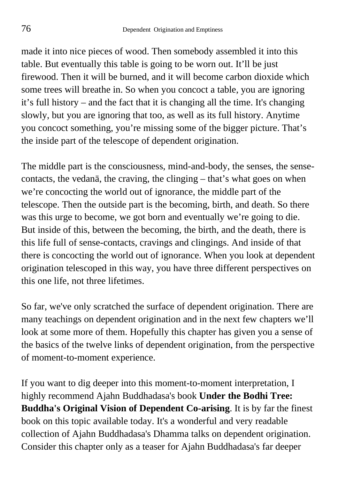made it into nice pieces of wood. Then somebody assembled it into this table. But eventually this table is going to be worn out. It'll be just firewood. Then it will be burned, and it will become carbon dioxide which some trees will breathe in. So when you concoct a table, you are ignoring it's full history – and the fact that it is changing all the time. It's changing slowly, but you are ignoring that too, as well as its full history. Anytime you concoct something, you're missing some of the bigger picture. That's the inside part of the telescope of dependent origination.

The middle part is the consciousness, mind-and-body, the senses, the sensecontacts, the vedanā, the craving, the clinging – that's what goes on when we're concocting the world out of ignorance, the middle part of the telescope. Then the outside part is the becoming, birth, and death. So there was this urge to become, we got born and eventually we're going to die. But inside of this, between the becoming, the birth, and the death, there is this life full of sense-contacts, cravings and clingings. And inside of that there is concocting the world out of ignorance. When you look at dependent origination telescoped in this way, you have three different perspectives on this one life, not three lifetimes.

So far, we've only scratched the surface of dependent origination. There are many teachings on dependent origination and in the next few chapters we'll look at some more of them. Hopefully this chapter has given you a sense of the basics of the twelve links of dependent origination, from the perspective of moment-to-moment experience.

If you want to dig deeper into this moment-to-moment interpretation, I highly recommend Ajahn Buddhadasa's book Under the Bodhi Tree: Buddha's Original Vision of Dependent Co-arising. It is by far the finest book on this topic available today. It's a wonderful and very readable collection of Ajahn Buddhadasa's Dhamma talks on dependent origination. Consider this chapter only as a teaser for Ajahn Buddhadasa's far deeper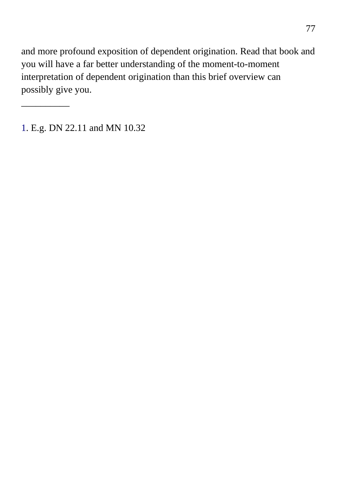and more profound exposition of dependent origination. Read that book and you will have a far better understanding of the moment-to-moment interpretation of dependent origination than this brief overview can possibly give you.

1. E.g. DN 22.11 and MN 10.32

 $\overline{\phantom{a}}$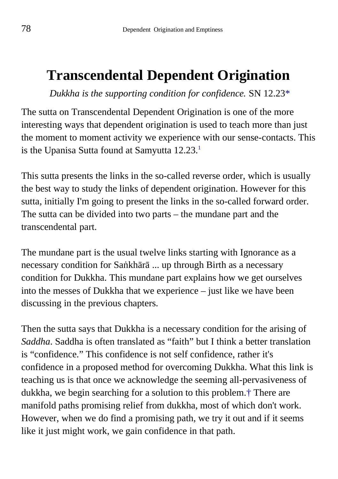# Transcendental Dependent Origination

Dukkha is the supporting condition for confidence. SN 12.23\*

The sutta on Transcendental Dependent Origination is one of the more interesting ways that dependent origination is used to teach more than just the moment to moment activity we experience with our sense-contacts. This is the Upanisa Sutta found at Samyutta  $12.23$ <sup>1</sup>

This sutta presents the links in the so-called reverse order, which is usually the best way to study the links of dependent origination. However for this sutta, initially I'm going to present the links in the so-called forward order. The sutta can be divided into two parts – the mundane part and the transcendental part.

The mundane part is the usual twelve links starting with Ignorance as a necessary condition for Saṅkhārā ... up through Birth as a necessary condition for Dukkha. This mundane part explains how we get ourselves into the messes of Dukkha that we experience – just like we have been discussing in the previous chapters.

Then the sutta says that Dukkha is a necessary condition for the arising of Saddha. Saddha is often translated as "faith" but I think a better translation is "confidence." This confidence is not self confidence, rather it's confidence in a proposed method for overcoming Dukkha. What this link is teaching us is that once we acknowledge the seeming all-pervasiveness of dukkha, we begin searching for a solution to this problem.† There are manifold paths promising relief from dukkha, most of which don't work. However, when we do find a promising path, we try it out and if it seems like it just might work, we gain confidence in that path.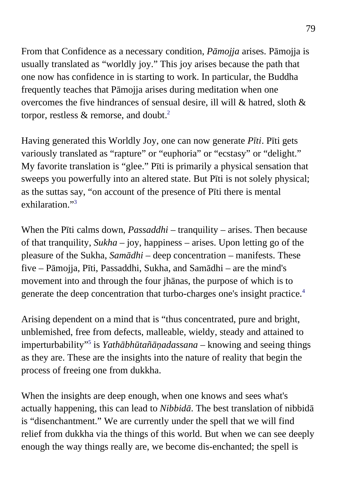From that Confidence as a necessary condition, Pāmojja arises. Pāmojja is usually translated as "worldly joy." This joy arises because the path that one now has confidence in is starting to work. In particular, the Buddha frequently teaches that Pāmojja arises during meditation when one overcomes the five hindrances of sensual desire, ill will & hatred, sloth & torpor, restless & remorse, and doubt.<sup>2</sup>

Having generated this Worldly Joy, one can now generate Pīti. Pīti gets variously translated as "rapture" or "euphoria" or "ecstasy" or "delight." My favorite translation is "glee." Pīti is primarily a physical sensation that sweeps you powerfully into an altered state. But Pīti is not solely physical; as the suttas say, "on account of the presence of Pīti there is mental exhilaration."<sup>3</sup>

When the Pīti calms down, *Passaddhi* – tranquility – arises. Then because of that tranquility, Sukha – joy, happiness – arises. Upon letting go of the pleasure of the Sukha, Samādhi – deep concentration – manifests. These five – Pāmojja, Pīti, Passaddhi, Sukha, and Samādhi – are the mind's movement into and through the four jhānas, the purpose of which is to generate the deep concentration that turbo-charges one's insight practice.<sup>4</sup>

Arising dependent on a mind that is "thus concentrated, pure and bright, unblemished, free from defects, malleable, wieldy, steady and attained to imperturbability"<sup>5</sup> is Yathābhūtañāṇadassana – knowing and seeing things as they are. These are the insights into the nature of reality that begin the process of freeing one from dukkha.

When the insights are deep enough, when one knows and sees what's actually happening, this can lead to Nibbidā. The best translation of nibbidā is "disenchantment." We are currently under the spell that we will find relief from dukkha via the things of this world. But when we can see deeply enough the way things really are, we become dis-enchanted; the spell is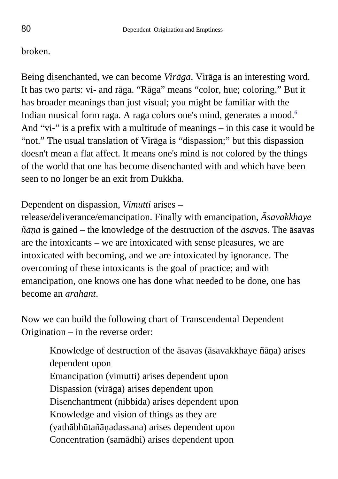#### broken.

Being disenchanted, we can become Virāga. Virāga is an interesting word. It has two parts: vi- and rāga. "Rāga" means "color, hue; coloring." But it has broader meanings than just visual; you might be familiar with the Indian musical form raga. A raga colors one's mind, generates a mood. $6\%$ And "vi-" is a prefix with a multitude of meanings – in this case it would be "not." The usual translation of Virāga is "dispassion;" but this dispassion doesn't mean a flat affect. It means one's mind is not colored by the things of the world that one has become disenchanted with and which have been seen to no longer be an exit from Dukkha.

#### Dependent on dispassion, Vimutti arises –

release/deliverance/emancipation. Finally with emancipation, Āsavakkhaye  $ñāna$  is gained – the knowledge of the destruction of the  $āsavas$ . The  $āsavas$ are the intoxicants – we are intoxicated with sense pleasures, we are intoxicated with becoming, and we are intoxicated by ignorance. The overcoming of these intoxicants is the goal of practice; and with emancipation, one knows one has done what needed to be done, one has become an arahant.

Now we can build the following chart of Transcendental Dependent Origination – in the reverse order:

> Knowledge of destruction of the āsavas (āsavakkhaye ñāṇa) arises dependent upon Emancipation (vimutti) arises dependent upon Dispassion (virāga) arises dependent upon Disenchantment (nibbida) arises dependent upon Knowledge and vision of things as they are (yathābhūtañāṇadassana) arises dependent upon Concentration (samādhi) arises dependent upon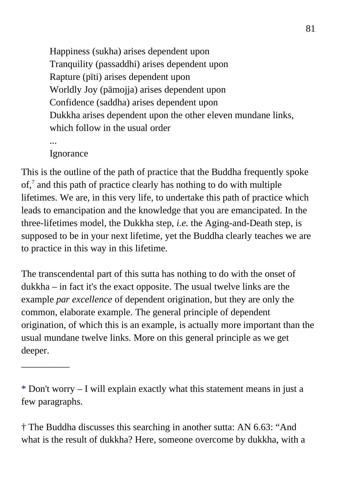Happiness (sukha) arises dependent upon Tranquility (passaddhi) arises dependent upon Rapture (pīti) arises dependent upon Worldly Joy (pāmojja) arises dependent upon Confidence (saddha) arises dependent upon Dukkha arises dependent upon the other eleven mundane links, which follow in the usual order ...

Ignorance

 $\overline{\phantom{a}}$ 

This is the outline of the path of practice that the Buddha frequently spoke  $of$ , $\sigma$  and this path of practice clearly has nothing to do with multiple lifetimes. We are, in this very life, to undertake this path of practice which leads to emancipation and the knowledge that you are emancipated. In the three-lifetimes model, the Dukkha step, i.e. the Aging-and-Death step, is supposed to be in your next lifetime, yet the Buddha clearly teaches we are to practice in this way in this lifetime.

The transcendental part of this sutta has nothing to do with the onset of dukkha – in fact it's the exact opposite. The usual twelve links are the example par excellence of dependent origination, but they are only the common, elaborate example. The general principle of dependent origination, of which this is an example, is actually more important than the usual mundane twelve links. More on this general principle as we get deeper.

† The Buddha discusses this searching in another sutta: AN 6.63: "And what is the result of dukkha? Here, someone overcome by dukkha, with a

<sup>\*</sup> Don't worry – I will explain exactly what this statement means in just a few paragraphs.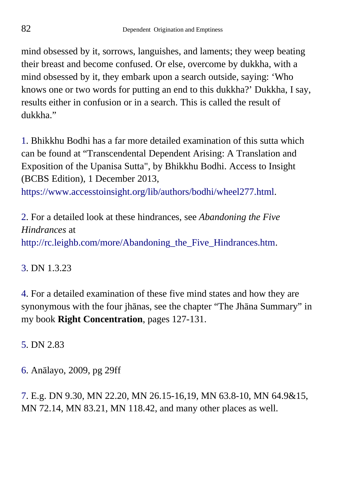mind obsessed by it, sorrows, languishes, and laments; they weep beating their breast and become confused. Or else, overcome by dukkha, with a mind obsessed by it, they embark upon a search outside, saying: 'Who knows one or two words for putting an end to this dukkha?' Dukkha, I say, results either in confusion or in a search. This is called the result of dukkha."

1. Bhikkhu Bodhi has a far more detailed examination of this sutta which can be found at "Transcendental Dependent Arising: A Translation and Exposition of the Upanisa Sutta", by Bhikkhu Bodhi. Access to Insight (BCBS Edition), 1 December 2013,

https://www.accesstoinsight.org/lib/authors/bodhi/wheel277.html.

2. For a detailed look at these hindrances, see Abandoning the Five Hindrances at http://rc.leighb.com/more/Abandoning the Five Hindrances.htm.

### 3. DN 1.3.23

4. For a detailed examination of these five mind states and how they are synonymous with the four jhānas, see the chapter "The Jhāna Summary" in my book Right Concentration, pages 127-131.

### 5. DN 2.83

6. Anālayo, 2009, pg 29ff

7. E.g. DN 9.30, MN 22.20, MN 26.15-16,19, MN 63.8-10, MN 64.9&15, MN 72.14, MN 83.21, MN 118.42, and many other places as well.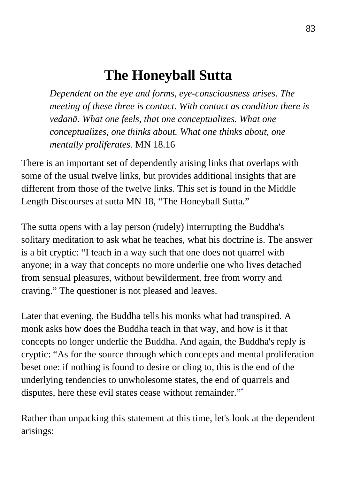## The Honeyball Sutta

Dependent on the eye and forms, eye-consciousness arises. The meeting of these three is contact. With contact as condition there is vedanā. What one feels, that one conceptualizes. What one conceptualizes, one thinks about. What one thinks about, one mentally proliferates. MN 18.16

There is an important set of dependently arising links that overlaps with some of the usual twelve links, but provides additional insights that are different from those of the twelve links. This set is found in the Middle Length Discourses at sutta MN 18, "The Honeyball Sutta."

The sutta opens with a lay person (rudely) interrupting the Buddha's solitary meditation to ask what he teaches, what his doctrine is. The answer is a bit cryptic: "I teach in a way such that one does not quarrel with anyone; in a way that concepts no more underlie one who lives detached from sensual pleasures, without bewilderment, free from worry and craving." The questioner is not pleased and leaves.

Later that evening, the Buddha tells his monks what had transpired. A monk asks how does the Buddha teach in that way, and how is it that concepts no longer underlie the Buddha. And again, the Buddha's reply is cryptic: "As for the source through which concepts and mental proliferation beset one: if nothing is found to desire or cling to, this is the end of the underlying tendencies to unwholesome states, the end of quarrels and disputes, here these evil states cease without remainder."\*

Rather than unpacking this statement at this time, let's look at the dependent arisings: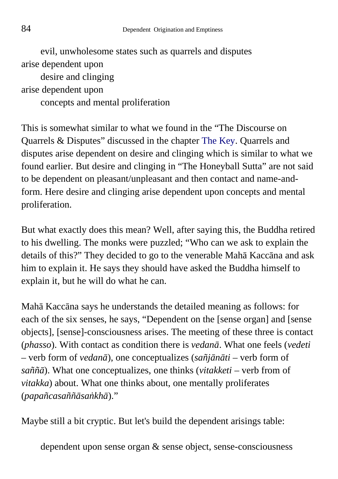evil, unwholesome states such as quarrels and disputes arise dependent upon desire and clinging arise dependent upon concepts and mental proliferation

This is somewhat similar to what we found in the "The Discourse on Quarrels & Disputes" discussed in the chapter The Key. Quarrels and disputes arise dependent on desire and clinging which is similar to what we found earlier. But desire and clinging in "The Honeyball Sutta" are not said to be dependent on pleasant/unpleasant and then contact and name-andform. Here desire and clinging arise dependent upon concepts and mental proliferation.

But what exactly does this mean? Well, after saying this, the Buddha retired to his dwelling. The monks were puzzled; "Who can we ask to explain the details of this?" They decided to go to the venerable Mahā Kaccāna and ask him to explain it. He says they should have asked the Buddha himself to explain it, but he will do what he can.

Mahā Kaccāna says he understands the detailed meaning as follows: for each of the six senses, he says, "Dependent on the [sense organ] and [sense objects], [sense]-consciousness arises. The meeting of these three is contact (phasso). With contact as condition there is vedanā. What one feels (vedeti – verb form of vedanā), one conceptualizes (sañjānāti – verb form of saññā). What one conceptualizes, one thinks (vitakketi – verb from of vitakka) about. What one thinks about, one mentally proliferates (papañcasaññāsaṅkhā)."

Maybe still a bit cryptic. But let's build the dependent arisings table:

dependent upon sense organ & sense object, sense-consciousness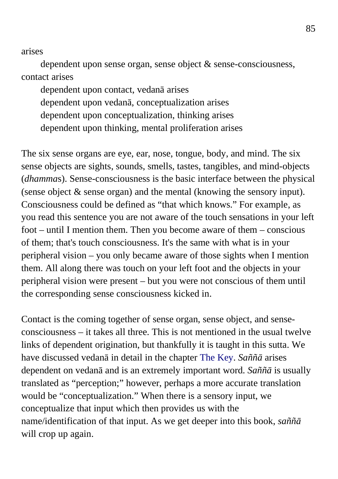#### arises

 dependent upon sense organ, sense object & sense-consciousness, contact arises

 dependent upon contact, vedanā arises dependent upon vedanā, conceptualization arises dependent upon conceptualization, thinking arises dependent upon thinking, mental proliferation arises

The six sense organs are eye, ear, nose, tongue, body, and mind. The six sense objects are sights, sounds, smells, tastes, tangibles, and mind-objects (dhammas). Sense-consciousness is the basic interface between the physical (sense object & sense organ) and the mental (knowing the sensory input). Consciousness could be defined as "that which knows." For example, as you read this sentence you are not aware of the touch sensations in your left foot – until I mention them. Then you become aware of them – conscious of them; that's touch consciousness. It's the same with what is in your peripheral vision – you only became aware of those sights when I mention them. All along there was touch on your left foot and the objects in your peripheral vision were present – but you were not conscious of them until the corresponding sense consciousness kicked in.

Contact is the coming together of sense organ, sense object, and senseconsciousness – it takes all three. This is not mentioned in the usual twelve links of dependent origination, but thankfully it is taught in this sutta. We have discussed vedanā in detail in the chapter The Key. Saññā arises dependent on vedanā and is an extremely important word. Saññā is usually translated as "perception;" however, perhaps a more accurate translation would be "conceptualization." When there is a sensory input, we conceptualize that input which then provides us with the name/identification of that input. As we get deeper into this book, saññā will crop up again.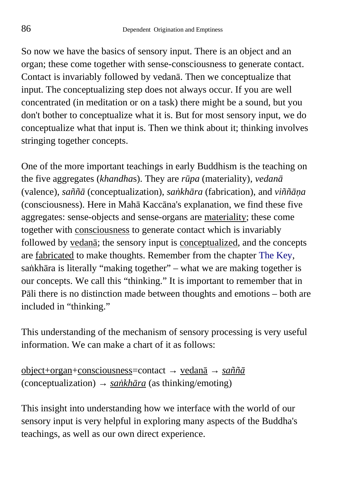So now we have the basics of sensory input. There is an object and an organ; these come together with sense-consciousness to generate contact. Contact is invariably followed by vedanā. Then we conceptualize that input. The conceptualizing step does not always occur. If you are well concentrated (in meditation or on a task) there might be a sound, but you don't bother to conceptualize what it is. But for most sensory input, we do conceptualize what that input is. Then we think about it; thinking involves stringing together concepts.

One of the more important teachings in early Buddhism is the teaching on the five aggregates (khandhas). They are rūpa (materiality), vedanā (valence), saññā (conceptualization), saṅkhāra (fabrication), and viññāṇa (consciousness). Here in Mahā Kaccāna's explanation, we find these five aggregates: sense-objects and sense-organs are materiality; these come together with consciousness to generate contact which is invariably followed by vedanā; the sensory input is conceptualized, and the concepts are fabricated to make thoughts. Remember from the chapter The Key, saṅkhāra is literally "making together" – what we are making together is our concepts. We call this "thinking." It is important to remember that in Pāli there is no distinction made between thoughts and emotions – both are included in "thinking."

This understanding of the mechanism of sensory processing is very useful information. We can make a chart of it as follows:

```
object+organ+consciousness=contact → vedanā → saññā
(conceptualization) \rightarrow <i>sa\n̄n</i>khāra (as thinking/emoting)
```
This insight into understanding how we interface with the world of our sensory input is very helpful in exploring many aspects of the Buddha's teachings, as well as our own direct experience.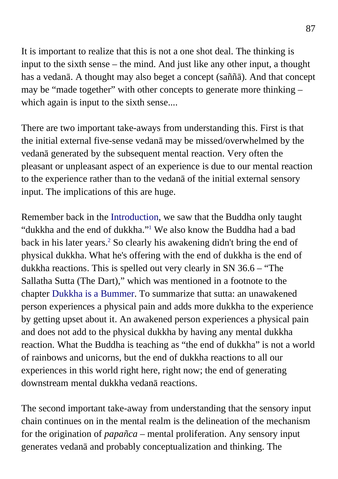It is important to realize that this is not a one shot deal. The thinking is input to the sixth sense – the mind. And just like any other input, a thought has a vedanā. A thought may also beget a concept (saññā). And that concept may be "made together" with other concepts to generate more thinking – which again is input to the sixth sense....

There are two important take-aways from understanding this. First is that the initial external five-sense vedanā may be missed/overwhelmed by the vedanā generated by the subsequent mental reaction. Very often the pleasant or unpleasant aspect of an experience is due to our mental reaction to the experience rather than to the vedanā of the initial external sensory input. The implications of this are huge.

Remember back in the Introduction, we saw that the Buddha only taught "dukkha and the end of dukkha."<sup>1</sup> We also know the Buddha had a bad back in his later years.<sup>2</sup> So clearly his awakening didn't bring the end of physical dukkha. What he's offering with the end of dukkha is the end of dukkha reactions. This is spelled out very clearly in SN 36.6 – "The Sallatha Sutta (The Dart)," which was mentioned in a footnote to the chapter Dukkha is a Bummer. To summarize that sutta: an unawakened person experiences a physical pain and adds more dukkha to the experience by getting upset about it. An awakened person experiences a physical pain and does not add to the physical dukkha by having any mental dukkha reaction. What the Buddha is teaching as "the end of dukkha" is not a world of rainbows and unicorns, but the end of dukkha reactions to all our experiences in this world right here, right now; the end of generating downstream mental dukkha vedanā reactions.

The second important take-away from understanding that the sensory input chain continues on in the mental realm is the delineation of the mechanism for the origination of papañca – mental proliferation. Any sensory input generates vedanā and probably conceptualization and thinking. The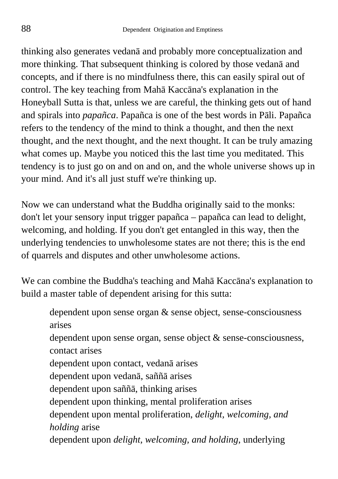thinking also generates vedanā and probably more conceptualization and more thinking. That subsequent thinking is colored by those vedanā and concepts, and if there is no mindfulness there, this can easily spiral out of control. The key teaching from Mahā Kaccāna's explanation in the Honeyball Sutta is that, unless we are careful, the thinking gets out of hand and spirals into papañca. Papañca is one of the best words in Pāli. Papañca refers to the tendency of the mind to think a thought, and then the next thought, and the next thought, and the next thought. It can be truly amazing what comes up. Maybe you noticed this the last time you meditated. This tendency is to just go on and on and on, and the whole universe shows up in your mind. And it's all just stuff we're thinking up.

Now we can understand what the Buddha originally said to the monks: don't let your sensory input trigger papañca – papañca can lead to delight, welcoming, and holding. If you don't get entangled in this way, then the underlying tendencies to unwholesome states are not there; this is the end of quarrels and disputes and other unwholesome actions.

We can combine the Buddha's teaching and Mahā Kaccāna's explanation to build a master table of dependent arising for this sutta:

dependent upon sense organ & sense object, sense-consciousness arises dependent upon sense organ, sense object & sense-consciousness, contact arises dependent upon contact, vedanā arises dependent upon vedanā, saññā arises dependent upon saññā, thinking arises dependent upon thinking, mental proliferation arises dependent upon mental proliferation, delight, welcoming, and holding arise dependent upon delight, welcoming, and holding, underlying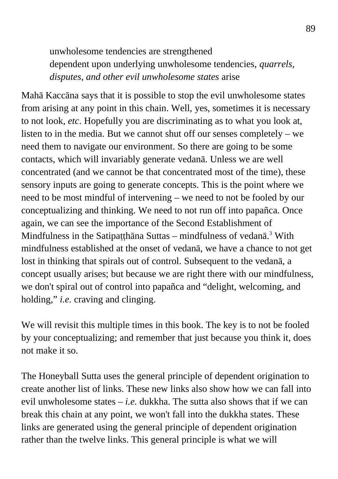unwholesome tendencies are strengthened dependent upon underlying unwholesome tendencies, quarrels, disputes, and other evil unwholesome states arise

Mahā Kaccāna says that it is possible to stop the evil unwholesome states from arising at any point in this chain. Well, yes, sometimes it is necessary to not look, etc. Hopefully you are discriminating as to what you look at, listen to in the media. But we cannot shut off our senses completely – we need them to navigate our environment. So there are going to be some contacts, which will invariably generate vedanā. Unless we are well concentrated (and we cannot be that concentrated most of the time), these sensory inputs are going to generate concepts. This is the point where we need to be most mindful of intervening – we need to not be fooled by our conceptualizing and thinking. We need to not run off into papañca. Once again, we can see the importance of the Second Establishment of Mindfulness in the Satipaṭṭhāna Suttas – mindfulness of vedanā.<sup>3</sup> With mindfulness established at the onset of vedanā, we have a chance to not get lost in thinking that spirals out of control. Subsequent to the vedanā, a concept usually arises; but because we are right there with our mindfulness, we don't spiral out of control into papañca and "delight, welcoming, and holding," *i.e.* craving and clinging.

We will revisit this multiple times in this book. The key is to not be fooled by your conceptualizing; and remember that just because you think it, does not make it so.

The Honeyball Sutta uses the general principle of dependent origination to create another list of links. These new links also show how we can fall into evil unwholesome states  $-i.e.$  dukkha. The sutta also shows that if we can break this chain at any point, we won't fall into the dukkha states. These links are generated using the general principle of dependent origination rather than the twelve links. This general principle is what we will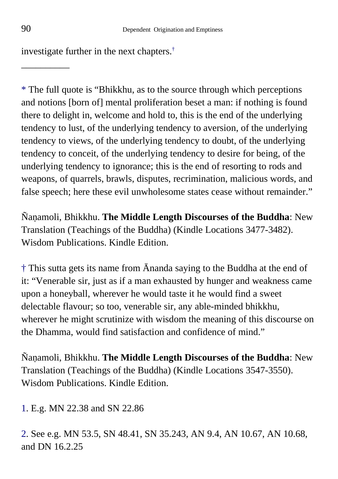investigate further in the next chapters.†

\* The full quote is "Bhikkhu, as to the source through which perceptions and notions [born of] mental proliferation beset a man: if nothing is found there to delight in, welcome and hold to, this is the end of the underlying tendency to lust, of the underlying tendency to aversion, of the underlying tendency to views, of the underlying tendency to doubt, of the underlying tendency to conceit, of the underlying tendency to desire for being, of the underlying tendency to ignorance; this is the end of resorting to rods and weapons, of quarrels, brawls, disputes, recrimination, malicious words, and false speech; here these evil unwholesome states cease without remainder."

Ñaṇamoli, Bhikkhu. The Middle Length Discourses of the Buddha: New Translation (Teachings of the Buddha) (Kindle Locations 3477-3482). Wisdom Publications. Kindle Edition.

† This sutta gets its name from Ānanda saying to the Buddha at the end of it: "Venerable sir, just as if a man exhausted by hunger and weakness came upon a honeyball, wherever he would taste it he would find a sweet delectable flavour; so too, venerable sir, any able-minded bhikkhu, wherever he might scrutinize with wisdom the meaning of this discourse on the Dhamma, would find satisfaction and confidence of mind."

Ñanamoli, Bhikkhu. The Middle Length Discourses of the Buddha: New Translation (Teachings of the Buddha) (Kindle Locations 3547-3550). Wisdom Publications. Kindle Edition.

1. E.g. MN 22.38 and SN 22.86

2. See e.g. MN 53.5, SN 48.41, SN 35.243, AN 9.4, AN 10.67, AN 10.68, and DN 16.2.25

 $\overline{\phantom{a}}$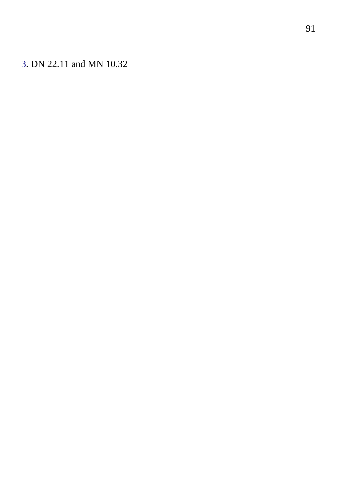3. DN 22.11 and MN 10.32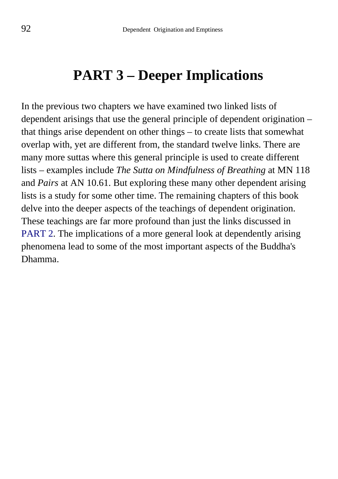## PART 3 – Deeper Implications

In the previous two chapters we have examined two linked lists of dependent arisings that use the general principle of dependent origination – that things arise dependent on other things – to create lists that somewhat overlap with, yet are different from, the standard twelve links. There are many more suttas where this general principle is used to create different lists – examples include The Sutta on Mindfulness of Breathing at MN 118 and Pairs at AN 10.61. But exploring these many other dependent arising lists is a study for some other time. The remaining chapters of this book delve into the deeper aspects of the teachings of dependent origination. These teachings are far more profound than just the links discussed in PART 2. The implications of a more general look at dependently arising phenomena lead to some of the most important aspects of the Buddha's Dhamma.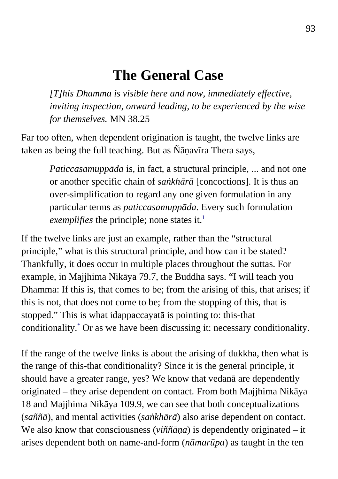## The General Case

[T]his Dhamma is visible here and now, immediately effective, inviting inspection, onward leading, to be experienced by the wise for themselves. MN 38.25

Far too often, when dependent origination is taught, the twelve links are taken as being the full teaching. But as Ñāṇavīra Thera says,

> Paticcasamuppāda is, in fact, a structural principle, ... and not one or another specific chain of saṅkhārā [concoctions]. It is thus an over-simplification to regard any one given formulation in any particular terms as paticcasamuppāda. Every such formulation exemplifies the principle; none states it. $<sup>1</sup>$ </sup>

If the twelve links are just an example, rather than the "structural principle," what is this structural principle, and how can it be stated? Thankfully, it does occur in multiple places throughout the suttas. For example, in Majjhima Nikāya 79.7, the Buddha says. "I will teach you Dhamma: If this is, that comes to be; from the arising of this, that arises; if this is not, that does not come to be; from the stopping of this, that is stopped." This is what idappaccayatā is pointing to: this-that conditionality.\* Or as we have been discussing it: necessary conditionality.

If the range of the twelve links is about the arising of dukkha, then what is the range of this-that conditionality? Since it is the general principle, it should have a greater range, yes? We know that vedanā are dependently originated – they arise dependent on contact. From both Majjhima Nikāya 18 and Majjhima Nikāya 109.9, we can see that both conceptualizations (saññā), and mental activities (saṅkhārā) also arise dependent on contact. We also know that consciousness ( $viññāņa$ ) is dependently originated – it arises dependent both on name-and-form (nāmarūpa) as taught in the ten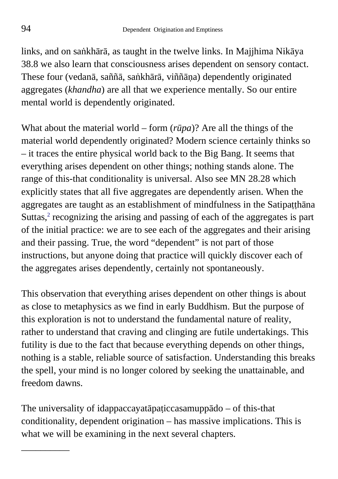links, and on saṅkhārā, as taught in the twelve links. In Majjhima Nikāya 38.8 we also learn that consciousness arises dependent on sensory contact. These four (vedanā, saññā, saṅkhārā, viññāṇa) dependently originated aggregates (khandha) are all that we experience mentally. So our entire mental world is dependently originated.

What about the material world – form  $(r\bar{u}pa)$ ? Are all the things of the material world dependently originated? Modern science certainly thinks so – it traces the entire physical world back to the Big Bang. It seems that everything arises dependent on other things; nothing stands alone. The range of this-that conditionality is universal. Also see MN 28.28 which explicitly states that all five aggregates are dependently arisen. When the aggregates are taught as an establishment of mindfulness in the Satipaṭṭhāna Suttas, $2$  recognizing the arising and passing of each of the aggregates is part of the initial practice: we are to see each of the aggregates and their arising and their passing. True, the word "dependent" is not part of those instructions, but anyone doing that practice will quickly discover each of the aggregates arises dependently, certainly not spontaneously.

This observation that everything arises dependent on other things is about as close to metaphysics as we find in early Buddhism. But the purpose of this exploration is not to understand the fundamental nature of reality, rather to understand that craving and clinging are futile undertakings. This futility is due to the fact that because everything depends on other things, nothing is a stable, reliable source of satisfaction. Understanding this breaks the spell, your mind is no longer colored by seeking the unattainable, and freedom dawns.

The universality of idappaccayatāpaṭiccasamuppādo – of this-that conditionality, dependent origination – has massive implications. This is what we will be examining in the next several chapters.

 $\overline{\phantom{a}}$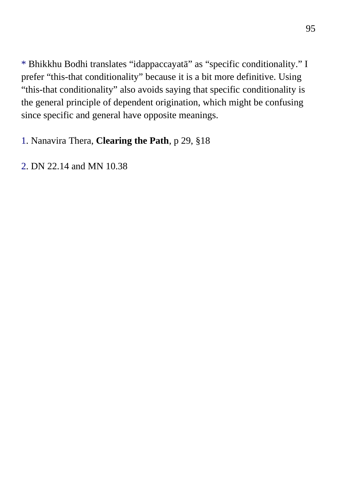\* Bhikkhu Bodhi translates "idappaccayatā" as "specific conditionality." I prefer "this-that conditionality" because it is a bit more definitive. Using "this-that conditionality" also avoids saying that specific conditionality is the general principle of dependent origination, which might be confusing since specific and general have opposite meanings.

1. Nanavira Thera, Clearing the Path, p 29, §18

2. DN 22.14 and MN 10.38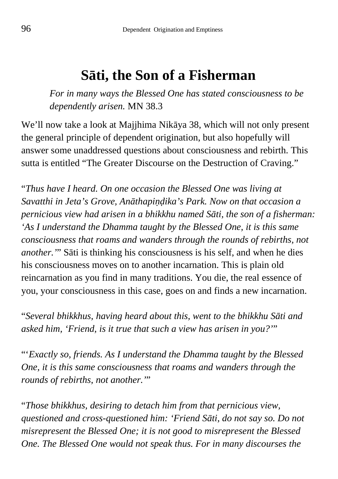# Sāti, the Son of a Fisherman

For in many ways the Blessed One has stated consciousness to be dependently arisen. MN 38.3

We'll now take a look at Majjhima Nikāya 38, which will not only present the general principle of dependent origination, but also hopefully will answer some unaddressed questions about consciousness and rebirth. This sutta is entitled "The Greater Discourse on the Destruction of Craving."

"Thus have I heard. On one occasion the Blessed One was living at Savatthi in Jeta's Grove, Anāthapindika's Park. Now on that occasion a pernicious view had arisen in a bhikkhu named Sāti, the son of a fisherman: 'As I understand the Dhamma taught by the Blessed One, it is this same consciousness that roams and wanders through the rounds of rebirths, not another.'" Sāti is thinking his consciousness is his self, and when he dies his consciousness moves on to another incarnation. This is plain old reincarnation as you find in many traditions. You die, the real essence of you, your consciousness in this case, goes on and finds a new incarnation.

"Several bhikkhus, having heard about this, went to the bhikkhu Sāti and asked him, 'Friend, is it true that such a view has arisen in you?'"

"'Exactly so, friends. As I understand the Dhamma taught by the Blessed One, it is this same consciousness that roams and wanders through the rounds of rebirths, not another.'"

"Those bhikkhus, desiring to detach him from that pernicious view, questioned and cross-questioned him: 'Friend Sāti, do not say so. Do not misrepresent the Blessed One; it is not good to misrepresent the Blessed One. The Blessed One would not speak thus. For in many discourses the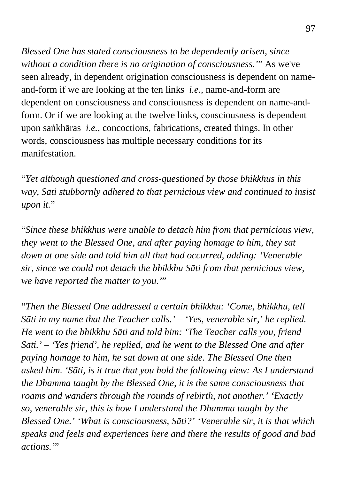Blessed One has stated consciousness to be dependently arisen, since without a condition there is no origination of consciousness." As we've seen already, in dependent origination consciousness is dependent on nameand-form if we are looking at the ten links i.e., name-and-form are dependent on consciousness and consciousness is dependent on name-andform. Or if we are looking at the twelve links, consciousness is dependent upon saṅkhāras i.e., concoctions, fabrications, created things. In other words, consciousness has multiple necessary conditions for its manifestation.

"Yet although questioned and cross-questioned by those bhikkhus in this way, Sāti stubbornly adhered to that pernicious view and continued to insist upon it."

"Since these bhikkhus were unable to detach him from that pernicious view, they went to the Blessed One, and after paying homage to him, they sat down at one side and told him all that had occurred, adding: 'Venerable sir, since we could not detach the bhikkhu Sāti from that pernicious view, we have reported the matter to you.'"

"Then the Blessed One addressed a certain bhikkhu: 'Come, bhikkhu, tell Sāti in my name that the Teacher calls.' – 'Yes, venerable sir,' he replied. He went to the bhikkhu Sāti and told him: 'The Teacher calls you, friend Sāti.' – 'Yes friend', he replied, and he went to the Blessed One and after paying homage to him, he sat down at one side. The Blessed One then asked him. 'Sāti, is it true that you hold the following view: As I understand the Dhamma taught by the Blessed One, it is the same consciousness that roams and wanders through the rounds of rebirth, not another.' 'Exactly so, venerable sir, this is how I understand the Dhamma taught by the Blessed One.' 'What is consciousness, Sāti?' 'Venerable sir, it is that which speaks and feels and experiences here and there the results of good and bad actions.'"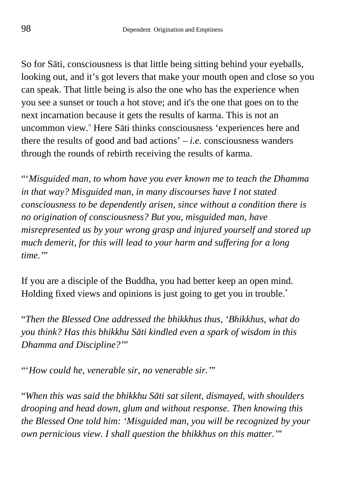So for Sāti, consciousness is that little being sitting behind your eyeballs, looking out, and it's got levers that make your mouth open and close so you can speak. That little being is also the one who has the experience when you see a sunset or touch a hot stove; and it's the one that goes on to the next incarnation because it gets the results of karma. This is not an uncommon view.<sup>"</sup> Here Sāti thinks consciousness 'experiences here and there the results of good and bad actions'  $-i.e.$  consciousness wanders through the rounds of rebirth receiving the results of karma.

"'Misguided man, to whom have you ever known me to teach the Dhamma in that way? Misguided man, in many discourses have I not stated consciousness to be dependently arisen, since without a condition there is no origination of consciousness? But you, misguided man, have misrepresented us by your wrong grasp and injured yourself and stored up much demerit, for this will lead to your harm and suffering for a long time.'"

If you are a disciple of the Buddha, you had better keep an open mind. Holding fixed views and opinions is just going to get you in trouble.<sup>\*</sup>

"Then the Blessed One addressed the bhikkhus thus, 'Bhikkhus, what do you think? Has this bhikkhu Sāti kindled even a spark of wisdom in this Dhamma and Discipline?'"

"'How could he, venerable sir, no venerable sir.'"

"When this was said the bhikkhu Sāti sat silent, dismayed, with shoulders drooping and head down, glum and without response. Then knowing this the Blessed One told him: 'Misguided man, you will be recognized by your own pernicious view. I shall question the bhikkhus on this matter.'"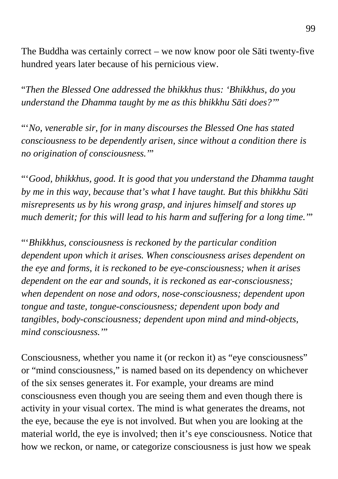The Buddha was certainly correct – we now know poor ole Sāti twenty-five hundred years later because of his pernicious view.

"Then the Blessed One addressed the bhikkhus thus: 'Bhikkhus, do you understand the Dhamma taught by me as this bhikkhu Sāti does?'"

"'No, venerable sir, for in many discourses the Blessed One has stated consciousness to be dependently arisen, since without a condition there is no origination of consciousness.'"

"'Good, bhikkhus, good. It is good that you understand the Dhamma taught by me in this way, because that's what I have taught. But this bhikkhu Sāti misrepresents us by his wrong grasp, and injures himself and stores up much demerit; for this will lead to his harm and suffering for a long time.'"

"'Bhikkhus, consciousness is reckoned by the particular condition dependent upon which it arises. When consciousness arises dependent on the eye and forms, it is reckoned to be eye-consciousness; when it arises dependent on the ear and sounds, it is reckoned as ear-consciousness; when dependent on nose and odors, nose-consciousness; dependent upon tongue and taste, tongue-consciousness; dependent upon body and tangibles, body-consciousness; dependent upon mind and mind-objects, mind consciousness.""

Consciousness, whether you name it (or reckon it) as "eye consciousness" or "mind consciousness," is named based on its dependency on whichever of the six senses generates it. For example, your dreams are mind consciousness even though you are seeing them and even though there is activity in your visual cortex. The mind is what generates the dreams, not the eye, because the eye is not involved. But when you are looking at the material world, the eye is involved; then it's eye consciousness. Notice that how we reckon, or name, or categorize consciousness is just how we speak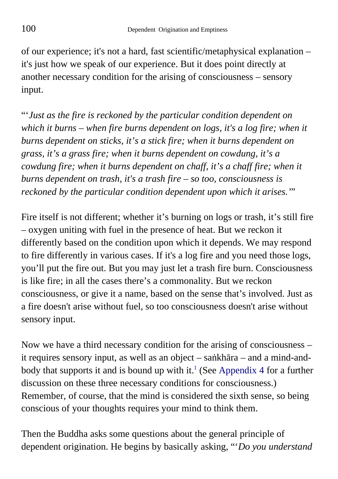of our experience; it's not a hard, fast scientific/metaphysical explanation – it's just how we speak of our experience. But it does point directly at another necessary condition for the arising of consciousness – sensory input.

"'Just as the fire is reckoned by the particular condition dependent on which it burns – when fire burns dependent on logs, it's a log fire; when it burns dependent on sticks, it's a stick fire; when it burns dependent on grass, it's a grass fire; when it burns dependent on cowdung, it's a cowdung fire; when it burns dependent on chaff, it's a chaff fire; when it burns dependent on trash, it's a trash fire – so too, consciousness is reckoned by the particular condition dependent upon which it arises.'"

Fire itself is not different; whether it's burning on logs or trash, it's still fire – oxygen uniting with fuel in the presence of heat. But we reckon it differently based on the condition upon which it depends. We may respond to fire differently in various cases. If it's a log fire and you need those logs, you'll put the fire out. But you may just let a trash fire burn. Consciousness is like fire; in all the cases there's a commonality. But we reckon consciousness, or give it a name, based on the sense that's involved. Just as a fire doesn't arise without fuel, so too consciousness doesn't arise without sensory input.

Now we have a third necessary condition for the arising of consciousness – it requires sensory input, as well as an object – saṅkhāra – and a mind-andbody that supports it and is bound up with it.<sup>1</sup> (See Appendix 4 for a further discussion on these three necessary conditions for consciousness.) Remember, of course, that the mind is considered the sixth sense, so being conscious of your thoughts requires your mind to think them.

Then the Buddha asks some questions about the general principle of dependent origination. He begins by basically asking, "'Do you understand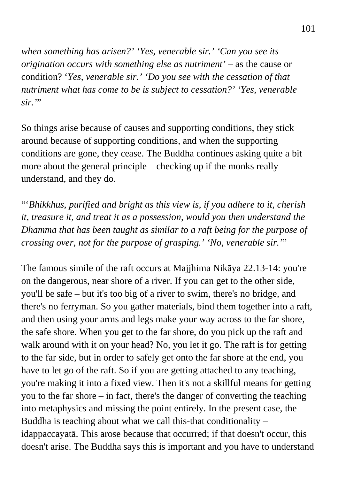when something has arisen?' 'Yes, venerable sir.' 'Can you see its origination occurs with something else as nutriment' – as the cause or condition? 'Yes, venerable sir.' 'Do you see with the cessation of that nutriment what has come to be is subject to cessation?' 'Yes, venerable sir.'"

So things arise because of causes and supporting conditions, they stick around because of supporting conditions, and when the supporting conditions are gone, they cease. The Buddha continues asking quite a bit more about the general principle – checking up if the monks really understand, and they do.

"'Bhikkhus, purified and bright as this view is, if you adhere to it, cherish it, treasure it, and treat it as a possession, would you then understand the Dhamma that has been taught as similar to a raft being for the purpose of crossing over, not for the purpose of grasping.' 'No, venerable sir.'"

The famous simile of the raft occurs at Majjhima Nikāya 22.13-14: you're on the dangerous, near shore of a river. If you can get to the other side, you'll be safe – but it's too big of a river to swim, there's no bridge, and there's no ferryman. So you gather materials, bind them together into a raft, and then using your arms and legs make your way across to the far shore, the safe shore. When you get to the far shore, do you pick up the raft and walk around with it on your head? No, you let it go. The raft is for getting to the far side, but in order to safely get onto the far shore at the end, you have to let go of the raft. So if you are getting attached to any teaching, you're making it into a fixed view. Then it's not a skillful means for getting you to the far shore – in fact, there's the danger of converting the teaching into metaphysics and missing the point entirely. In the present case, the Buddha is teaching about what we call this-that conditionality – idappaccayatā. This arose because that occurred; if that doesn't occur, this doesn't arise. The Buddha says this is important and you have to understand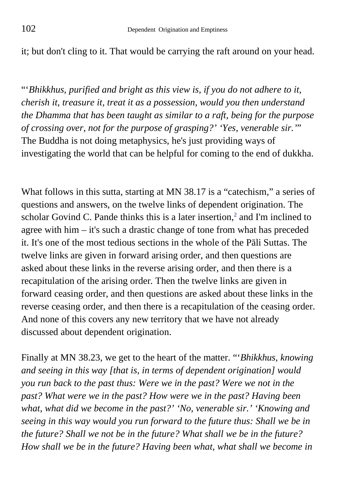it; but don't cling to it. That would be carrying the raft around on your head.

"'Bhikkhus, purified and bright as this view is, if you do not adhere to it, cherish it, treasure it, treat it as a possession, would you then understand the Dhamma that has been taught as similar to a raft, being for the purpose of crossing over, not for the purpose of grasping?' 'Yes, venerable sir.'" The Buddha is not doing metaphysics, he's just providing ways of investigating the world that can be helpful for coming to the end of dukkha.

What follows in this sutta, starting at MN 38.17 is a "catechism," a series of questions and answers, on the twelve links of dependent origination. The scholar Govind C. Pande thinks this is a later insertion,<sup>2</sup> and I'm inclined to agree with him – it's such a drastic change of tone from what has preceded it. It's one of the most tedious sections in the whole of the Pāli Suttas. The twelve links are given in forward arising order, and then questions are asked about these links in the reverse arising order, and then there is a recapitulation of the arising order. Then the twelve links are given in forward ceasing order, and then questions are asked about these links in the reverse ceasing order, and then there is a recapitulation of the ceasing order. And none of this covers any new territory that we have not already discussed about dependent origination.

Finally at MN 38.23, we get to the heart of the matter. "'Bhikkhus, knowing and seeing in this way [that is, in terms of dependent origination] would you run back to the past thus: Were we in the past? Were we not in the past? What were we in the past? How were we in the past? Having been what, what did we become in the past?' 'No, venerable sir.' 'Knowing and seeing in this way would you run forward to the future thus: Shall we be in the future? Shall we not be in the future? What shall we be in the future? How shall we be in the future? Having been what, what shall we become in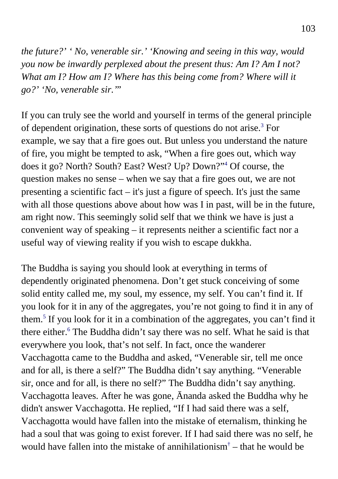the future?' ' No, venerable sir.' 'Knowing and seeing in this way, would you now be inwardly perplexed about the present thus: Am I? Am I not? What am I? How am I? Where has this being come from? Where will it go?' 'No, venerable sir.'"

If you can truly see the world and yourself in terms of the general principle of dependent origination, these sorts of questions do not arise.<sup>3</sup> For example, we say that a fire goes out. But unless you understand the nature of fire, you might be tempted to ask, "When a fire goes out, which way does it go? North? South? East? West? Up? Down?"<sup>4</sup> Of course, the question makes no sense – when we say that a fire goes out, we are not presenting a scientific fact  $-$  it's just a figure of speech. It's just the same with all those questions above about how was I in past, will be in the future, am right now. This seemingly solid self that we think we have is just a convenient way of speaking – it represents neither a scientific fact nor a useful way of viewing reality if you wish to escape dukkha.

The Buddha is saying you should look at everything in terms of dependently originated phenomena. Don't get stuck conceiving of some solid entity called me, my soul, my essence, my self. You can't find it. If you look for it in any of the aggregates, you're not going to find it in any of them.<sup>5</sup> If you look for it in a combination of the aggregates, you can't find it there either.<sup>6</sup> The Buddha didn't say there was no self. What he said is that everywhere you look, that's not self. In fact, once the wanderer Vacchagotta came to the Buddha and asked, "Venerable sir, tell me once and for all, is there a self?" The Buddha didn't say anything. "Venerable sir, once and for all, is there no self?" The Buddha didn't say anything. Vacchagotta leaves. After he was gone, Ānanda asked the Buddha why he didn't answer Vacchagotta. He replied, "If I had said there was a self, Vacchagotta would have fallen into the mistake of eternalism, thinking he had a soul that was going to exist forever. If I had said there was no self, he would have fallen into the mistake of annihilationism<sup>†</sup> – that he would be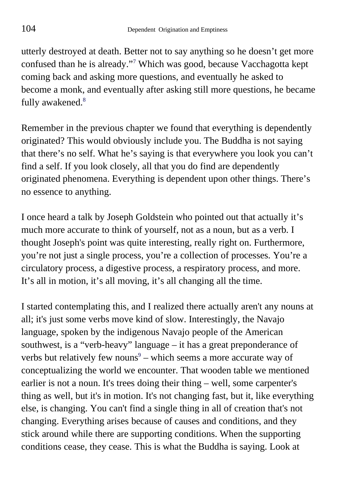utterly destroyed at death. Better not to say anything so he doesn't get more confused than he is already."<sup>7</sup> Which was good, because Vacchagotta kept coming back and asking more questions, and eventually he asked to become a monk, and eventually after asking still more questions, he became fully awakened. $8$ 

Remember in the previous chapter we found that everything is dependently originated? This would obviously include you. The Buddha is not saying that there's no self. What he's saying is that everywhere you look you can't find a self. If you look closely, all that you do find are dependently originated phenomena. Everything is dependent upon other things. There's no essence to anything.

I once heard a talk by Joseph Goldstein who pointed out that actually it's much more accurate to think of yourself, not as a noun, but as a verb. I thought Joseph's point was quite interesting, really right on. Furthermore, you're not just a single process, you're a collection of processes. You're a circulatory process, a digestive process, a respiratory process, and more. It's all in motion, it's all moving, it's all changing all the time.

I started contemplating this, and I realized there actually aren't any nouns at all; it's just some verbs move kind of slow. Interestingly, the Navajo language, spoken by the indigenous Navajo people of the American southwest, is a "verb-heavy" language – it has a great preponderance of verbs but relatively few nouns<sup>9</sup> – which seems a more accurate way of conceptualizing the world we encounter. That wooden table we mentioned earlier is not a noun. It's trees doing their thing – well, some carpenter's thing as well, but it's in motion. It's not changing fast, but it, like everything else, is changing. You can't find a single thing in all of creation that's not changing. Everything arises because of causes and conditions, and they stick around while there are supporting conditions. When the supporting conditions cease, they cease. This is what the Buddha is saying. Look at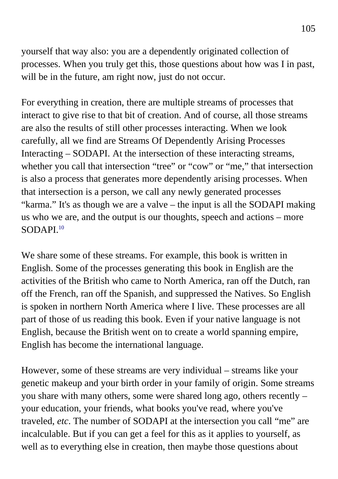yourself that way also: you are a dependently originated collection of processes. When you truly get this, those questions about how was I in past, will be in the future, am right now, just do not occur.

For everything in creation, there are multiple streams of processes that interact to give rise to that bit of creation. And of course, all those streams are also the results of still other processes interacting. When we look carefully, all we find are Streams Of Dependently Arising Processes Interacting – SODAPI. At the intersection of these interacting streams, whether you call that intersection "tree" or "cow" or "me," that intersection is also a process that generates more dependently arising processes. When that intersection is a person, we call any newly generated processes "karma." It's as though we are a valve – the input is all the SODAPI making us who we are, and the output is our thoughts, speech and actions – more  $SODAPI<sup>10</sup>$ 

We share some of these streams. For example, this book is written in English. Some of the processes generating this book in English are the activities of the British who came to North America, ran off the Dutch, ran off the French, ran off the Spanish, and suppressed the Natives. So English is spoken in northern North America where I live. These processes are all part of those of us reading this book. Even if your native language is not English, because the British went on to create a world spanning empire, English has become the international language.

However, some of these streams are very individual – streams like your genetic makeup and your birth order in your family of origin. Some streams you share with many others, some were shared long ago, others recently – your education, your friends, what books you've read, where you've traveled, etc. The number of SODAPI at the intersection you call "me" are incalculable. But if you can get a feel for this as it applies to yourself, as well as to everything else in creation, then maybe those questions about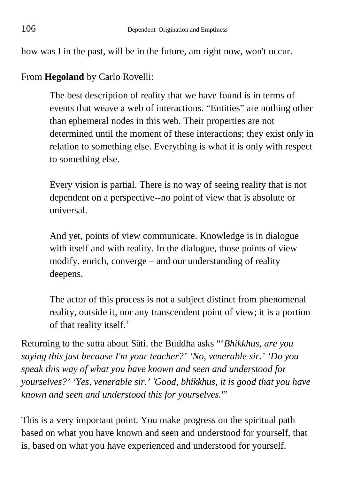how was I in the past, will be in the future, am right now, won't occur.

From Hegoland by Carlo Rovelli:

The best description of reality that we have found is in terms of events that weave a web of interactions. "Entities" are nothing other than ephemeral nodes in this web. Their properties are not determined until the moment of these interactions; they exist only in relation to something else. Everything is what it is only with respect to something else.

Every vision is partial. There is no way of seeing reality that is not dependent on a perspective--no point of view that is absolute or universal.

And yet, points of view communicate. Knowledge is in dialogue with itself and with reality. In the dialogue, those points of view modify, enrich, converge – and our understanding of reality deepens.

The actor of this process is not a subject distinct from phenomenal reality, outside it, nor any transcendent point of view; it is a portion of that reality itself.<sup>11</sup>

Returning to the sutta about Sāti. the Buddha asks "'Bhikkhus, are you saying this just because I'm your teacher?' 'No, venerable sir.' 'Do you speak this way of what you have known and seen and understood for yourselves?' 'Yes, venerable sir.' 'Good, bhikkhus, it is good that you have known and seen and understood this for yourselves.'"

This is a very important point. You make progress on the spiritual path based on what you have known and seen and understood for yourself, that is, based on what you have experienced and understood for yourself.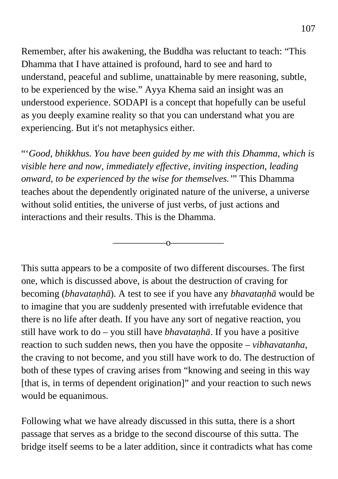Remember, after his awakening, the Buddha was reluctant to teach: "This Dhamma that I have attained is profound, hard to see and hard to understand, peaceful and sublime, unattainable by mere reasoning, subtle, to be experienced by the wise." Ayya Khema said an insight was an understood experience. SODAPI is a concept that hopefully can be useful as you deeply examine reality so that you can understand what you are experiencing. But it's not metaphysics either.

"'Good, bhikkhus. You have been guided by me with this Dhamma, which is visible here and now, immediately effective, inviting inspection, leading onward, to be experienced by the wise for themselves.'" This Dhamma teaches about the dependently originated nature of the universe, a universe without solid entities, the universe of just verbs, of just actions and interactions and their results. This is the Dhamma.

–––––––––––o–––––––––––

This sutta appears to be a composite of two different discourses. The first one, which is discussed above, is about the destruction of craving for becoming (bhavataṇhā). A test to see if you have any bhavataṇhā would be to imagine that you are suddenly presented with irrefutable evidence that there is no life after death. If you have any sort of negative reaction, you still have work to do – you still have bhavataṇhā. If you have a positive reaction to such sudden news, then you have the opposite – vibhavatanha, the craving to not become, and you still have work to do. The destruction of both of these types of craving arises from "knowing and seeing in this way [that is, in terms of dependent origination]" and your reaction to such news would be equanimous.

Following what we have already discussed in this sutta, there is a short passage that serves as a bridge to the second discourse of this sutta. The bridge itself seems to be a later addition, since it contradicts what has come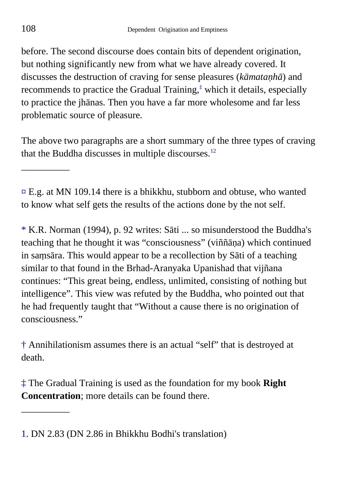before. The second discourse does contain bits of dependent origination, but nothing significantly new from what we have already covered. It discusses the destruction of craving for sense pleasures ( $k\bar{a}$ *matanha*) and recommends to practice the Gradual Training, $^{\ddagger}$  which it details, especially to practice the jhānas. Then you have a far more wholesome and far less problematic source of pleasure.

The above two paragraphs are a short summary of the three types of craving that the Buddha discusses in multiple discourses. $12$ 

 $\alpha$  E.g. at MN 109.14 there is a bhikkhu, stubborn and obtuse, who wanted to know what self gets the results of the actions done by the not self.

\* K.R. Norman (1994), p. 92 writes: Sāti ... so misunderstood the Buddha's teaching that he thought it was "consciousness" (viññāṇa) which continued in saṃsāra. This would appear to be a recollection by Sāti of a teaching similar to that found in the Brhad-Aranyaka Upanishad that vijñana continues: "This great being, endless, unlimited, consisting of nothing but intelligence". This view was refuted by the Buddha, who pointed out that he had frequently taught that "Without a cause there is no origination of consciousness."

† Annihilationism assumes there is an actual "self" that is destroyed at death.

‡ The Gradual Training is used as the foundation for my book Right Concentration; more details can be found there.

 $\overline{\phantom{a}}$ 

 $\overline{\phantom{a}}$ 

<sup>1.</sup> DN 2.83 (DN 2.86 in Bhikkhu Bodhi's translation)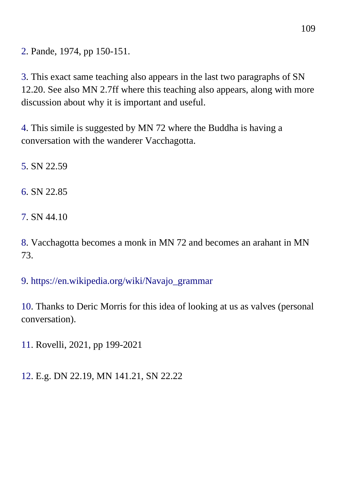2. Pande, 1974, pp 150-151.

3. This exact same teaching also appears in the last two paragraphs of SN 12.20. See also MN 2.7ff where this teaching also appears, along with more discussion about why it is important and useful.

4. This simile is suggested by MN 72 where the Buddha is having a conversation with the wanderer Vacchagotta.

5. SN 22.59

6. SN 22.85

7. SN 44.10

8. Vacchagotta becomes a monk in MN 72 and becomes an arahant in MN 73.

9. https://en.wikipedia.org/wiki/Navajo\_grammar

10. Thanks to Deric Morris for this idea of looking at us as valves (personal conversation).

11. Rovelli, 2021, pp 199-2021

12. E.g. DN 22.19, MN 141.21, SN 22.22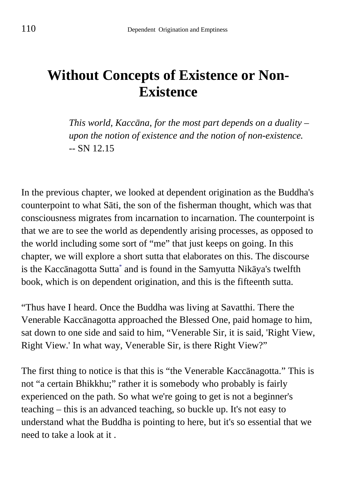### Without Concepts of Existence or Non-Existence

This world, Kaccāna, for the most part depends on a duality  $-$  upon the notion of existence and the notion of non-existence.  $-$  SN 12.15

In the previous chapter, we looked at dependent origination as the Buddha's counterpoint to what Sāti, the son of the fisherman thought, which was that consciousness migrates from incarnation to incarnation. The counterpoint is that we are to see the world as dependently arising processes, as opposed to the world including some sort of "me" that just keeps on going. In this chapter, we will explore a short sutta that elaborates on this. The discourse is the Kaccānagotta Sutta<sup>\*</sup> and is found in the Samyutta Nikāya's twelfth book, which is on dependent origination, and this is the fifteenth sutta.

"Thus have I heard. Once the Buddha was living at Savatthi. There the Venerable Kaccānagotta approached the Blessed One, paid homage to him, sat down to one side and said to him, "Venerable Sir, it is said, 'Right View, Right View.' In what way, Venerable Sir, is there Right View?"

The first thing to notice is that this is "the Venerable Kaccānagotta." This is not "a certain Bhikkhu;" rather it is somebody who probably is fairly experienced on the path. So what we're going to get is not a beginner's teaching – this is an advanced teaching, so buckle up. It's not easy to understand what the Buddha is pointing to here, but it's so essential that we need to take a look at it .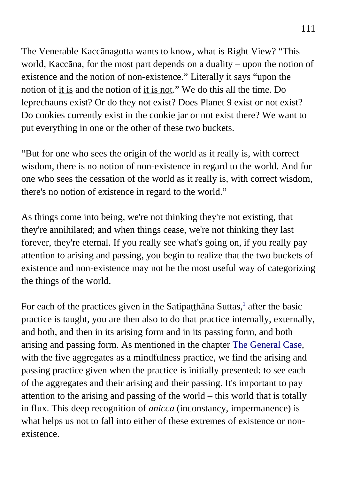The Venerable Kaccānagotta wants to know, what is Right View? "This world, Kaccāna, for the most part depends on a duality – upon the notion of existence and the notion of non-existence." Literally it says "upon the notion of it is and the notion of it is not." We do this all the time. Do leprechauns exist? Or do they not exist? Does Planet 9 exist or not exist? Do cookies currently exist in the cookie jar or not exist there? We want to put everything in one or the other of these two buckets.

"But for one who sees the origin of the world as it really is, with correct wisdom, there is no notion of non-existence in regard to the world. And for one who sees the cessation of the world as it really is, with correct wisdom, there's no notion of existence in regard to the world."

As things come into being, we're not thinking they're not existing, that they're annihilated; and when things cease, we're not thinking they last forever, they're eternal. If you really see what's going on, if you really pay attention to arising and passing, you begin to realize that the two buckets of existence and non-existence may not be the most useful way of categorizing the things of the world.

For each of the practices given in the Satipaṭṭhāna Suttas,<sup>1</sup> after the basic practice is taught, you are then also to do that practice internally, externally, and both, and then in its arising form and in its passing form, and both arising and passing form. As mentioned in the chapter The General Case, with the five aggregates as a mindfulness practice, we find the arising and passing practice given when the practice is initially presented: to see each of the aggregates and their arising and their passing. It's important to pay attention to the arising and passing of the world – this world that is totally in flux. This deep recognition of anicca (inconstancy, impermanence) is what helps us not to fall into either of these extremes of existence or nonexistence.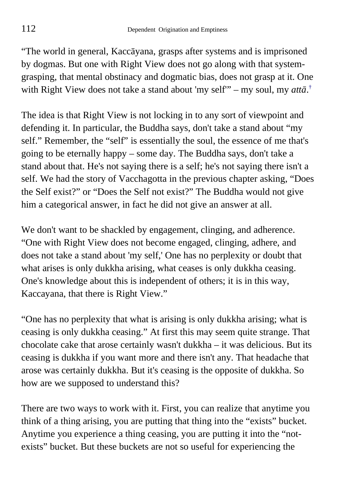"The world in general, Kaccāyana, grasps after systems and is imprisoned by dogmas. But one with Right View does not go along with that systemgrasping, that mental obstinacy and dogmatic bias, does not grasp at it. One with Right View does not take a stand about 'my self'" – my soul, my att $\bar{a}$ .<sup>†</sup>

The idea is that Right View is not locking in to any sort of viewpoint and defending it. In particular, the Buddha says, don't take a stand about "my self." Remember, the "self" is essentially the soul, the essence of me that's going to be eternally happy – some day. The Buddha says, don't take a stand about that. He's not saying there is a self; he's not saying there isn't a self. We had the story of Vacchagotta in the previous chapter asking, "Does the Self exist?" or "Does the Self not exist?" The Buddha would not give him a categorical answer, in fact he did not give an answer at all.

We don't want to be shackled by engagement, clinging, and adherence. "One with Right View does not become engaged, clinging, adhere, and does not take a stand about 'my self,' One has no perplexity or doubt that what arises is only dukkha arising, what ceases is only dukkha ceasing. One's knowledge about this is independent of others; it is in this way, Kaccayana, that there is Right View."

"One has no perplexity that what is arising is only dukkha arising; what is ceasing is only dukkha ceasing." At first this may seem quite strange. That chocolate cake that arose certainly wasn't dukkha – it was delicious. But its ceasing is dukkha if you want more and there isn't any. That headache that arose was certainly dukkha. But it's ceasing is the opposite of dukkha. So how are we supposed to understand this?

There are two ways to work with it. First, you can realize that anytime you think of a thing arising, you are putting that thing into the "exists" bucket. Anytime you experience a thing ceasing, you are putting it into the "notexists" bucket. But these buckets are not so useful for experiencing the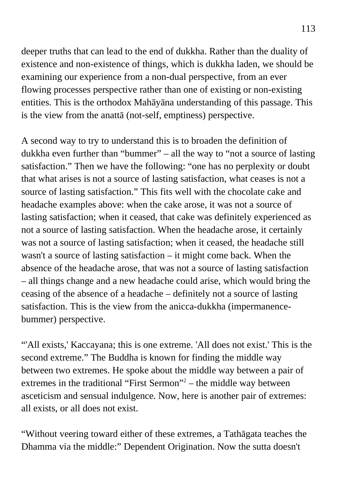deeper truths that can lead to the end of dukkha. Rather than the duality of existence and non-existence of things, which is dukkha laden, we should be examining our experience from a non-dual perspective, from an ever flowing processes perspective rather than one of existing or non-existing entities. This is the orthodox Mahāyāna understanding of this passage. This is the view from the anattā (not-self, emptiness) perspective.

A second way to try to understand this is to broaden the definition of dukkha even further than "bummer" – all the way to "not a source of lasting satisfaction." Then we have the following: "one has no perplexity or doubt that what arises is not a source of lasting satisfaction, what ceases is not a source of lasting satisfaction." This fits well with the chocolate cake and headache examples above: when the cake arose, it was not a source of lasting satisfaction; when it ceased, that cake was definitely experienced as not a source of lasting satisfaction. When the headache arose, it certainly was not a source of lasting satisfaction; when it ceased, the headache still wasn't a source of lasting satisfaction – it might come back. When the absence of the headache arose, that was not a source of lasting satisfaction – all things change and a new headache could arise, which would bring the ceasing of the absence of a headache – definitely not a source of lasting satisfaction. This is the view from the anicca-dukkha (impermanencebummer) perspective.

"'All exists,' Kaccayana; this is one extreme. 'All does not exist.' This is the second extreme." The Buddha is known for finding the middle way between two extremes. He spoke about the middle way between a pair of extremes in the traditional "First Sermon"<sup>2</sup> – the middle way between asceticism and sensual indulgence. Now, here is another pair of extremes: all exists, or all does not exist.

"Without veering toward either of these extremes, a Tathāgata teaches the Dhamma via the middle:" Dependent Origination. Now the sutta doesn't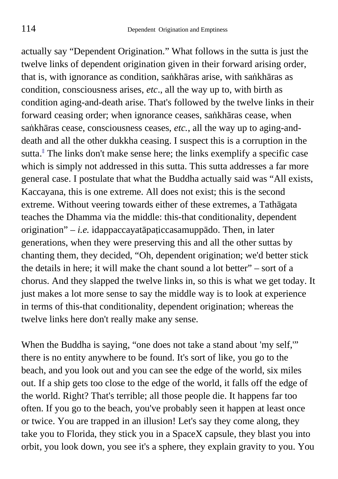actually say "Dependent Origination." What follows in the sutta is just the twelve links of dependent origination given in their forward arising order, that is, with ignorance as condition, saṅkhāras arise, with saṅkhāras as condition, consciousness arises, etc., all the way up to, with birth as condition aging-and-death arise. That's followed by the twelve links in their forward ceasing order; when ignorance ceases, saṅkhāras cease, when saṅkhāras cease, consciousness ceases, etc., all the way up to aging-anddeath and all the other dukkha ceasing. I suspect this is a corruption in the sutta.<sup>‡</sup> The links don't make sense here; the links exemplify a specific case which is simply not addressed in this sutta. This sutta addresses a far more general case. I postulate that what the Buddha actually said was "All exists, Kaccayana, this is one extreme. All does not exist; this is the second extreme. Without veering towards either of these extremes, a Tathāgata teaches the Dhamma via the middle: this-that conditionality, dependent origination"  $-i.e.$  idappaccavatāpaticcasamuppādo. Then, in later generations, when they were preserving this and all the other suttas by chanting them, they decided, "Oh, dependent origination; we'd better stick the details in here; it will make the chant sound a lot better" – sort of a chorus. And they slapped the twelve links in, so this is what we get today. It just makes a lot more sense to say the middle way is to look at experience in terms of this-that conditionality, dependent origination; whereas the twelve links here don't really make any sense.

When the Buddha is saying, "one does not take a stand about 'my self,'" there is no entity anywhere to be found. It's sort of like, you go to the beach, and you look out and you can see the edge of the world, six miles out. If a ship gets too close to the edge of the world, it falls off the edge of the world. Right? That's terrible; all those people die. It happens far too often. If you go to the beach, you've probably seen it happen at least once or twice. You are trapped in an illusion! Let's say they come along, they take you to Florida, they stick you in a SpaceX capsule, they blast you into orbit, you look down, you see it's a sphere, they explain gravity to you. You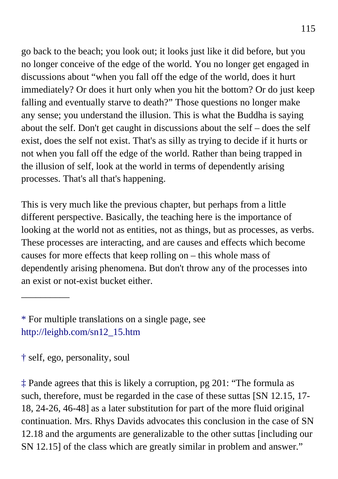go back to the beach; you look out; it looks just like it did before, but you no longer conceive of the edge of the world. You no longer get engaged in discussions about "when you fall off the edge of the world, does it hurt immediately? Or does it hurt only when you hit the bottom? Or do just keep falling and eventually starve to death?" Those questions no longer make any sense; you understand the illusion. This is what the Buddha is saying about the self. Don't get caught in discussions about the self – does the self exist, does the self not exist. That's as silly as trying to decide if it hurts or not when you fall off the edge of the world. Rather than being trapped in the illusion of self, look at the world in terms of dependently arising processes. That's all that's happening.

This is very much like the previous chapter, but perhaps from a little different perspective. Basically, the teaching here is the importance of looking at the world not as entities, not as things, but as processes, as verbs. These processes are interacting, and are causes and effects which become causes for more effects that keep rolling on – this whole mass of dependently arising phenomena. But don't throw any of the processes into an exist or not-exist bucket either.

† self, ego, personality, soul

 $\overline{\phantom{a}}$ 

‡ Pande agrees that this is likely a corruption, pg 201: "The formula as such, therefore, must be regarded in the case of these suttas [SN 12.15, 17- 18, 24-26, 46-48] as a later substitution for part of the more fluid original continuation. Mrs. Rhys Davids advocates this conclusion in the case of SN 12.18 and the arguments are generalizable to the other suttas [including our SN 12.15] of the class which are greatly similar in problem and answer."

<sup>\*</sup> For multiple translations on a single page, see http://leighb.com/sn12\_15.htm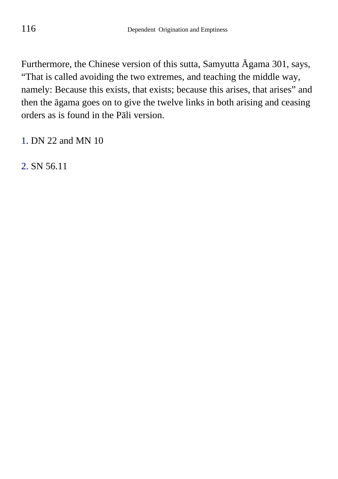Furthermore, the Chinese version of this sutta, Samyutta Āgama 301, says, "That is called avoiding the two extremes, and teaching the middle way, namely: Because this exists, that exists; because this arises, that arises" and then the āgama goes on to give the twelve links in both arising and ceasing orders as is found in the Pāli version.

1. DN 22 and MN 10

2. SN 56.11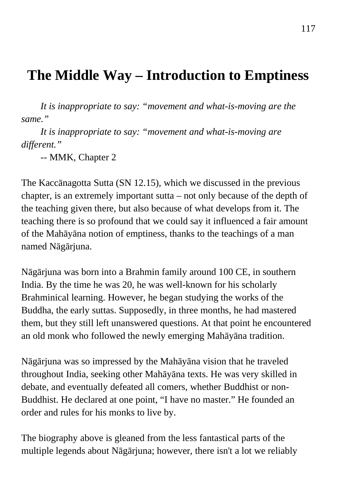## The Middle Way – Introduction to Emptiness

 It is inappropriate to say: "movement and what-is-moving are the same."

 It is inappropriate to say: "movement and what-is-moving are different."

-- MMK, Chapter 2

The Kaccānagotta Sutta (SN 12.15), which we discussed in the previous chapter, is an extremely important sutta – not only because of the depth of the teaching given there, but also because of what develops from it. The teaching there is so profound that we could say it influenced a fair amount of the Mahāyāna notion of emptiness, thanks to the teachings of a man named Nāgārjuna.

Nāgārjuna was born into a Brahmin family around 100 CE, in southern India. By the time he was 20, he was well-known for his scholarly Brahminical learning. However, he began studying the works of the Buddha, the early suttas. Supposedly, in three months, he had mastered them, but they still left unanswered questions. At that point he encountered an old monk who followed the newly emerging Mahāyāna tradition.

Nāgārjuna was so impressed by the Mahāyāna vision that he traveled throughout India, seeking other Mahāyāna texts. He was very skilled in debate, and eventually defeated all comers, whether Buddhist or non-Buddhist. He declared at one point, "I have no master." He founded an order and rules for his monks to live by.

The biography above is gleaned from the less fantastical parts of the multiple legends about Nāgārjuna; however, there isn't a lot we reliably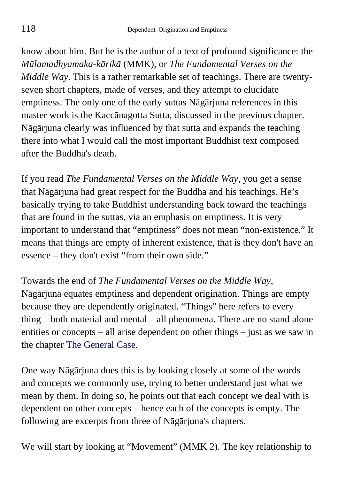know about him. But he is the author of a text of profound significance: the Mūlamadhyamaka-kārikā (MMK), or The Fundamental Verses on the Middle Way. This is a rather remarkable set of teachings. There are twentyseven short chapters, made of verses, and they attempt to elucidate emptiness. The only one of the early suttas Nāgārjuna references in this master work is the Kaccānagotta Sutta, discussed in the previous chapter. Nāgārjuna clearly was influenced by that sutta and expands the teaching there into what I would call the most important Buddhist text composed after the Buddha's death.

If you read The Fundamental Verses on the Middle Way, you get a sense that Nāgārjuna had great respect for the Buddha and his teachings. He's basically trying to take Buddhist understanding back toward the teachings that are found in the suttas, via an emphasis on emptiness. It is very important to understand that "emptiness" does not mean "non-existence." It means that things are empty of inherent existence, that is they don't have an essence – they don't exist "from their own side."

Towards the end of The Fundamental Verses on the Middle Way, Nāgārjuna equates emptiness and dependent origination. Things are empty because they are dependently originated. "Things" here refers to every thing – both material and mental – all phenomena. There are no stand alone entities or concepts – all arise dependent on other things – just as we saw in the chapter The General Case.

One way Nāgārjuna does this is by looking closely at some of the words and concepts we commonly use, trying to better understand just what we mean by them. In doing so, he points out that each concept we deal with is dependent on other concepts – hence each of the concepts is empty. The following are excerpts from three of Nāgārjuna's chapters.

We will start by looking at "Movement" (MMK 2). The key relationship to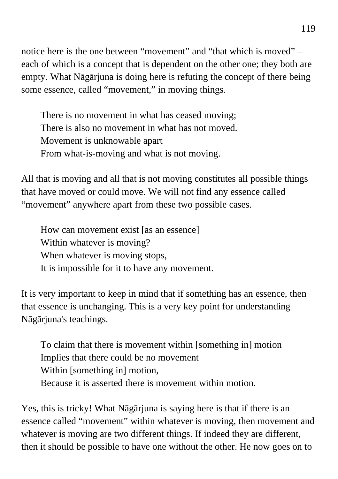notice here is the one between "movement" and "that which is moved" – each of which is a concept that is dependent on the other one; they both are empty. What Nāgārjuna is doing here is refuting the concept of there being some essence, called "movement," in moving things.

 There is no movement in what has ceased moving; There is also no movement in what has not moved. Movement is unknowable apart From what-is-moving and what is not moving.

All that is moving and all that is not moving constitutes all possible things that have moved or could move. We will not find any essence called "movement" anywhere apart from these two possible cases.

 How can movement exist [as an essence] Within whatever is moving? When whatever is moving stops, It is impossible for it to have any movement.

It is very important to keep in mind that if something has an essence, then that essence is unchanging. This is a very key point for understanding Nāgārjuna's teachings.

 To claim that there is movement within [something in] motion Implies that there could be no movement Within [something in] motion, Because it is asserted there is movement within motion.

Yes, this is tricky! What Nāgārjuna is saying here is that if there is an essence called "movement" within whatever is moving, then movement and whatever is moving are two different things. If indeed they are different, then it should be possible to have one without the other. He now goes on to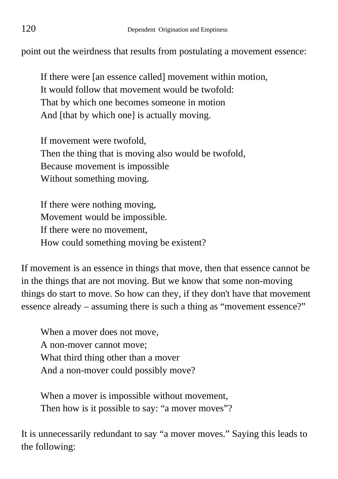point out the weirdness that results from postulating a movement essence:

 If there were [an essence called] movement within motion, It would follow that movement would be twofold: That by which one becomes someone in motion And [that by which one] is actually moving.

 If movement were twofold, Then the thing that is moving also would be twofold, Because movement is impossible Without something moving.

 If there were nothing moving, Movement would be impossible. If there were no movement, How could something moving be existent?

If movement is an essence in things that move, then that essence cannot be in the things that are not moving. But we know that some non-moving things do start to move. So how can they, if they don't have that movement essence already – assuming there is such a thing as "movement essence?"

 When a mover does not move, A non-mover cannot move; What third thing other than a mover And a non-mover could possibly move?

 When a mover is impossible without movement, Then how is it possible to say: "a mover moves"?

It is unnecessarily redundant to say "a mover moves." Saying this leads to the following: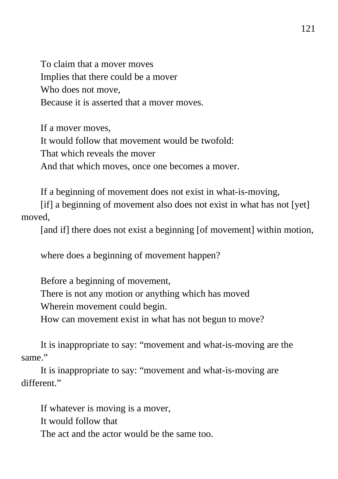To claim that a mover moves Implies that there could be a mover Who does not move, Because it is asserted that a mover moves.

 If a mover moves, It would follow that movement would be twofold: That which reveals the mover And that which moves, once one becomes a mover.

If a beginning of movement does not exist in what-is-moving,

 [if] a beginning of movement also does not exist in what has not [yet] moved,

[and if] there does not exist a beginning [of movement] within motion,

where does a beginning of movement happen?

Before a beginning of movement,

There is not any motion or anything which has moved

Wherein movement could begin.

How can movement exist in what has not begun to move?

 It is inappropriate to say: "movement and what-is-moving are the same"

 It is inappropriate to say: "movement and what-is-moving are different."

 If whatever is moving is a mover, It would follow that The act and the actor would be the same too.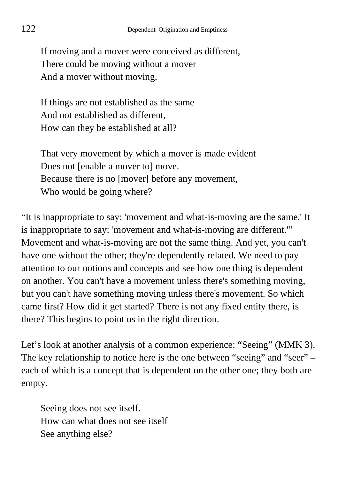If moving and a mover were conceived as different, There could be moving without a mover And a mover without moving.

 If things are not established as the same And not established as different, How can they be established at all?

 That very movement by which a mover is made evident Does not [enable a mover to] move. Because there is no [mover] before any movement, Who would be going where?

"It is inappropriate to say: 'movement and what-is-moving are the same.' It is inappropriate to say: 'movement and what-is-moving are different.'" Movement and what-is-moving are not the same thing. And yet, you can't have one without the other; they're dependently related. We need to pay attention to our notions and concepts and see how one thing is dependent on another. You can't have a movement unless there's something moving, but you can't have something moving unless there's movement. So which came first? How did it get started? There is not any fixed entity there, is there? This begins to point us in the right direction.

Let's look at another analysis of a common experience: "Seeing" (MMK 3). The key relationship to notice here is the one between "seeing" and "seer" – each of which is a concept that is dependent on the other one; they both are empty.

 Seeing does not see itself. How can what does not see itself See anything else?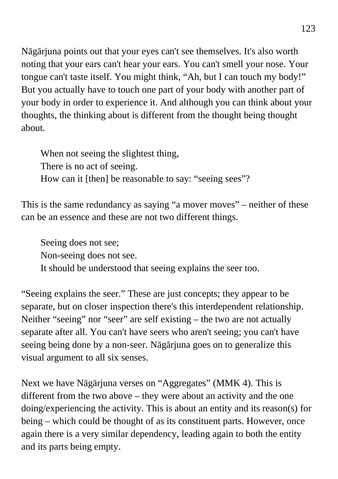Nāgārjuna points out that your eyes can't see themselves. It's also worth noting that your ears can't hear your ears. You can't smell your nose. Your tongue can't taste itself. You might think, "Ah, but I can touch my body!" But you actually have to touch one part of your body with another part of your body in order to experience it. And although you can think about your thoughts, the thinking about is different from the thought being thought about.

 When not seeing the slightest thing, There is no act of seeing. How can it [then] be reasonable to say: "seeing sees"?

This is the same redundancy as saying "a mover moves" – neither of these can be an essence and these are not two different things.

 Seeing does not see; Non-seeing does not see. It should be understood that seeing explains the seer too.

"Seeing explains the seer." These are just concepts; they appear to be separate, but on closer inspection there's this interdependent relationship. Neither "seeing" nor "seer" are self existing – the two are not actually separate after all. You can't have seers who aren't seeing; you can't have seeing being done by a non-seer. Nāgārjuna goes on to generalize this visual argument to all six senses.

Next we have Nāgārjuna verses on "Aggregates" (MMK 4). This is different from the two above – they were about an activity and the one doing/experiencing the activity. This is about an entity and its reason(s) for being – which could be thought of as its constituent parts. However, once again there is a very similar dependency, leading again to both the entity and its parts being empty.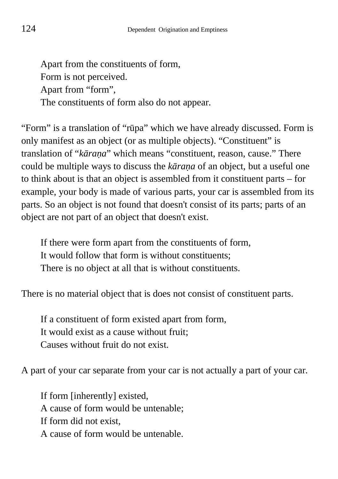Apart from the constituents of form, Form is not perceived. Apart from "form", The constituents of form also do not appear.

"Form" is a translation of "rūpa" which we have already discussed. Form is only manifest as an object (or as multiple objects). "Constituent" is translation of "kārana" which means "constituent, reason, cause." There could be multiple ways to discuss the kārana of an object, but a useful one to think about is that an object is assembled from it constituent parts – for example, your body is made of various parts, your car is assembled from its parts. So an object is not found that doesn't consist of its parts; parts of an object are not part of an object that doesn't exist.

 If there were form apart from the constituents of form, It would follow that form is without constituents; There is no object at all that is without constituents.

There is no material object that is does not consist of constituent parts.

 If a constituent of form existed apart from form, It would exist as a cause without fruit; Causes without fruit do not exist.

A part of your car separate from your car is not actually a part of your car.

 If form [inherently] existed, A cause of form would be untenable; If form did not exist, A cause of form would be untenable.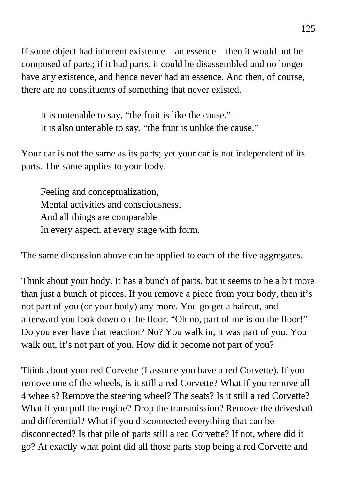If some object had inherent existence – an essence – then it would not be composed of parts; if it had parts, it could be disassembled and no longer have any existence, and hence never had an essence. And then, of course, there are no constituents of something that never existed.

 It is untenable to say, "the fruit is like the cause." It is also untenable to say, "the fruit is unlike the cause."

Your car is not the same as its parts; yet your car is not independent of its parts. The same applies to your body.

 Feeling and conceptualization, Mental activities and consciousness, And all things are comparable In every aspect, at every stage with form.

The same discussion above can be applied to each of the five aggregates.

Think about your body. It has a bunch of parts, but it seems to be a bit more than just a bunch of pieces. If you remove a piece from your body, then it's not part of you (or your body) any more. You go get a haircut, and afterward you look down on the floor. "Oh no, part of me is on the floor!" Do you ever have that reaction? No? You walk in, it was part of you. You walk out, it's not part of you. How did it become not part of you?

Think about your red Corvette (I assume you have a red Corvette). If you remove one of the wheels, is it still a red Corvette? What if you remove all 4 wheels? Remove the steering wheel? The seats? Is it still a red Corvette? What if you pull the engine? Drop the transmission? Remove the driveshaft and differential? What if you disconnected everything that can be disconnected? Is that pile of parts still a red Corvette? If not, where did it go? At exactly what point did all those parts stop being a red Corvette and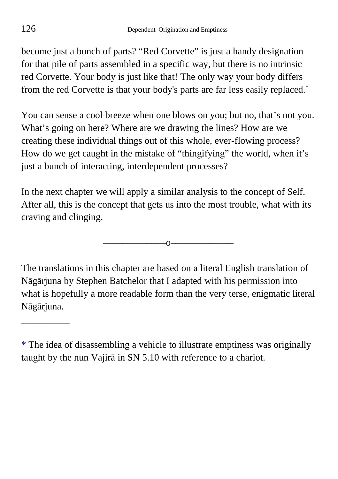become just a bunch of parts? "Red Corvette" is just a handy designation for that pile of parts assembled in a specific way, but there is no intrinsic red Corvette. Your body is just like that! The only way your body differs from the red Corvette is that your body's parts are far less easily replaced.\*

You can sense a cool breeze when one blows on you; but no, that's not you. What's going on here? Where are we drawing the lines? How are we creating these individual things out of this whole, ever-flowing process? How do we get caught in the mistake of "thingifying" the world, when it's just a bunch of interacting, interdependent processes?

In the next chapter we will apply a similar analysis to the concept of Self. After all, this is the concept that gets us into the most trouble, what with its craving and clinging.

–––––––––––––o–––––––––––––

The translations in this chapter are based on a literal English translation of Nāgārjuna by Stephen Batchelor that I adapted with his permission into what is hopefully a more readable form than the very terse, enigmatic literal Nāgārjuna.

 $\overline{\phantom{a}}$ 

<sup>\*</sup> The idea of disassembling a vehicle to illustrate emptiness was originally taught by the nun Vajirā in SN 5.10 with reference to a chariot.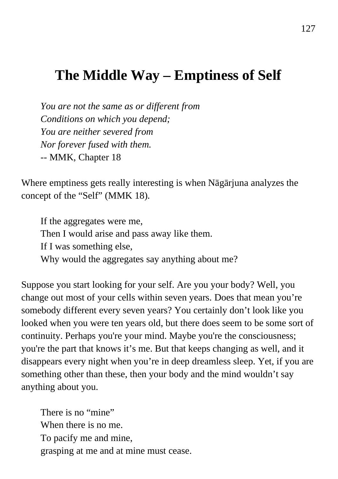### The Middle Way – Emptiness of Self

 You are not the same as or different from Conditions on which you depend; You are neither severed from Nor forever fused with them. -- MMK, Chapter 18

Where emptiness gets really interesting is when Nāgārjuna analyzes the concept of the "Self" (MMK 18).

 If the aggregates were me, Then I would arise and pass away like them. If I was something else, Why would the aggregates say anything about me?

Suppose you start looking for your self. Are you your body? Well, you change out most of your cells within seven years. Does that mean you're somebody different every seven years? You certainly don't look like you looked when you were ten years old, but there does seem to be some sort of continuity. Perhaps you're your mind. Maybe you're the consciousness; you're the part that knows it's me. But that keeps changing as well, and it disappears every night when you're in deep dreamless sleep. Yet, if you are something other than these, then your body and the mind wouldn't say anything about you.

 There is no "mine" When there is no me. To pacify me and mine, grasping at me and at mine must cease.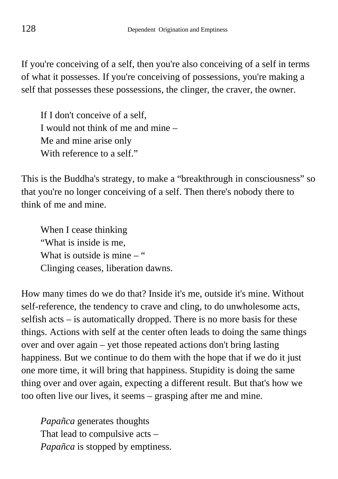If you're conceiving of a self, then you're also conceiving of a self in terms of what it possesses. If you're conceiving of possessions, you're making a self that possesses these possessions, the clinger, the craver, the owner.

 If I don't conceive of a self, I would not think of me and mine – Me and mine arise only With reference to a self."

This is the Buddha's strategy, to make a "breakthrough in consciousness" so that you're no longer conceiving of a self. Then there's nobody there to think of me and mine.

 When I cease thinking "What is inside is me, What is outside is mine  $-$  " Clinging ceases, liberation dawns.

How many times do we do that? Inside it's me, outside it's mine. Without self-reference, the tendency to crave and cling, to do unwholesome acts, selfish acts – is automatically dropped. There is no more basis for these things. Actions with self at the center often leads to doing the same things over and over again – yet those repeated actions don't bring lasting happiness. But we continue to do them with the hope that if we do it just one more time, it will bring that happiness. Stupidity is doing the same thing over and over again, expecting a different result. But that's how we too often live our lives, it seems – grasping after me and mine.

 Papañca generates thoughts That lead to compulsive acts – Papañca is stopped by emptiness.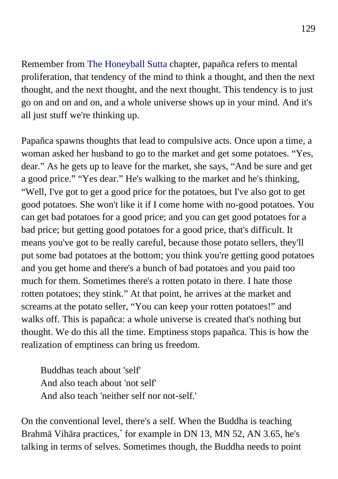Remember from The Honeyball Sutta chapter, papañca refers to mental proliferation, that tendency of the mind to think a thought, and then the next thought, and the next thought, and the next thought. This tendency is to just go on and on and on, and a whole universe shows up in your mind. And it's all just stuff we're thinking up.

Papañca spawns thoughts that lead to compulsive acts. Once upon a time, a woman asked her husband to go to the market and get some potatoes. "Yes, dear." As he gets up to leave for the market, she says, "And be sure and get a good price." "Yes dear." He's walking to the market and he's thinking, "Well, I've got to get a good price for the potatoes, but I've also got to get good potatoes. She won't like it if I come home with no-good potatoes. You can get bad potatoes for a good price; and you can get good potatoes for a bad price; but getting good potatoes for a good price, that's difficult. It means you've got to be really careful, because those potato sellers, they'll put some bad potatoes at the bottom; you think you're getting good potatoes and you get home and there's a bunch of bad potatoes and you paid too much for them. Sometimes there's a rotten potato in there. I hate those rotten potatoes; they stink." At that point, he arrives at the market and screams at the potato seller, "You can keep your rotten potatoes!" and walks off. This is papañca: a whole universe is created that's nothing but thought. We do this all the time. Emptiness stops papañca. This is how the realization of emptiness can bring us freedom.

 Buddhas teach about 'self' And also teach about 'not self' And also teach 'neither self nor not-self.'

On the conventional level, there's a self. When the Buddha is teaching Brahmā Vihāra practices,\* for example in DN 13, MN 52, AN 3.65, he's talking in terms of selves. Sometimes though, the Buddha needs to point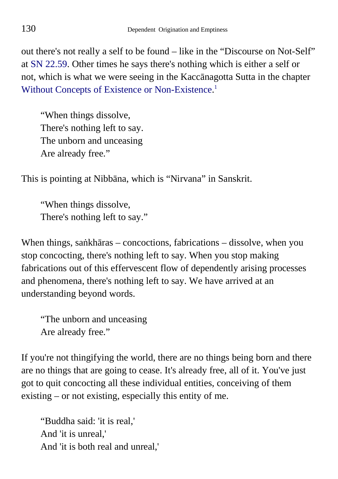out there's not really a self to be found – like in the "Discourse on Not-Self" at SN 22.59. Other times he says there's nothing which is either a self or not, which is what we were seeing in the Kaccānagotta Sutta in the chapter Without Concepts of Existence or Non-Existence.<sup>1</sup>

 "When things dissolve, There's nothing left to say. The unborn and unceasing Are already free."

This is pointing at Nibbāna, which is "Nirvana" in Sanskrit.

 "When things dissolve, There's nothing left to say."

When things, saṅkhāras – concoctions, fabrications – dissolve, when you stop concocting, there's nothing left to say. When you stop making fabrications out of this effervescent flow of dependently arising processes and phenomena, there's nothing left to say. We have arrived at an understanding beyond words.

 "The unborn and unceasing Are already free."

If you're not thingifying the world, there are no things being born and there are no things that are going to cease. It's already free, all of it. You've just got to quit concocting all these individual entities, conceiving of them existing – or not existing, especially this entity of me.

 "Buddha said: 'it is real,' And 'it is unreal,' And 'it is both real and unreal,'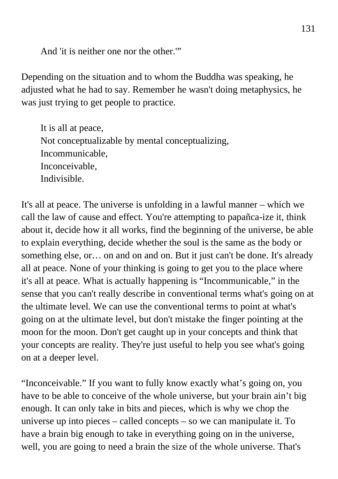And 'it is neither one nor the other."

Depending on the situation and to whom the Buddha was speaking, he adjusted what he had to say. Remember he wasn't doing metaphysics, he was just trying to get people to practice.

 It is all at peace, Not conceptualizable by mental conceptualizing, Incommunicable, Inconceivable, Indivisible.

It's all at peace. The universe is unfolding in a lawful manner – which we call the law of cause and effect. You're attempting to papañca-ize it, think about it, decide how it all works, find the beginning of the universe, be able to explain everything, decide whether the soul is the same as the body or something else, or… on and on and on. But it just can't be done. It's already all at peace. None of your thinking is going to get you to the place where it's all at peace. What is actually happening is "Incommunicable," in the sense that you can't really describe in conventional terms what's going on at the ultimate level. We can use the conventional terms to point at what's going on at the ultimate level, but don't mistake the finger pointing at the moon for the moon. Don't get caught up in your concepts and think that your concepts are reality. They're just useful to help you see what's going on at a deeper level.

"Inconceivable." If you want to fully know exactly what's going on, you have to be able to conceive of the whole universe, but your brain ain't big enough. It can only take in bits and pieces, which is why we chop the universe up into pieces – called concepts – so we can manipulate it. To have a brain big enough to take in everything going on in the universe, well, you are going to need a brain the size of the whole universe. That's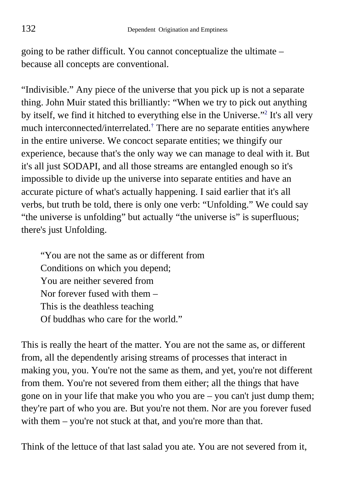going to be rather difficult. You cannot conceptualize the ultimate – because all concepts are conventional.

"Indivisible." Any piece of the universe that you pick up is not a separate thing. John Muir stated this brilliantly: "When we try to pick out anything by itself, we find it hitched to everything else in the Universe."<sup>2</sup> It's all very much interconnected/interrelated.† There are no separate entities anywhere in the entire universe. We concoct separate entities; we thingify our experience, because that's the only way we can manage to deal with it. But it's all just SODAPI, and all those streams are entangled enough so it's impossible to divide up the universe into separate entities and have an accurate picture of what's actually happening. I said earlier that it's all verbs, but truth be told, there is only one verb: "Unfolding." We could say "the universe is unfolding" but actually "the universe is" is superfluous; there's just Unfolding.

 "You are not the same as or different from Conditions on which you depend; You are neither severed from Nor forever fused with them – This is the deathless teaching Of buddhas who care for the world."

This is really the heart of the matter. You are not the same as, or different from, all the dependently arising streams of processes that interact in making you, you. You're not the same as them, and yet, you're not different from them. You're not severed from them either; all the things that have gone on in your life that make you who you are – you can't just dump them; they're part of who you are. But you're not them. Nor are you forever fused with them – you're not stuck at that, and you're more than that.

Think of the lettuce of that last salad you ate. You are not severed from it,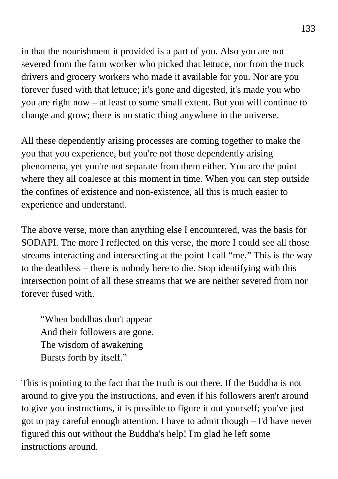in that the nourishment it provided is a part of you. Also you are not severed from the farm worker who picked that lettuce, nor from the truck drivers and grocery workers who made it available for you. Nor are you forever fused with that lettuce; it's gone and digested, it's made you who you are right now – at least to some small extent. But you will continue to change and grow; there is no static thing anywhere in the universe.

All these dependently arising processes are coming together to make the you that you experience, but you're not those dependently arising phenomena, yet you're not separate from them either. You are the point where they all coalesce at this moment in time. When you can step outside the confines of existence and non-existence, all this is much easier to experience and understand.

The above verse, more than anything else I encountered, was the basis for SODAPI. The more I reflected on this verse, the more I could see all those streams interacting and intersecting at the point I call "me." This is the way to the deathless – there is nobody here to die. Stop identifying with this intersection point of all these streams that we are neither severed from nor forever fused with.

 "When buddhas don't appear And their followers are gone, The wisdom of awakening Bursts forth by itself."

This is pointing to the fact that the truth is out there. If the Buddha is not around to give you the instructions, and even if his followers aren't around to give you instructions, it is possible to figure it out yourself; you've just got to pay careful enough attention. I have to admit though – I'd have never figured this out without the Buddha's help! I'm glad he left some instructions around.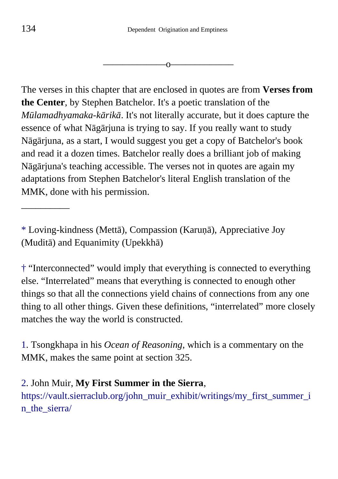–––––––––––––o–––––––––––––

The verses in this chapter that are enclosed in quotes are from Verses from the Center, by Stephen Batchelor. It's a poetic translation of the Mūlamadhyamaka-kārikā. It's not literally accurate, but it does capture the essence of what Nāgārjuna is trying to say. If you really want to study Nāgārjuna, as a start, I would suggest you get a copy of Batchelor's book and read it a dozen times. Batchelor really does a brilliant job of making Nāgārjuna's teaching accessible. The verses not in quotes are again my adaptations from Stephen Batchelor's literal English translation of the MMK, done with his permission.

\* Loving-kindness (Mettā), Compassion (Karuṇā), Appreciative Joy (Muditā) and Equanimity (Upekkhā)

† "Interconnected" would imply that everything is connected to everything else. "Interrelated" means that everything is connected to enough other things so that all the connections yield chains of connections from any one thing to all other things. Given these definitions, "interrelated" more closely matches the way the world is constructed.

1. Tsongkhapa in his Ocean of Reasoning, which is a commentary on the MMK, makes the same point at section 325.

#### 2. John Muir, My First Summer in the Sierra,

https://vault.sierraclub.org/john\_muir\_exhibit/writings/my\_first\_summer\_i n\_the\_sierra/

 $\overline{\phantom{a}}$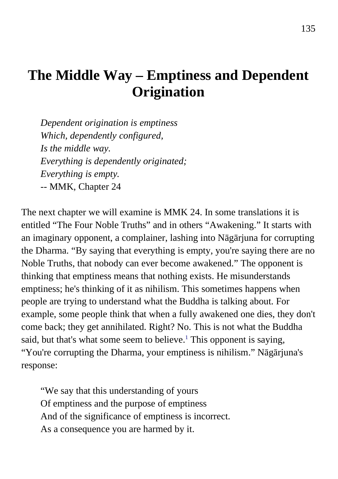### The Middle Way – Emptiness and Dependent **Origination**

 Dependent origination is emptiness Which, dependently configured, Is the middle way. Everything is dependently originated; Everything is empty. -- MMK, Chapter 24

The next chapter we will examine is MMK 24. In some translations it is entitled "The Four Noble Truths" and in others "Awakening." It starts with an imaginary opponent, a complainer, lashing into Nāgārjuna for corrupting the Dharma. "By saying that everything is empty, you're saying there are no Noble Truths, that nobody can ever become awakened." The opponent is thinking that emptiness means that nothing exists. He misunderstands emptiness; he's thinking of it as nihilism. This sometimes happens when people are trying to understand what the Buddha is talking about. For example, some people think that when a fully awakened one dies, they don't come back; they get annihilated. Right? No. This is not what the Buddha said, but that's what some seem to believe.<sup>1</sup> This opponent is saying, "You're corrupting the Dharma, your emptiness is nihilism." Nāgārjuna's response:

 "We say that this understanding of yours Of emptiness and the purpose of emptiness And of the significance of emptiness is incorrect. As a consequence you are harmed by it.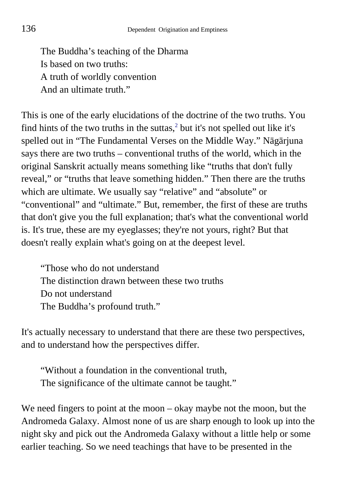The Buddha's teaching of the Dharma Is based on two truths: A truth of worldly convention And an ultimate truth."

This is one of the early elucidations of the doctrine of the two truths. You find hints of the two truths in the suttas, $2$  but it's not spelled out like it's spelled out in "The Fundamental Verses on the Middle Way." Nāgārjuna says there are two truths – conventional truths of the world, which in the original Sanskrit actually means something like "truths that don't fully reveal," or "truths that leave something hidden." Then there are the truths which are ultimate. We usually say "relative" and "absolute" or "conventional" and "ultimate." But, remember, the first of these are truths that don't give you the full explanation; that's what the conventional world is. It's true, these are my eyeglasses; they're not yours, right? But that doesn't really explain what's going on at the deepest level.

 "Those who do not understand The distinction drawn between these two truths Do not understand The Buddha's profound truth."

It's actually necessary to understand that there are these two perspectives, and to understand how the perspectives differ.

 "Without a foundation in the conventional truth, The significance of the ultimate cannot be taught."

We need fingers to point at the moon – okay maybe not the moon, but the Andromeda Galaxy. Almost none of us are sharp enough to look up into the night sky and pick out the Andromeda Galaxy without a little help or some earlier teaching. So we need teachings that have to be presented in the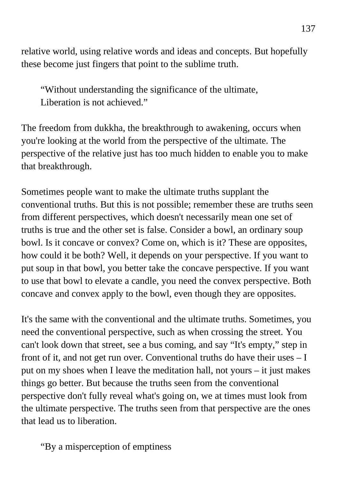relative world, using relative words and ideas and concepts. But hopefully these become just fingers that point to the sublime truth.

 "Without understanding the significance of the ultimate, Liberation is not achieved."

The freedom from dukkha, the breakthrough to awakening, occurs when you're looking at the world from the perspective of the ultimate. The perspective of the relative just has too much hidden to enable you to make that breakthrough.

Sometimes people want to make the ultimate truths supplant the conventional truths. But this is not possible; remember these are truths seen from different perspectives, which doesn't necessarily mean one set of truths is true and the other set is false. Consider a bowl, an ordinary soup bowl. Is it concave or convex? Come on, which is it? These are opposites, how could it be both? Well, it depends on your perspective. If you want to put soup in that bowl, you better take the concave perspective. If you want to use that bowl to elevate a candle, you need the convex perspective. Both concave and convex apply to the bowl, even though they are opposites.

It's the same with the conventional and the ultimate truths. Sometimes, you need the conventional perspective, such as when crossing the street. You can't look down that street, see a bus coming, and say "It's empty," step in front of it, and not get run over. Conventional truths do have their uses – I put on my shoes when I leave the meditation hall, not yours – it just makes things go better. But because the truths seen from the conventional perspective don't fully reveal what's going on, we at times must look from the ultimate perspective. The truths seen from that perspective are the ones that lead us to liberation.

"By a misperception of emptiness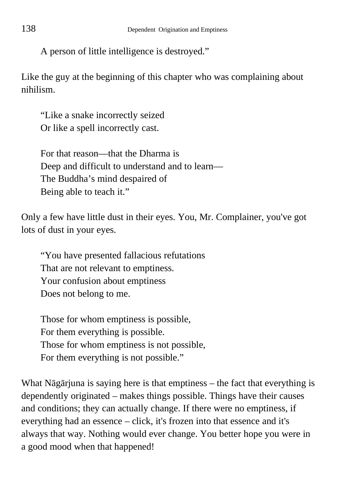A person of little intelligence is destroyed."

Like the guy at the beginning of this chapter who was complaining about nihilism.

 "Like a snake incorrectly seized Or like a spell incorrectly cast.

 For that reason—that the Dharma is Deep and difficult to understand and to learn— The Buddha's mind despaired of Being able to teach it."

Only a few have little dust in their eyes. You, Mr. Complainer, you've got lots of dust in your eyes.

 "You have presented fallacious refutations That are not relevant to emptiness. Your confusion about emptiness Does not belong to me.

 Those for whom emptiness is possible, For them everything is possible. Those for whom emptiness is not possible, For them everything is not possible."

What Nāgārjuna is saying here is that emptiness – the fact that everything is dependently originated – makes things possible. Things have their causes and conditions; they can actually change. If there were no emptiness, if everything had an essence – click, it's frozen into that essence and it's always that way. Nothing would ever change. You better hope you were in a good mood when that happened!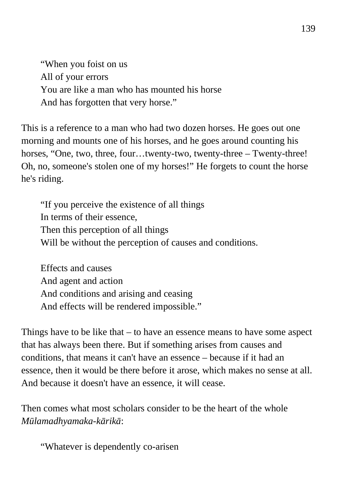"When you foist on us All of your errors You are like a man who has mounted his horse And has forgotten that very horse."

This is a reference to a man who had two dozen horses. He goes out one morning and mounts one of his horses, and he goes around counting his horses, "One, two, three, four…twenty-two, twenty-three – Twenty-three! Oh, no, someone's stolen one of my horses!" He forgets to count the horse he's riding.

 "If you perceive the existence of all things In terms of their essence, Then this perception of all things Will be without the perception of causes and conditions.

 Effects and causes And agent and action And conditions and arising and ceasing And effects will be rendered impossible."

Things have to be like that – to have an essence means to have some aspect that has always been there. But if something arises from causes and conditions, that means it can't have an essence – because if it had an essence, then it would be there before it arose, which makes no sense at all. And because it doesn't have an essence, it will cease.

Then comes what most scholars consider to be the heart of the whole Mūlamadhyamaka-kārikā:

"Whatever is dependently co-arisen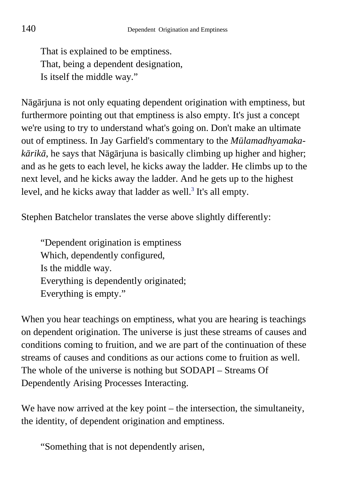That is explained to be emptiness. That, being a dependent designation, Is itself the middle way."

Nāgārjuna is not only equating dependent origination with emptiness, but furthermore pointing out that emptiness is also empty. It's just a concept we're using to try to understand what's going on. Don't make an ultimate out of emptiness. In Jay Garfield's commentary to the Mūlamadhyamakakārikā, he says that Nāgārjuna is basically climbing up higher and higher; and as he gets to each level, he kicks away the ladder. He climbs up to the next level, and he kicks away the ladder. And he gets up to the highest level, and he kicks away that ladder as well. $^3$  It's all empty.

Stephen Batchelor translates the verse above slightly differently:

 "Dependent origination is emptiness Which, dependently configured, Is the middle way. Everything is dependently originated; Everything is empty."

When you hear teachings on emptiness, what you are hearing is teachings on dependent origination. The universe is just these streams of causes and conditions coming to fruition, and we are part of the continuation of these streams of causes and conditions as our actions come to fruition as well. The whole of the universe is nothing but SODAPI – Streams Of Dependently Arising Processes Interacting.

We have now arrived at the key point – the intersection, the simultaneity, the identity, of dependent origination and emptiness.

"Something that is not dependently arisen,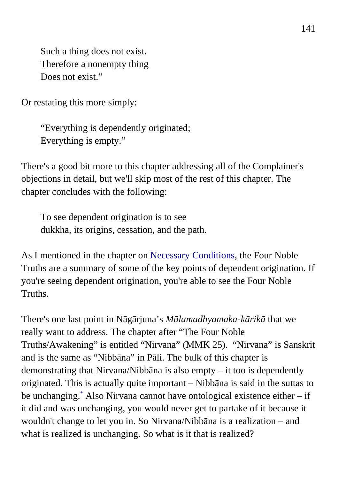Such a thing does not exist. Therefore a nonempty thing Does not exist."

Or restating this more simply:

 "Everything is dependently originated; Everything is empty."

There's a good bit more to this chapter addressing all of the Complainer's objections in detail, but we'll skip most of the rest of this chapter. The chapter concludes with the following:

 To see dependent origination is to see dukkha, its origins, cessation, and the path.

As I mentioned in the chapter on Necessary Conditions, the Four Noble Truths are a summary of some of the key points of dependent origination. If you're seeing dependent origination, you're able to see the Four Noble Truths.

There's one last point in Nāgārjuna's Mūlamadhyamaka-kārikā that we really want to address. The chapter after "The Four Noble Truths/Awakening" is entitled "Nirvana" (MMK 25). "Nirvana" is Sanskrit and is the same as "Nibbāna" in Pāli. The bulk of this chapter is demonstrating that Nirvana/Nibbāna is also empty – it too is dependently originated. This is actually quite important – Nibbāna is said in the suttas to be unchanging.\* Also Nirvana cannot have ontological existence either – if it did and was unchanging, you would never get to partake of it because it wouldn't change to let you in. So Nirvana/Nibbāna is a realization – and what is realized is unchanging. So what is it that is realized?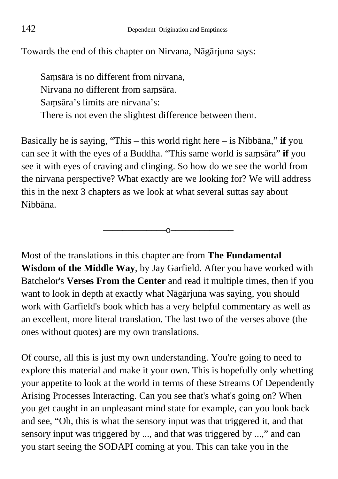Towards the end of this chapter on Nirvana, Nāgārjuna says:

 Saṃsāra is no different from nirvana, Nirvana no different from saṃsāra. Saṃsāra's limits are nirvana's: There is not even the slightest difference between them.

Basically he is saying, "This – this world right here – is Nibbana," if you can see it with the eyes of a Buddha. "This same world is saṃsāra" if you see it with eyes of craving and clinging. So how do we see the world from the nirvana perspective? What exactly are we looking for? We will address this in the next 3 chapters as we look at what several suttas say about Nibbāna.

Most of the translations in this chapter are from The Fundamental Wisdom of the Middle Way, by Jay Garfield. After you have worked with Batchelor's Verses From the Center and read it multiple times, then if you want to look in depth at exactly what Nāgārjuna was saying, you should work with Garfield's book which has a very helpful commentary as well as an excellent, more literal translation. The last two of the verses above (the ones without quotes) are my own translations.

–––––––––––––o–––––––––––––

Of course, all this is just my own understanding. You're going to need to explore this material and make it your own. This is hopefully only whetting your appetite to look at the world in terms of these Streams Of Dependently Arising Processes Interacting. Can you see that's what's going on? When you get caught in an unpleasant mind state for example, can you look back and see, "Oh, this is what the sensory input was that triggered it, and that sensory input was triggered by ..., and that was triggered by ...," and can you start seeing the SODAPI coming at you. This can take you in the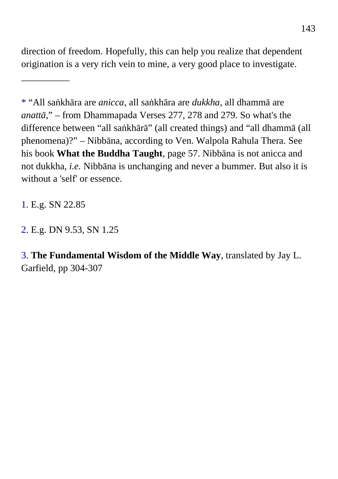direction of freedom. Hopefully, this can help you realize that dependent origination is a very rich vein to mine, a very good place to investigate.

\* "All saṅkhāra are anicca, all saṅkhāra are dukkha, all dhammā are anattā," – from Dhammapada Verses 277, 278 and 279. So what's the difference between "all saṅkhārā" (all created things) and "all dhammā (all phenomena)?" – Nibbāna, according to Ven. Walpola Rahula Thera. See his book What the Buddha Taught, page 57. Nibbāna is not anicca and not dukkha, i.e. Nibbāna is unchanging and never a bummer. But also it is without a 'self' or essence.

1. E.g. SN 22.85

 $\frac{1}{2}$ 

2. E.g. DN 9.53, SN 1.25

3. The Fundamental Wisdom of the Middle Way, translated by Jay L. Garfield, pp 304-307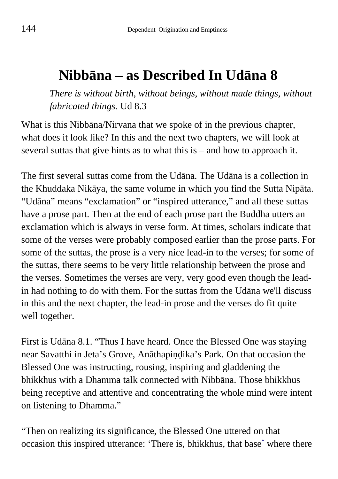# Nibbāna – as Described In Udāna 8

There is without birth, without beings, without made things, without fabricated things. Ud 8.3

What is this Nibbāna/Nirvana that we spoke of in the previous chapter, what does it look like? In this and the next two chapters, we will look at several suttas that give hints as to what this is – and how to approach it.

The first several suttas come from the Udāna. The Udāna is a collection in the Khuddaka Nikāya, the same volume in which you find the Sutta Nipāta. "Udāna" means "exclamation" or "inspired utterance," and all these suttas have a prose part. Then at the end of each prose part the Buddha utters an exclamation which is always in verse form. At times, scholars indicate that some of the verses were probably composed earlier than the prose parts. For some of the suttas, the prose is a very nice lead-in to the verses; for some of the suttas, there seems to be very little relationship between the prose and the verses. Sometimes the verses are very, very good even though the leadin had nothing to do with them. For the suttas from the Udāna we'll discuss in this and the next chapter, the lead-in prose and the verses do fit quite well together.

First is Udāna 8.1. "Thus I have heard. Once the Blessed One was staying near Savatthi in Jeta's Grove, Anāthapiṇḍika's Park. On that occasion the Blessed One was instructing, rousing, inspiring and gladdening the bhikkhus with a Dhamma talk connected with Nibbāna. Those bhikkhus being receptive and attentive and concentrating the whole mind were intent on listening to Dhamma."

"Then on realizing its significance, the Blessed One uttered on that occasion this inspired utterance: 'There is, bhikkhus, that base\* where there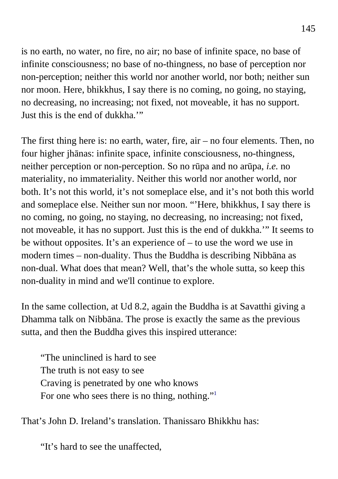is no earth, no water, no fire, no air; no base of infinite space, no base of infinite consciousness; no base of no-thingness, no base of perception nor non-perception; neither this world nor another world, nor both; neither sun nor moon. Here, bhikkhus, I say there is no coming, no going, no staying, no decreasing, no increasing; not fixed, not moveable, it has no support. Just this is the end of dukkha.'"

The first thing here is: no earth, water, fire, air – no four elements. Then, no four higher jhānas: infinite space, infinite consciousness, no-thingness, neither perception or non-perception. So no rūpa and no arūpa, i.e. no materiality, no immateriality. Neither this world nor another world, nor both. It's not this world, it's not someplace else, and it's not both this world and someplace else. Neither sun nor moon. "'Here, bhikkhus, I say there is no coming, no going, no staying, no decreasing, no increasing; not fixed, not moveable, it has no support. Just this is the end of dukkha.'" It seems to be without opposites. It's an experience of  $-$  to use the word we use in modern times – non-duality. Thus the Buddha is describing Nibbāna as non-dual. What does that mean? Well, that's the whole sutta, so keep this non-duality in mind and we'll continue to explore.

In the same collection, at Ud 8.2, again the Buddha is at Savatthi giving a Dhamma talk on Nibbāna. The prose is exactly the same as the previous sutta, and then the Buddha gives this inspired utterance:

 "The uninclined is hard to see The truth is not easy to see Craving is penetrated by one who knows For one who sees there is no thing, nothing."<sup>1</sup>

That's John D. Ireland's translation. Thanissaro Bhikkhu has:

"It's hard to see the unaffected,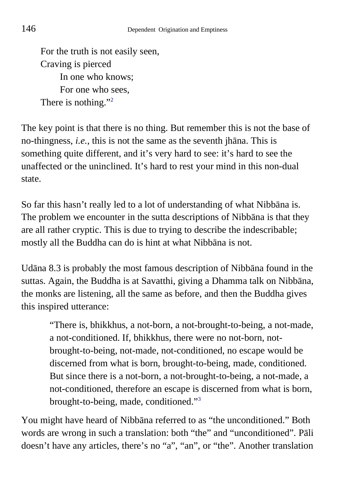```
        For the truth is not easily seen, 
        Craving is pierced 
                        In one who knows; 
                        For one who sees, 
There is nothing."<sup>2</sup>
```
The key point is that there is no thing. But remember this is not the base of no-thingness, i.e., this is not the same as the seventh jhāna. This is something quite different, and it's very hard to see: it's hard to see the unaffected or the uninclined. It's hard to rest your mind in this non-dual state.

So far this hasn't really led to a lot of understanding of what Nibbāna is. The problem we encounter in the sutta descriptions of Nibbāna is that they are all rather cryptic. This is due to trying to describe the indescribable; mostly all the Buddha can do is hint at what Nibbāna is not.

Udāna 8.3 is probably the most famous description of Nibbāna found in the suttas. Again, the Buddha is at Savatthi, giving a Dhamma talk on Nibbāna, the monks are listening, all the same as before, and then the Buddha gives this inspired utterance:

"There is, bhikkhus, a not-born, a not-brought-to-being, a not-made, a not-conditioned. If, bhikkhus, there were no not-born, notbrought-to-being, not-made, not-conditioned, no escape would be discerned from what is born, brought-to-being, made, conditioned. But since there is a not-born, a not-brought-to-being, a not-made, a not-conditioned, therefore an escape is discerned from what is born, brought-to-being, made, conditioned."<sup>3</sup>

You might have heard of Nibbāna referred to as "the unconditioned." Both words are wrong in such a translation: both "the" and "unconditioned". Pāli doesn't have any articles, there's no "a", "an", or "the". Another translation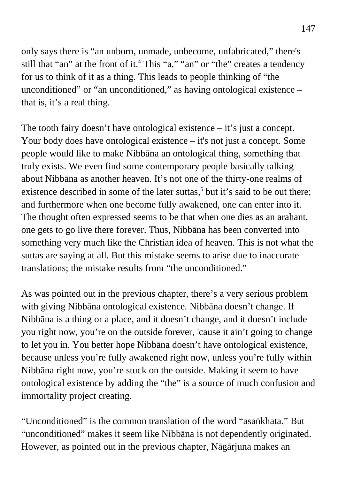only says there is "an unborn, unmade, unbecome, unfabricated," there's still that "an" at the front of it.<sup>4</sup> This "a," "an" or "the" creates a tendency for us to think of it as a thing. This leads to people thinking of "the unconditioned" or "an unconditioned," as having ontological existence – that is, it's a real thing.

The tooth fairy doesn't have ontological existence – it's just a concept. Your body does have ontological existence – it's not just a concept. Some people would like to make Nibbāna an ontological thing, something that truly exists. We even find some contemporary people basically talking about Nibbāna as another heaven. It's not one of the thirty-one realms of existence described in some of the later suttas,<sup>5</sup> but it's said to be out there; and furthermore when one become fully awakened, one can enter into it. The thought often expressed seems to be that when one dies as an arahant, one gets to go live there forever. Thus, Nibbāna has been converted into something very much like the Christian idea of heaven. This is not what the suttas are saying at all. But this mistake seems to arise due to inaccurate translations; the mistake results from "the unconditioned."

As was pointed out in the previous chapter, there's a very serious problem with giving Nibbāna ontological existence. Nibbāna doesn't change. If Nibbāna is a thing or a place, and it doesn't change, and it doesn't include you right now, you're on the outside forever, 'cause it ain't going to change to let you in. You better hope Nibbāna doesn't have ontological existence, because unless you're fully awakened right now, unless you're fully within Nibbāna right now, you're stuck on the outside. Making it seem to have ontological existence by adding the "the" is a source of much confusion and immortality project creating.

"Unconditioned" is the common translation of the word "asaṅkhata." But "unconditioned" makes it seem like Nibbāna is not dependently originated. However, as pointed out in the previous chapter, Nāgārjuna makes an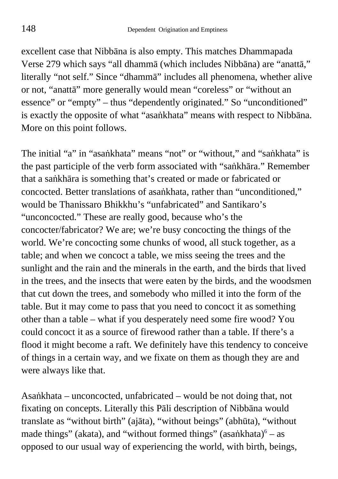excellent case that Nibbāna is also empty. This matches Dhammapada Verse 279 which says "all dhammā (which includes Nibbāna) are "anattā," literally "not self." Since "dhammā" includes all phenomena, whether alive or not, "anattā" more generally would mean "coreless" or "without an essence" or "empty" – thus "dependently originated." So "unconditioned" is exactly the opposite of what "asaṅkhata" means with respect to Nibbāna. More on this point follows.

The initial "a" in "asaṅkhata" means "not" or "without," and "saṅkhata" is the past participle of the verb form associated with "saṅkhāra." Remember that a saṅkhāra is something that's created or made or fabricated or concocted. Better translations of asaṅkhata, rather than "unconditioned," would be Thanissaro Bhikkhu's "unfabricated" and Santikaro's "unconcocted." These are really good, because who's the concocter/fabricator? We are; we're busy concocting the things of the world. We're concocting some chunks of wood, all stuck together, as a table; and when we concoct a table, we miss seeing the trees and the sunlight and the rain and the minerals in the earth, and the birds that lived in the trees, and the insects that were eaten by the birds, and the woodsmen that cut down the trees, and somebody who milled it into the form of the table. But it may come to pass that you need to concoct it as something other than a table – what if you desperately need some fire wood? You could concoct it as a source of firewood rather than a table. If there's a flood it might become a raft. We definitely have this tendency to conceive of things in a certain way, and we fixate on them as though they are and were always like that.

Asaṅkhata – unconcocted, unfabricated – would be not doing that, not fixating on concepts. Literally this Pāli description of Nibbāna would translate as "without birth" (ajāta), "without beings" (abhūta), "without made things" (akata), and "without formed things" (asaṅkhata) $6 -$  as opposed to our usual way of experiencing the world, with birth, beings,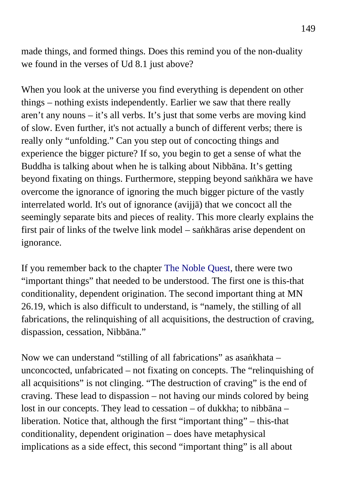made things, and formed things. Does this remind you of the non-duality we found in the verses of Ud 8.1 just above?

When you look at the universe you find everything is dependent on other things – nothing exists independently. Earlier we saw that there really aren't any nouns – it's all verbs. It's just that some verbs are moving kind of slow. Even further, it's not actually a bunch of different verbs; there is really only "unfolding." Can you step out of concocting things and experience the bigger picture? If so, you begin to get a sense of what the Buddha is talking about when he is talking about Nibbāna. It's getting beyond fixating on things. Furthermore, stepping beyond saṅkhāra we have overcome the ignorance of ignoring the much bigger picture of the vastly interrelated world. It's out of ignorance (avijjā) that we concoct all the seemingly separate bits and pieces of reality. This more clearly explains the first pair of links of the twelve link model – saṅkhāras arise dependent on ignorance.

If you remember back to the chapter The Noble Quest, there were two "important things" that needed to be understood. The first one is this-that conditionality, dependent origination. The second important thing at MN 26.19, which is also difficult to understand, is "namely, the stilling of all fabrications, the relinquishing of all acquisitions, the destruction of craving, dispassion, cessation, Nibbāna."

Now we can understand "stilling of all fabrications" as asaṅkhata – unconcocted, unfabricated – not fixating on concepts. The "relinquishing of all acquisitions" is not clinging. "The destruction of craving" is the end of craving. These lead to dispassion – not having our minds colored by being lost in our concepts. They lead to cessation – of dukkha; to nibbāna – liberation. Notice that, although the first "important thing" – this-that conditionality, dependent origination – does have metaphysical implications as a side effect, this second "important thing" is all about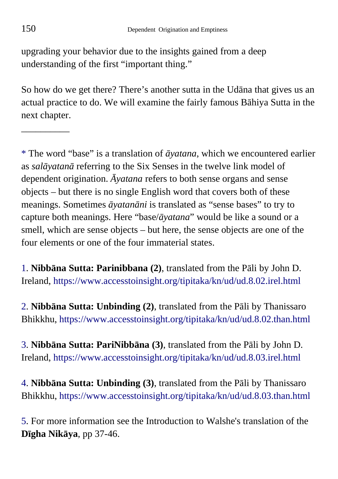upgrading your behavior due to the insights gained from a deep understanding of the first "important thing."

So how do we get there? There's another sutta in the Udāna that gives us an actual practice to do. We will examine the fairly famous Bāhiya Sutta in the next chapter.

 $*$  The word "base" is a translation of  $\bar{a}$ yatana, which we encountered earlier as salāyatanā referring to the Six Senses in the twelve link model of dependent origination. Āyatana refers to both sense organs and sense objects – but there is no single English word that covers both of these meanings. Sometimes āyatanāni is translated as "sense bases" to try to capture both meanings. Here "base/ $\bar{a}$ yatana" would be like a sound or a smell, which are sense objects – but here, the sense objects are one of the four elements or one of the four immaterial states.

1. Nibbāna Sutta: Parinibbana (2), translated from the Pāli by John D. Ireland, https://www.accesstoinsight.org/tipitaka/kn/ud/ud.8.02.irel.html

2. Nibbāna Sutta: Unbinding (2), translated from the Pāli by Thanissaro Bhikkhu, https://www.accesstoinsight.org/tipitaka/kn/ud/ud.8.02.than.html

3. Nibbāna Sutta: PariNibbāna (3), translated from the Pāli by John D. Ireland, https://www.accesstoinsight.org/tipitaka/kn/ud/ud.8.03.irel.html

4. Nibbāna Sutta: Unbinding (3), translated from the Pāli by Thanissaro Bhikkhu, https://www.accesstoinsight.org/tipitaka/kn/ud/ud.8.03.than.html

5. For more information see the Introduction to Walshe's translation of the Dīgha Nikāya, pp 37-46.

 $\overline{\phantom{a}}$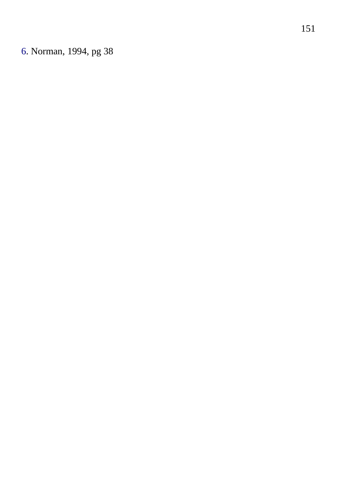6. Norman, 1994, pg 38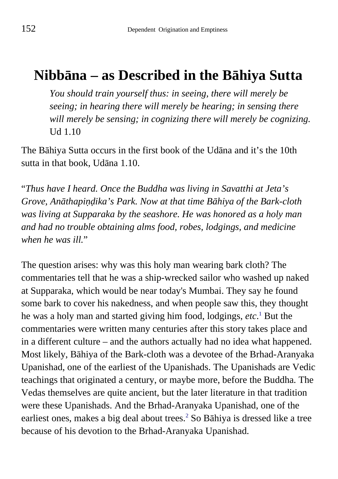### Nibbāna – as Described in the Bāhiya Sutta

You should train yourself thus: in seeing, there will merely be seeing; in hearing there will merely be hearing; in sensing there will merely be sensing; in cognizing there will merely be cognizing. Ud 1.10

The Bāhiya Sutta occurs in the first book of the Udāna and it's the 10th sutta in that book, Udāna 1.10.

"Thus have I heard. Once the Buddha was living in Savatthi at Jeta's Grove, Anāthapiṇḍika's Park. Now at that time Bāhiya of the Bark-cloth was living at Supparaka by the seashore. He was honored as a holy man and had no trouble obtaining alms food, robes, lodgings, and medicine when he was ill."

The question arises: why was this holy man wearing bark cloth? The commentaries tell that he was a ship-wrecked sailor who washed up naked at Supparaka, which would be near today's Mumbai. They say he found some bark to cover his nakedness, and when people saw this, they thought he was a holy man and started giving him food, lodgings, etc.<sup>1</sup> But the commentaries were written many centuries after this story takes place and in a different culture – and the authors actually had no idea what happened. Most likely, Bāhiya of the Bark-cloth was a devotee of the Brhad-Aranyaka Upanishad, one of the earliest of the Upanishads. The Upanishads are Vedic teachings that originated a century, or maybe more, before the Buddha. The Vedas themselves are quite ancient, but the later literature in that tradition were these Upanishads. And the Brhad-Aranyaka Upanishad, one of the earliest ones, makes a big deal about trees.<sup>2</sup> So Bāhiya is dressed like a tree because of his devotion to the Brhad-Aranyaka Upanishad.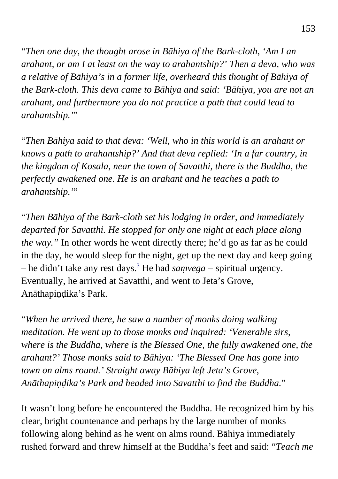"Then one day, the thought arose in Bāhiya of the Bark-cloth, 'Am I an arahant, or am I at least on the way to arahantship?' Then a deva, who was a relative of Bāhiya's in a former life, overheard this thought of Bāhiya of the Bark-cloth. This deva came to Bāhiya and said: 'Bāhiya, you are not an arahant, and furthermore you do not practice a path that could lead to arahantship.'"

"Then Bāhiya said to that deva: 'Well, who in this world is an arahant or knows a path to arahantship?' And that deva replied: 'In a far country, in the kingdom of Kosala, near the town of Savatthi, there is the Buddha, the perfectly awakened one. He is an arahant and he teaches a path to arahantship.'"

"Then Bāhiya of the Bark-cloth set his lodging in order, and immediately departed for Savatthi. He stopped for only one night at each place along the way." In other words he went directly there; he'd go as far as he could in the day, he would sleep for the night, get up the next day and keep going  $-$  he didn't take any rest days.<sup>3</sup> He had samvega  $-$  spiritual urgency. Eventually, he arrived at Savatthi, and went to Jeta's Grove, Anāthapiṇḍika's Park.

"When he arrived there, he saw a number of monks doing walking meditation. He went up to those monks and inquired: 'Venerable sirs, where is the Buddha, where is the Blessed One, the fully awakened one, the arahant?' Those monks said to Bāhiya: 'The Blessed One has gone into town on alms round.' Straight away Bāhiya left Jeta's Grove, Anāthapindika's Park and headed into Savatthi to find the Buddha."

It wasn't long before he encountered the Buddha. He recognized him by his clear, bright countenance and perhaps by the large number of monks following along behind as he went on alms round. Bāhiya immediately rushed forward and threw himself at the Buddha's feet and said: "Teach me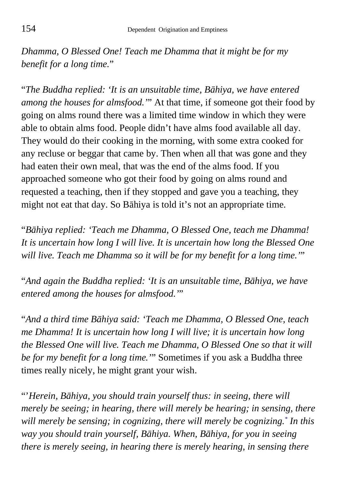Dhamma, O Blessed One! Teach me Dhamma that it might be for my benefit for a long time."

"The Buddha replied: 'It is an unsuitable time, Bāhiya, we have entered among the houses for almsfood.'" At that time, if someone got their food by going on alms round there was a limited time window in which they were able to obtain alms food. People didn't have alms food available all day. They would do their cooking in the morning, with some extra cooked for any recluse or beggar that came by. Then when all that was gone and they had eaten their own meal, that was the end of the alms food. If you approached someone who got their food by going on alms round and requested a teaching, then if they stopped and gave you a teaching, they might not eat that day. So Bāhiya is told it's not an appropriate time.

"Bāhiya replied: 'Teach me Dhamma, O Blessed One, teach me Dhamma! It is uncertain how long I will live. It is uncertain how long the Blessed One will live. Teach me Dhamma so it will be for my benefit for a long time.""

"And again the Buddha replied: 'It is an unsuitable time, Bāhiya, we have entered among the houses for almsfood.'"

"And a third time Bāhiya said: 'Teach me Dhamma, O Blessed One, teach me Dhamma! It is uncertain how long I will live; it is uncertain how long the Blessed One will live. Teach me Dhamma, O Blessed One so that it will be for my benefit for a long time.'" Sometimes if you ask a Buddha three times really nicely, he might grant your wish.

"'Herein, Bāhiya, you should train yourself thus: in seeing, there will merely be seeing; in hearing, there will merely be hearing; in sensing, there will merely be sensing; in cognizing, there will merely be cognizing.\* In this way you should train yourself, Bāhiya. When, Bāhiya, for you in seeing there is merely seeing, in hearing there is merely hearing, in sensing there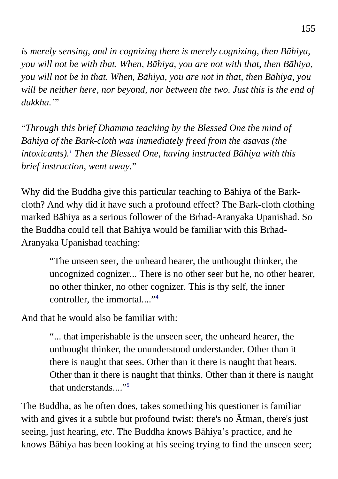is merely sensing, and in cognizing there is merely cognizing, then Bāhiya, you will not be with that. When, Bāhiya, you are not with that, then Bāhiya, you will not be in that. When, Bāhiya, you are not in that, then Bāhiya, you will be neither here, nor beyond, nor between the two. Just this is the end of dukkha.'"

"Through this brief Dhamma teaching by the Blessed One the mind of Bāhiya of the Bark-cloth was immediately freed from the āsavas (the intoxicants).† Then the Blessed One, having instructed Bāhiya with this brief instruction, went away."

Why did the Buddha give this particular teaching to Bāhiya of the Barkcloth? And why did it have such a profound effect? The Bark-cloth clothing marked Bāhiya as a serious follower of the Brhad-Aranyaka Upanishad. So the Buddha could tell that Bāhiya would be familiar with this Brhad-Aranyaka Upanishad teaching:

"The unseen seer, the unheard hearer, the unthought thinker, the uncognized cognizer... There is no other seer but he, no other hearer, no other thinker, no other cognizer. This is thy self, the inner controller, the immortal...."<sup>4</sup>

And that he would also be familiar with:

"... that imperishable is the unseen seer, the unheard hearer, the unthought thinker, the ununderstood understander. Other than it there is naught that sees. Other than it there is naught that hears. Other than it there is naught that thinks. Other than it there is naught that understands...."<sup>5</sup>

The Buddha, as he often does, takes something his questioner is familiar with and gives it a subtle but profound twist: there's no  $\bar{A}$ tman, there's just seeing, just hearing, etc. The Buddha knows Bāhiya's practice, and he knows Bāhiya has been looking at his seeing trying to find the unseen seer;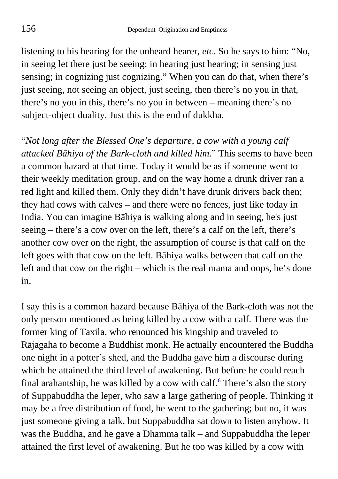listening to his hearing for the unheard hearer, etc. So he says to him: "No, in seeing let there just be seeing; in hearing just hearing; in sensing just sensing; in cognizing just cognizing." When you can do that, when there's just seeing, not seeing an object, just seeing, then there's no you in that, there's no you in this, there's no you in between – meaning there's no subject-object duality. Just this is the end of dukkha.

"Not long after the Blessed One's departure, a cow with a young calf attacked Bāhiya of the Bark-cloth and killed him." This seems to have been a common hazard at that time. Today it would be as if someone went to their weekly meditation group, and on the way home a drunk driver ran a red light and killed them. Only they didn't have drunk drivers back then; they had cows with calves – and there were no fences, just like today in India. You can imagine Bāhiya is walking along and in seeing, he's just seeing – there's a cow over on the left, there's a calf on the left, there's another cow over on the right, the assumption of course is that calf on the left goes with that cow on the left. Bāhiya walks between that calf on the left and that cow on the right – which is the real mama and oops, he's done in.

I say this is a common hazard because Bāhiya of the Bark-cloth was not the only person mentioned as being killed by a cow with a calf. There was the former king of Taxila, who renounced his kingship and traveled to Rājagaha to become a Buddhist monk. He actually encountered the Buddha one night in a potter's shed, and the Buddha gave him a discourse during which he attained the third level of awakening. But before he could reach final arahantship, he was killed by a cow with calf. $6$  There's also the story of Suppabuddha the leper, who saw a large gathering of people. Thinking it may be a free distribution of food, he went to the gathering; but no, it was just someone giving a talk, but Suppabuddha sat down to listen anyhow. It was the Buddha, and he gave a Dhamma talk – and Suppabuddha the leper attained the first level of awakening. But he too was killed by a cow with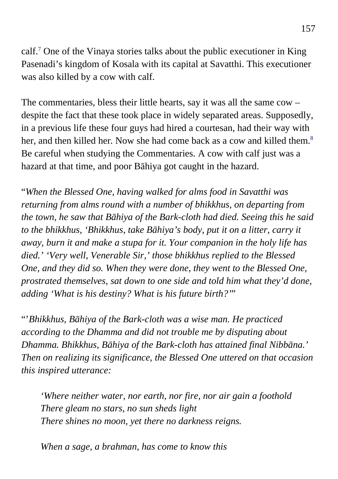$\text{calf}$ .<sup>7</sup> One of the Vinaya stories talks about the public executioner in King Pasenadi's kingdom of Kosala with its capital at Savatthi. This executioner was also killed by a cow with calf.

The commentaries, bless their little hearts, say it was all the same cow – despite the fact that these took place in widely separated areas. Supposedly, in a previous life these four guys had hired a courtesan, had their way with her, and then killed her. Now she had come back as a cow and killed them.<sup>8</sup> Be careful when studying the Commentaries. A cow with calf just was a hazard at that time, and poor Bāhiya got caught in the hazard.

"When the Blessed One, having walked for alms food in Savatthi was returning from alms round with a number of bhikkhus, on departing from the town, he saw that Bāhiya of the Bark-cloth had died. Seeing this he said to the bhikkhus, 'Bhikkhus, take Bāhiya's body, put it on a litter, carry it away, burn it and make a stupa for it. Your companion in the holy life has died.' 'Very well, Venerable Sir,' those bhikkhus replied to the Blessed One, and they did so. When they were done, they went to the Blessed One, prostrated themselves, sat down to one side and told him what they'd done, adding 'What is his destiny? What is his future birth?'"

"'Bhikkhus, Bāhiya of the Bark-cloth was a wise man. He practiced according to the Dhamma and did not trouble me by disputing about Dhamma. Bhikkhus, Bāhiya of the Bark-cloth has attained final Nibbāna.' Then on realizing its significance, the Blessed One uttered on that occasion this inspired utterance:

 'Where neither water, nor earth, nor fire, nor air gain a foothold There gleam no stars, no sun sheds light There shines no moon, yet there no darkness reigns.

When a sage, a brahman, has come to know this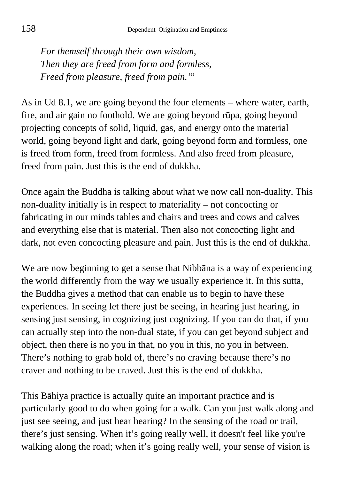For themself through their own wisdom, Then they are freed from form and formless, Freed from pleasure, freed from pain.'"

As in Ud 8.1, we are going beyond the four elements – where water, earth, fire, and air gain no foothold. We are going beyond rūpa, going beyond projecting concepts of solid, liquid, gas, and energy onto the material world, going beyond light and dark, going beyond form and formless, one is freed from form, freed from formless. And also freed from pleasure, freed from pain. Just this is the end of dukkha.

Once again the Buddha is talking about what we now call non-duality. This non-duality initially is in respect to materiality – not concocting or fabricating in our minds tables and chairs and trees and cows and calves and everything else that is material. Then also not concocting light and dark, not even concocting pleasure and pain. Just this is the end of dukkha.

We are now beginning to get a sense that Nibbāna is a way of experiencing the world differently from the way we usually experience it. In this sutta, the Buddha gives a method that can enable us to begin to have these experiences. In seeing let there just be seeing, in hearing just hearing, in sensing just sensing, in cognizing just cognizing. If you can do that, if you can actually step into the non-dual state, if you can get beyond subject and object, then there is no you in that, no you in this, no you in between. There's nothing to grab hold of, there's no craving because there's no craver and nothing to be craved. Just this is the end of dukkha.

This Bāhiya practice is actually quite an important practice and is particularly good to do when going for a walk. Can you just walk along and just see seeing, and just hear hearing? In the sensing of the road or trail, there's just sensing. When it's going really well, it doesn't feel like you're walking along the road; when it's going really well, your sense of vision is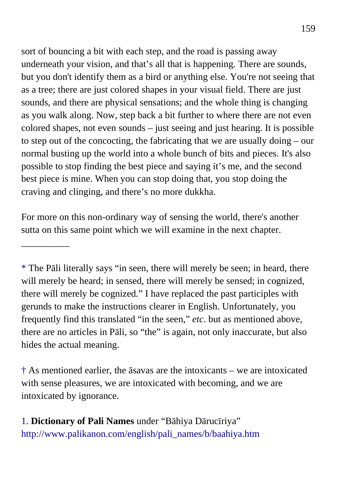sort of bouncing a bit with each step, and the road is passing away underneath your vision, and that's all that is happening. There are sounds, but you don't identify them as a bird or anything else. You're not seeing that as a tree; there are just colored shapes in your visual field. There are just sounds, and there are physical sensations; and the whole thing is changing as you walk along. Now, step back a bit further to where there are not even colored shapes, not even sounds – just seeing and just hearing. It is possible to step out of the concocting, the fabricating that we are usually doing – our normal busting up the world into a whole bunch of bits and pieces. It's also possible to stop finding the best piece and saying it's me, and the second best piece is mine. When you can stop doing that, you stop doing the craving and clinging, and there's no more dukkha.

For more on this non-ordinary way of sensing the world, there's another sutta on this same point which we will examine in the next chapter.

 $\overline{\phantom{a}}$ 

\* The Pāli literally says "in seen, there will merely be seen; in heard, there will merely be heard; in sensed, there will merely be sensed; in cognized, there will merely be cognized." I have replaced the past participles with gerunds to make the instructions clearer in English. Unfortunately, you frequently find this translated "in the seen," etc. but as mentioned above, there are no articles in Pāli, so "the" is again, not only inaccurate, but also hides the actual meaning.

† As mentioned earlier, the āsavas are the intoxicants – we are intoxicated with sense pleasures, we are intoxicated with becoming, and we are intoxicated by ignorance.

1. Dictionary of Pali Names under "Bāhiya Dārucīriya" http://www.palikanon.com/english/pali\_names/b/baahiya.htm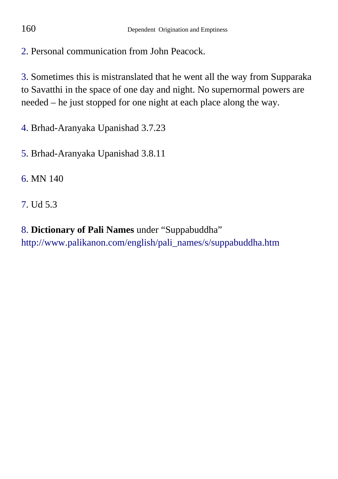2. Personal communication from John Peacock.

3. Sometimes this is mistranslated that he went all the way from Supparaka to Savatthi in the space of one day and night. No supernormal powers are needed – he just stopped for one night at each place along the way.

- 4. Brhad-Aranyaka Upanishad 3.7.23
- 5. Brhad-Aranyaka Upanishad 3.8.11
- 6. MN 140
- 7. Ud 5.3

8. Dictionary of Pali Names under "Suppabuddha" http://www.palikanon.com/english/pali\_names/s/suppabuddha.htm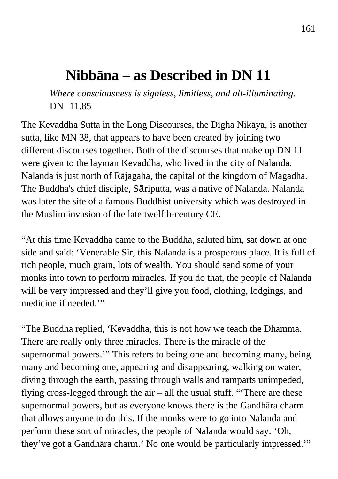## Nibbāna – as Described in DN 11

Where consciousness is signless, limitless, and all-illuminating. DN 11.85

The Kevaddha Sutta in the Long Discourses, the Dīgha Nikāya, is another sutta, like MN 38, that appears to have been created by joining two different discourses together. Both of the discourses that make up DN 11 were given to the layman Kevaddha, who lived in the city of Nalanda. Nalanda is just north of Rājagaha, the capital of the kingdom of Magadha. The Buddha's chief disciple, Sāriputta, was a native of Nalanda. Nalanda was later the site of a famous Buddhist university which was destroyed in the Muslim invasion of the late twelfth-century CE.

"At this time Kevaddha came to the Buddha, saluted him, sat down at one side and said: 'Venerable Sir, this Nalanda is a prosperous place. It is full of rich people, much grain, lots of wealth. You should send some of your monks into town to perform miracles. If you do that, the people of Nalanda will be very impressed and they'll give you food, clothing, lodgings, and medicine if needed.'"

"The Buddha replied, 'Kevaddha, this is not how we teach the Dhamma. There are really only three miracles. There is the miracle of the supernormal powers.'" This refers to being one and becoming many, being many and becoming one, appearing and disappearing, walking on water, diving through the earth, passing through walls and ramparts unimpeded, flying cross-legged through the air – all the usual stuff. "'There are these supernormal powers, but as everyone knows there is the Gandhāra charm that allows anyone to do this. If the monks were to go into Nalanda and perform these sort of miracles, the people of Nalanda would say: 'Oh, they've got a Gandhāra charm.' No one would be particularly impressed.'"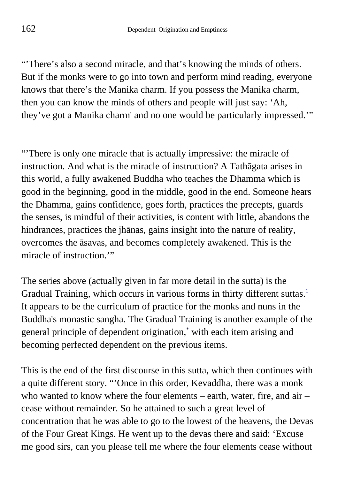"'There's also a second miracle, and that's knowing the minds of others. But if the monks were to go into town and perform mind reading, everyone knows that there's the Manika charm. If you possess the Manika charm, then you can know the minds of others and people will just say: 'Ah, they've got a Manika charm' and no one would be particularly impressed.'"

"'There is only one miracle that is actually impressive: the miracle of instruction. And what is the miracle of instruction? A Tathāgata arises in this world, a fully awakened Buddha who teaches the Dhamma which is good in the beginning, good in the middle, good in the end. Someone hears the Dhamma, gains confidence, goes forth, practices the precepts, guards the senses, is mindful of their activities, is content with little, abandons the hindrances, practices the jhānas, gains insight into the nature of reality, overcomes the āsavas, and becomes completely awakened. This is the miracle of instruction.'"

The series above (actually given in far more detail in the sutta) is the Gradual Training, which occurs in various forms in thirty different suttas.<sup>1</sup> It appears to be the curriculum of practice for the monks and nuns in the Buddha's monastic sangha. The Gradual Training is another example of the general principle of dependent origination,\* with each item arising and becoming perfected dependent on the previous items.

This is the end of the first discourse in this sutta, which then continues with a quite different story. "'Once in this order, Kevaddha, there was a monk who wanted to know where the four elements – earth, water, fire, and air – cease without remainder. So he attained to such a great level of concentration that he was able to go to the lowest of the heavens, the Devas of the Four Great Kings. He went up to the devas there and said: 'Excuse me good sirs, can you please tell me where the four elements cease without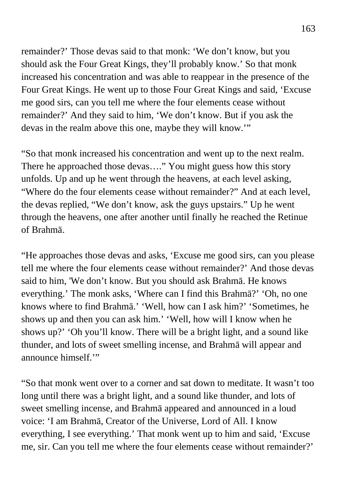remainder?' Those devas said to that monk: 'We don't know, but you should ask the Four Great Kings, they'll probably know.' So that monk increased his concentration and was able to reappear in the presence of the Four Great Kings. He went up to those Four Great Kings and said, 'Excuse me good sirs, can you tell me where the four elements cease without remainder?' And they said to him, 'We don't know. But if you ask the devas in the realm above this one, maybe they will know.'"

"So that monk increased his concentration and went up to the next realm. There he approached those devas…." You might guess how this story unfolds. Up and up he went through the heavens, at each level asking, "Where do the four elements cease without remainder?" And at each level, the devas replied, "We don't know, ask the guys upstairs." Up he went through the heavens, one after another until finally he reached the Retinue of Brahmā.

"He approaches those devas and asks, 'Excuse me good sirs, can you please tell me where the four elements cease without remainder?' And those devas said to him, 'We don't know. But you should ask Brahmā. He knows everything.' The monk asks, 'Where can I find this Brahmā?' 'Oh, no one knows where to find Brahmā.' 'Well, how can I ask him?' 'Sometimes, he shows up and then you can ask him.' 'Well, how will I know when he shows up?' 'Oh you'll know. There will be a bright light, and a sound like thunder, and lots of sweet smelling incense, and Brahmā will appear and announce himself.'"

"So that monk went over to a corner and sat down to meditate. It wasn't too long until there was a bright light, and a sound like thunder, and lots of sweet smelling incense, and Brahmā appeared and announced in a loud voice: 'I am Brahmā, Creator of the Universe, Lord of All. I know everything, I see everything.' That monk went up to him and said, 'Excuse me, sir. Can you tell me where the four elements cease without remainder?'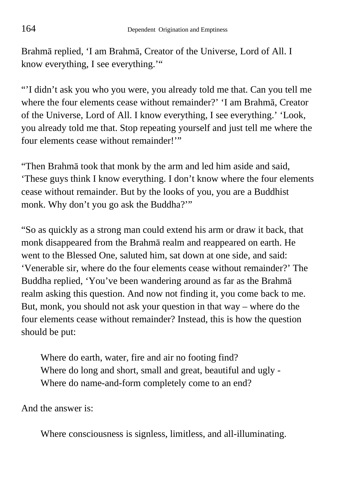Brahmā replied, 'I am Brahmā, Creator of the Universe, Lord of All. I know everything, I see everything.'"

"'I didn't ask you who you were, you already told me that. Can you tell me where the four elements cease without remainder?' 'I am Brahmā, Creator of the Universe, Lord of All. I know everything, I see everything.' 'Look, you already told me that. Stop repeating yourself and just tell me where the four elements cease without remainder!""

"Then Brahmā took that monk by the arm and led him aside and said, 'These guys think I know everything. I don't know where the four elements cease without remainder. But by the looks of you, you are a Buddhist monk. Why don't you go ask the Buddha?'"

"So as quickly as a strong man could extend his arm or draw it back, that monk disappeared from the Brahmā realm and reappeared on earth. He went to the Blessed One, saluted him, sat down at one side, and said: 'Venerable sir, where do the four elements cease without remainder?' The Buddha replied, 'You've been wandering around as far as the Brahmā realm asking this question. And now not finding it, you come back to me. But, monk, you should not ask your question in that way – where do the four elements cease without remainder? Instead, this is how the question should be put:

 Where do earth, water, fire and air no footing find? Where do long and short, small and great, beautiful and ugly - Where do name-and-form completely come to an end?

And the answer is:

Where consciousness is signless, limitless, and all-illuminating.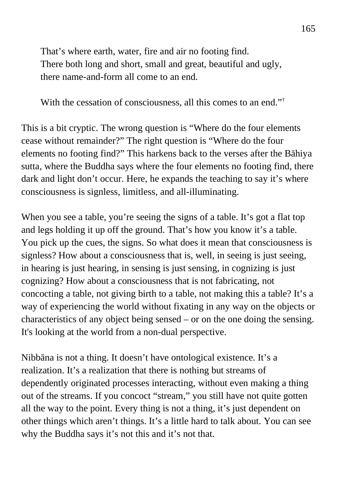That's where earth, water, fire and air no footing find. There both long and short, small and great, beautiful and ugly, there name-and-form all come to an end.

With the cessation of consciousness, all this comes to an end."<sup>†</sup>

This is a bit cryptic. The wrong question is "Where do the four elements cease without remainder?" The right question is "Where do the four elements no footing find?" This harkens back to the verses after the Bāhiya sutta, where the Buddha says where the four elements no footing find, there dark and light don't occur. Here, he expands the teaching to say it's where consciousness is signless, limitless, and all-illuminating.

When you see a table, you're seeing the signs of a table. It's got a flat top and legs holding it up off the ground. That's how you know it's a table. You pick up the cues, the signs. So what does it mean that consciousness is signless? How about a consciousness that is, well, in seeing is just seeing, in hearing is just hearing, in sensing is just sensing, in cognizing is just cognizing? How about a consciousness that is not fabricating, not concocting a table, not giving birth to a table, not making this a table? It's a way of experiencing the world without fixating in any way on the objects or characteristics of any object being sensed – or on the one doing the sensing. It's looking at the world from a non-dual perspective.

Nibbāna is not a thing. It doesn't have ontological existence. It's a realization. It's a realization that there is nothing but streams of dependently originated processes interacting, without even making a thing out of the streams. If you concoct "stream," you still have not quite gotten all the way to the point. Every thing is not a thing, it's just dependent on other things which aren't things. It's a little hard to talk about. You can see why the Buddha says it's not this and it's not that.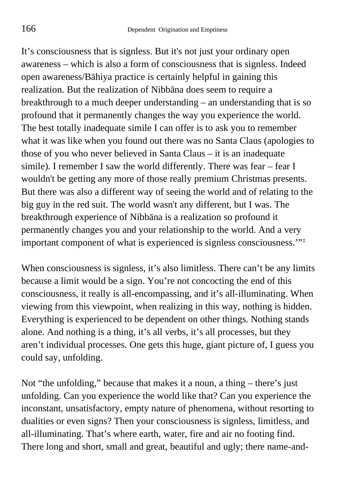It's consciousness that is signless. But it's not just your ordinary open awareness – which is also a form of consciousness that is signless. Indeed open awareness/Bāhiya practice is certainly helpful in gaining this realization. But the realization of Nibbāna does seem to require a breakthrough to a much deeper understanding – an understanding that is so profound that it permanently changes the way you experience the world. The best totally inadequate simile I can offer is to ask you to remember what it was like when you found out there was no Santa Claus (apologies to those of you who never believed in Santa Claus – it is an inadequate simile). I remember I saw the world differently. There was fear – fear I wouldn't be getting any more of those really premium Christmas presents. But there was also a different way of seeing the world and of relating to the big guy in the red suit. The world wasn't any different, but I was. The breakthrough experience of Nibbāna is a realization so profound it permanently changes you and your relationship to the world. And a very important component of what is experienced is signless consciousness."<sup>\*\*</sup>

When consciousness is signless, it's also limitless. There can't be any limits because a limit would be a sign. You're not concocting the end of this consciousness, it really is all-encompassing, and it's all-illuminating. When viewing from this viewpoint, when realizing in this way, nothing is hidden. Everything is experienced to be dependent on other things. Nothing stands alone. And nothing is a thing, it's all verbs, it's all processes, but they aren't individual processes. One gets this huge, giant picture of, I guess you could say, unfolding.

Not "the unfolding," because that makes it a noun, a thing – there's just unfolding. Can you experience the world like that? Can you experience the inconstant, unsatisfactory, empty nature of phenomena, without resorting to dualities or even signs? Then your consciousness is signless, limitless, and all-illuminating. That's where earth, water, fire and air no footing find. There long and short, small and great, beautiful and ugly; there name-and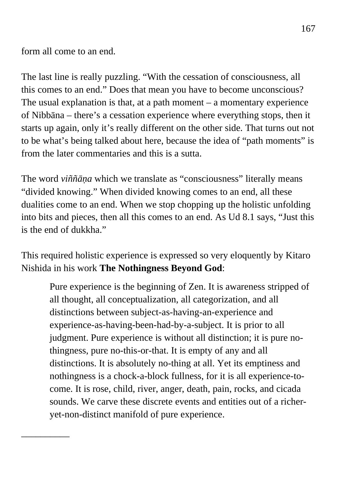form all come to an end.

 $\overline{\phantom{a}}$ 

The last line is really puzzling. "With the cessation of consciousness, all this comes to an end." Does that mean you have to become unconscious? The usual explanation is that, at a path moment – a momentary experience of Nibbāna – there's a cessation experience where everything stops, then it starts up again, only it's really different on the other side. That turns out not to be what's being talked about here, because the idea of "path moments" is from the later commentaries and this is a sutta.

The word viññāṇa which we translate as "consciousness" literally means "divided knowing." When divided knowing comes to an end, all these dualities come to an end. When we stop chopping up the holistic unfolding into bits and pieces, then all this comes to an end. As Ud 8.1 says, "Just this is the end of dukkha."

This required holistic experience is expressed so very eloquently by Kitaro Nishida in his work The Nothingness Beyond God:

Pure experience is the beginning of Zen. It is awareness stripped of all thought, all conceptualization, all categorization, and all distinctions between subject-as-having-an-experience and experience-as-having-been-had-by-a-subject. It is prior to all judgment. Pure experience is without all distinction; it is pure nothingness, pure no-this-or-that. It is empty of any and all distinctions. It is absolutely no-thing at all. Yet its emptiness and nothingness is a chock-a-block fullness, for it is all experience-tocome. It is rose, child, river, anger, death, pain, rocks, and cicada sounds. We carve these discrete events and entities out of a richeryet-non-distinct manifold of pure experience.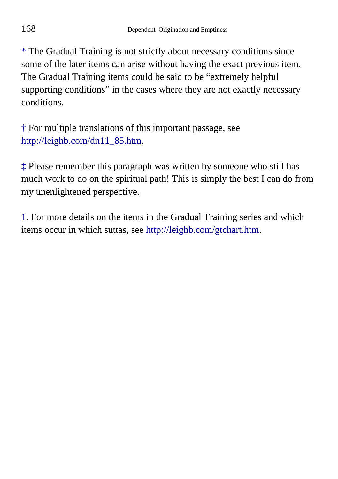\* The Gradual Training is not strictly about necessary conditions since some of the later items can arise without having the exact previous item. The Gradual Training items could be said to be "extremely helpful supporting conditions" in the cases where they are not exactly necessary conditions.

† For multiple translations of this important passage, see http://leighb.com/dn11\_85.htm.

‡ Please remember this paragraph was written by someone who still has much work to do on the spiritual path! This is simply the best I can do from my unenlightened perspective.

1. For more details on the items in the Gradual Training series and which items occur in which suttas, see http://leighb.com/gtchart.htm.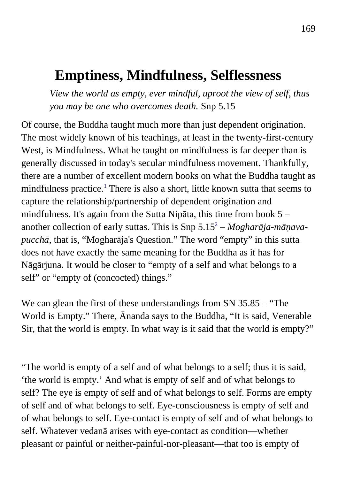## Emptiness, Mindfulness, Selflessness

View the world as empty, ever mindful, uproot the view of self, thus you may be one who overcomes death. Snp 5.15

Of course, the Buddha taught much more than just dependent origination. The most widely known of his teachings, at least in the twenty-first-century West, is Mindfulness. What he taught on mindfulness is far deeper than is generally discussed in today's secular mindfulness movement. Thankfully, there are a number of excellent modern books on what the Buddha taught as mindfulness practice.<sup>1</sup> There is also a short, little known sutta that seems to capture the relationship/partnership of dependent origination and mindfulness. It's again from the Sutta Nipāta, this time from book 5 – another collection of early suttas. This is Snp  $5.15^2$  – Mogharāja-māṇavapucchā, that is, "Mogharāja's Question." The word "empty" in this sutta does not have exactly the same meaning for the Buddha as it has for Nāgārjuna. It would be closer to "empty of a self and what belongs to a self" or "empty of (concocted) things."

We can glean the first of these understandings from SN 35.85 – "The World is Empty." There, Ānanda says to the Buddha, "It is said, Venerable Sir, that the world is empty. In what way is it said that the world is empty?"

"The world is empty of a self and of what belongs to a self; thus it is said, 'the world is empty.' And what is empty of self and of what belongs to self? The eye is empty of self and of what belongs to self. Forms are empty of self and of what belongs to self. Eye-consciousness is empty of self and of what belongs to self. Eye-contact is empty of self and of what belongs to self. Whatever vedanā arises with eye-contact as condition—whether pleasant or painful or neither-painful-nor-pleasant—that too is empty of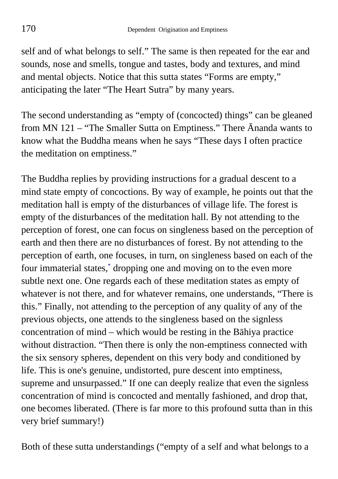self and of what belongs to self." The same is then repeated for the ear and sounds, nose and smells, tongue and tastes, body and textures, and mind and mental objects. Notice that this sutta states "Forms are empty," anticipating the later "The Heart Sutra" by many years.

The second understanding as "empty of (concocted) things" can be gleaned from MN 121 – "The Smaller Sutta on Emptiness." There Ānanda wants to know what the Buddha means when he says "These days I often practice the meditation on emptiness."

The Buddha replies by providing instructions for a gradual descent to a mind state empty of concoctions. By way of example, he points out that the meditation hall is empty of the disturbances of village life. The forest is empty of the disturbances of the meditation hall. By not attending to the perception of forest, one can focus on singleness based on the perception of earth and then there are no disturbances of forest. By not attending to the perception of earth, one focuses, in turn, on singleness based on each of the four immaterial states,\* dropping one and moving on to the even more subtle next one. One regards each of these meditation states as empty of whatever is not there, and for whatever remains, one understands, "There is this." Finally, not attending to the perception of any quality of any of the previous objects, one attends to the singleness based on the signless concentration of mind – which would be resting in the Bāhiya practice without distraction. "Then there is only the non-emptiness connected with the six sensory spheres, dependent on this very body and conditioned by life. This is one's genuine, undistorted, pure descent into emptiness, supreme and unsurpassed." If one can deeply realize that even the signless concentration of mind is concocted and mentally fashioned, and drop that, one becomes liberated. (There is far more to this profound sutta than in this very brief summary!)

Both of these sutta understandings ("empty of a self and what belongs to a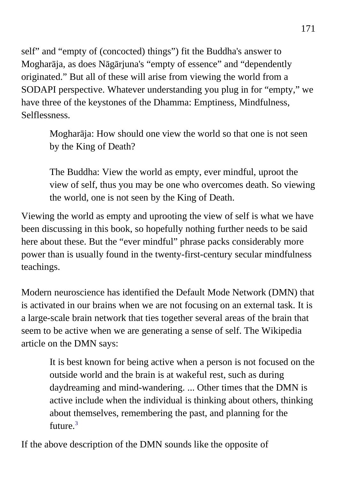self" and "empty of (concocted) things") fit the Buddha's answer to Mogharāja, as does Nāgārjuna's "empty of essence" and "dependently originated." But all of these will arise from viewing the world from a SODAPI perspective. Whatever understanding you plug in for "empty," we have three of the keystones of the Dhamma: Emptiness, Mindfulness, Selflessness.

Mogharāja: How should one view the world so that one is not seen by the King of Death?

The Buddha: View the world as empty, ever mindful, uproot the view of self, thus you may be one who overcomes death. So viewing the world, one is not seen by the King of Death.

Viewing the world as empty and uprooting the view of self is what we have been discussing in this book, so hopefully nothing further needs to be said here about these. But the "ever mindful" phrase packs considerably more power than is usually found in the twenty-first-century secular mindfulness teachings.

Modern neuroscience has identified the Default Mode Network (DMN) that is activated in our brains when we are not focusing on an external task. It is a large-scale brain network that ties together several areas of the brain that seem to be active when we are generating a sense of self. The Wikipedia article on the DMN says:

It is best known for being active when a person is not focused on the outside world and the brain is at wakeful rest, such as during daydreaming and mind-wandering. ... Other times that the DMN is active include when the individual is thinking about others, thinking about themselves, remembering the past, and planning for the future<sup>3</sup>

If the above description of the DMN sounds like the opposite of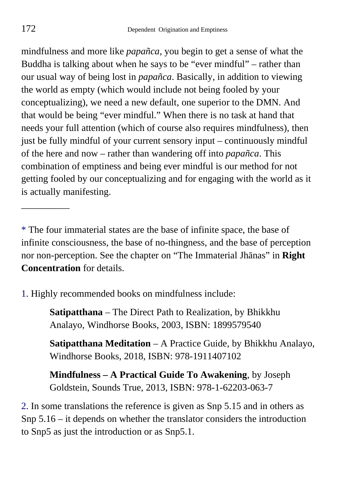mindfulness and more like *papañca*, you begin to get a sense of what the Buddha is talking about when he says to be "ever mindful" – rather than our usual way of being lost in papañca. Basically, in addition to viewing the world as empty (which would include not being fooled by your conceptualizing), we need a new default, one superior to the DMN. And that would be being "ever mindful." When there is no task at hand that needs your full attention (which of course also requires mindfulness), then just be fully mindful of your current sensory input – continuously mindful of the here and now – rather than wandering off into papañca. This combination of emptiness and being ever mindful is our method for not getting fooled by our conceptualizing and for engaging with the world as it is actually manifesting.

\* The four immaterial states are the base of infinite space, the base of infinite consciousness, the base of no-thingness, and the base of perception nor non-perception. See the chapter on "The Immaterial Jhanas" in Right Concentration for details.

1. Highly recommended books on mindfulness include:

Satipatthana – The Direct Path to Realization, by Bhikkhu Analayo, Windhorse Books, 2003, ISBN: 1899579540

**Satipatthana Meditation**  $-A$  Practice Guide, by Bhikkhu Analayo, Windhorse Books, 2018, ISBN: 978-1911407102

Mindfulness – A Practical Guide To Awakening, by Joseph Goldstein, Sounds True, 2013, ISBN: 978-1-62203-063-7

2. In some translations the reference is given as Snp 5.15 and in others as Snp 5.16 – it depends on whether the translator considers the introduction to Snp5 as just the introduction or as Snp5.1.

 $\overline{\phantom{a}}$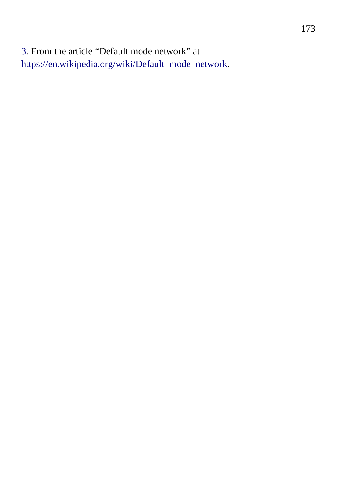### 3. From the article "Default mode network" at https://en.wikipedia.org/wiki/Default\_mode\_network.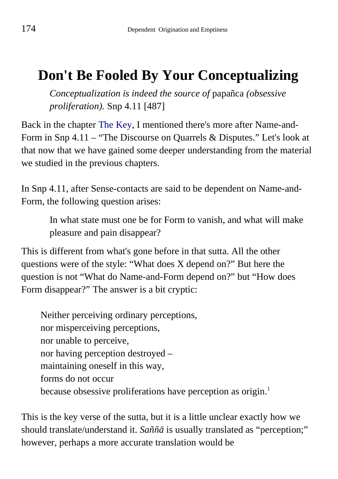# Don't Be Fooled By Your Conceptualizing

Conceptualization is indeed the source of papañca (obsessive proliferation). Snp 4.11 [487]

Back in the chapter The Key, I mentioned there's more after Name-and-Form in Snp 4.11 – "The Discourse on Quarrels & Disputes." Let's look at that now that we have gained some deeper understanding from the material we studied in the previous chapters.

In Snp 4.11, after Sense-contacts are said to be dependent on Name-and-Form, the following question arises:

> In what state must one be for Form to vanish, and what will make pleasure and pain disappear?

This is different from what's gone before in that sutta. All the other questions were of the style: "What does X depend on?" But here the question is not "What do Name-and-Form depend on?" but "How does Form disappear?" The answer is a bit cryptic:

 Neither perceiving ordinary perceptions, nor misperceiving perceptions, nor unable to perceive, nor having perception destroyed – maintaining oneself in this way, forms do not occur because obsessive proliferations have perception as origin.<sup>1</sup>

This is the key verse of the sutta, but it is a little unclear exactly how we should translate/understand it. Saññā is usually translated as "perception;" however, perhaps a more accurate translation would be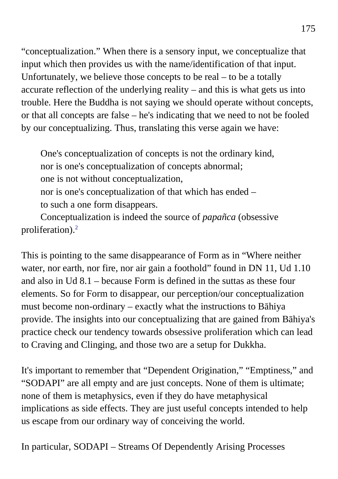"conceptualization." When there is a sensory input, we conceptualize that input which then provides us with the name/identification of that input. Unfortunately, we believe those concepts to be real – to be a totally accurate reflection of the underlying reality – and this is what gets us into trouble. Here the Buddha is not saying we should operate without concepts, or that all concepts are false – he's indicating that we need to not be fooled by our conceptualizing. Thus, translating this verse again we have:

 One's conceptualization of concepts is not the ordinary kind, nor is one's conceptualization of concepts abnormal; one is not without conceptualization, nor is one's conceptualization of that which has ended – to such a one form disappears.

 Conceptualization is indeed the source of papañca (obsessive proliferation).<sup>2</sup>

This is pointing to the same disappearance of Form as in "Where neither water, nor earth, nor fire, nor air gain a foothold" found in DN 11, Ud 1.10 and also in Ud 8.1 – because Form is defined in the suttas as these four elements. So for Form to disappear, our perception/our conceptualization must become non-ordinary – exactly what the instructions to Bāhiya provide. The insights into our conceptualizing that are gained from Bāhiya's practice check our tendency towards obsessive proliferation which can lead to Craving and Clinging, and those two are a setup for Dukkha.

It's important to remember that "Dependent Origination," "Emptiness," and "SODAPI" are all empty and are just concepts. None of them is ultimate; none of them is metaphysics, even if they do have metaphysical implications as side effects. They are just useful concepts intended to help us escape from our ordinary way of conceiving the world.

In particular, SODAPI – Streams Of Dependently Arising Processes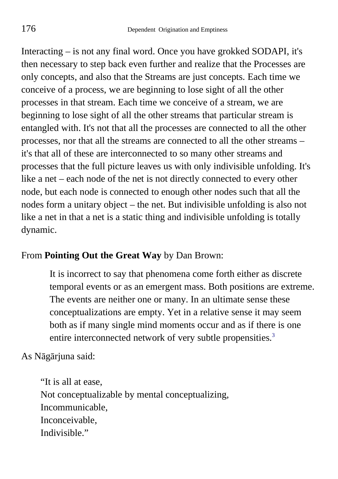Interacting – is not any final word. Once you have grokked SODAPI, it's then necessary to step back even further and realize that the Processes are only concepts, and also that the Streams are just concepts. Each time we conceive of a process, we are beginning to lose sight of all the other processes in that stream. Each time we conceive of a stream, we are beginning to lose sight of all the other streams that particular stream is entangled with. It's not that all the processes are connected to all the other processes, nor that all the streams are connected to all the other streams – it's that all of these are interconnected to so many other streams and processes that the full picture leaves us with only indivisible unfolding. It's like a net – each node of the net is not directly connected to every other node, but each node is connected to enough other nodes such that all the nodes form a unitary object – the net. But indivisible unfolding is also not like a net in that a net is a static thing and indivisible unfolding is totally dynamic.

#### From Pointing Out the Great Way by Dan Brown:

It is incorrect to say that phenomena come forth either as discrete temporal events or as an emergent mass. Both positions are extreme. The events are neither one or many. In an ultimate sense these conceptualizations are empty. Yet in a relative sense it may seem both as if many single mind moments occur and as if there is one entire interconnected network of very subtle propensities.<sup>3</sup>

As Nāgārjuna said:

 "It is all at ease, Not conceptualizable by mental conceptualizing, Incommunicable, Inconceivable, Indivisible"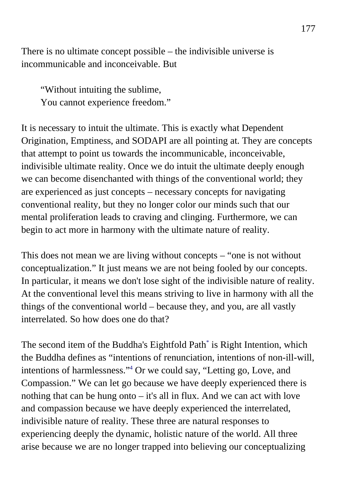There is no ultimate concept possible – the indivisible universe is incommunicable and inconceivable. But

 "Without intuiting the sublime, You cannot experience freedom."

It is necessary to intuit the ultimate. This is exactly what Dependent Origination, Emptiness, and SODAPI are all pointing at. They are concepts that attempt to point us towards the incommunicable, inconceivable, indivisible ultimate reality. Once we do intuit the ultimate deeply enough we can become disenchanted with things of the conventional world; they are experienced as just concepts – necessary concepts for navigating conventional reality, but they no longer color our minds such that our mental proliferation leads to craving and clinging. Furthermore, we can begin to act more in harmony with the ultimate nature of reality.

This does not mean we are living without concepts – "one is not without conceptualization." It just means we are not being fooled by our concepts. In particular, it means we don't lose sight of the indivisible nature of reality. At the conventional level this means striving to live in harmony with all the things of the conventional world – because they, and you, are all vastly interrelated. So how does one do that?

The second item of the Buddha's Eightfold Path<sup>\*</sup> is Right Intention, which the Buddha defines as "intentions of renunciation, intentions of non-ill-will, intentions of harmlessness."<sup>4</sup> Or we could say, "Letting go, Love, and Compassion." We can let go because we have deeply experienced there is nothing that can be hung onto – it's all in flux. And we can act with love and compassion because we have deeply experienced the interrelated, indivisible nature of reality. These three are natural responses to experiencing deeply the dynamic, holistic nature of the world. All three arise because we are no longer trapped into believing our conceptualizing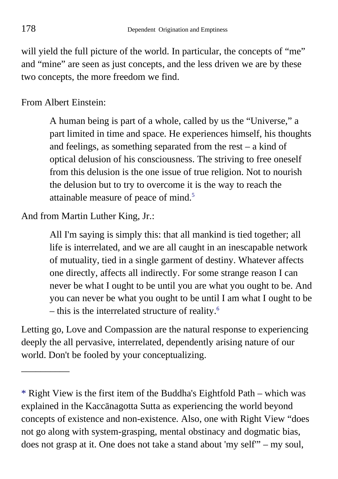will vield the full picture of the world. In particular, the concepts of "me" and "mine" are seen as just concepts, and the less driven we are by these two concepts, the more freedom we find.

From Albert Einstein:

 $\overline{\phantom{a}}$ 

A human being is part of a whole, called by us the "Universe," a part limited in time and space. He experiences himself, his thoughts and feelings, as something separated from the rest – a kind of optical delusion of his consciousness. The striving to free oneself from this delusion is the one issue of true religion. Not to nourish the delusion but to try to overcome it is the way to reach the attainable measure of peace of mind.<sup>5</sup>

And from Martin Luther King, Jr.:

All I'm saying is simply this: that all mankind is tied together; all life is interrelated, and we are all caught in an inescapable network of mutuality, tied in a single garment of destiny. Whatever affects one directly, affects all indirectly. For some strange reason I can never be what I ought to be until you are what you ought to be. And you can never be what you ought to be until I am what I ought to be – this is the interrelated structure of reality. $6$ 

Letting go, Love and Compassion are the natural response to experiencing deeply the all pervasive, interrelated, dependently arising nature of our world. Don't be fooled by your conceptualizing.

<sup>\*</sup> Right View is the first item of the Buddha's Eightfold Path – which was explained in the Kaccānagotta Sutta as experiencing the world beyond concepts of existence and non-existence. Also, one with Right View "does not go along with system-grasping, mental obstinacy and dogmatic bias, does not grasp at it. One does not take a stand about 'my self'" – my soul,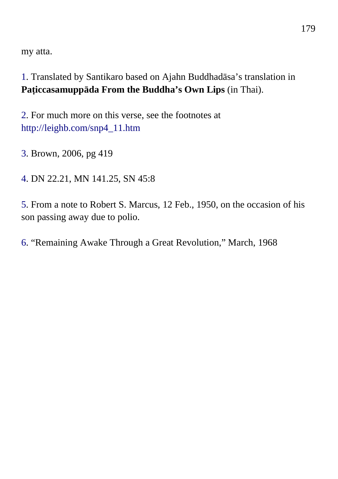my atta.

1. Translated by Santikaro based on Ajahn Buddhadāsa's translation in Paṭiccasamuppāda From the Buddha's Own Lips (in Thai).

2. For much more on this verse, see the footnotes at http://leighb.com/snp4\_11.htm

3. Brown, 2006, pg 419

4. DN 22.21, MN 141.25, SN 45:8

5. From a note to Robert S. Marcus, 12 Feb., 1950, on the occasion of his son passing away due to polio.

6. "Remaining Awake Through a Great Revolution," March, 1968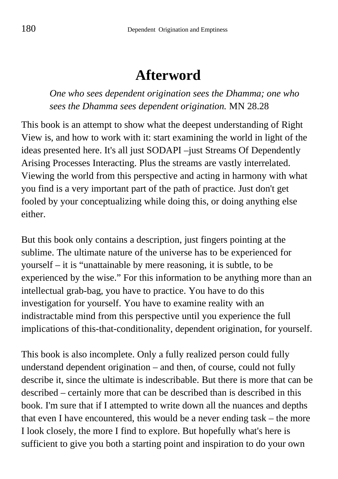## Afterword

One who sees dependent origination sees the Dhamma; one who sees the Dhamma sees dependent origination. MN 28.28

This book is an attempt to show what the deepest understanding of Right View is, and how to work with it: start examining the world in light of the ideas presented here. It's all just SODAPI –just Streams Of Dependently Arising Processes Interacting. Plus the streams are vastly interrelated. Viewing the world from this perspective and acting in harmony with what you find is a very important part of the path of practice. Just don't get fooled by your conceptualizing while doing this, or doing anything else either.

But this book only contains a description, just fingers pointing at the sublime. The ultimate nature of the universe has to be experienced for yourself – it is "unattainable by mere reasoning, it is subtle, to be experienced by the wise." For this information to be anything more than an intellectual grab-bag, you have to practice. You have to do this investigation for yourself. You have to examine reality with an indistractable mind from this perspective until you experience the full implications of this-that-conditionality, dependent origination, for yourself.

This book is also incomplete. Only a fully realized person could fully understand dependent origination – and then, of course, could not fully describe it, since the ultimate is indescribable. But there is more that can be described – certainly more that can be described than is described in this book. I'm sure that if I attempted to write down all the nuances and depths that even I have encountered, this would be a never ending task – the more I look closely, the more I find to explore. But hopefully what's here is sufficient to give you both a starting point and inspiration to do your own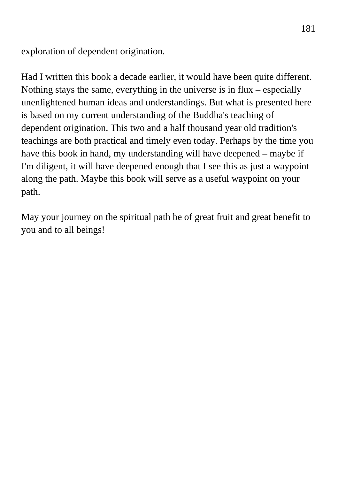exploration of dependent origination.

Had I written this book a decade earlier, it would have been quite different. Nothing stays the same, everything in the universe is in flux – especially unenlightened human ideas and understandings. But what is presented here is based on my current understanding of the Buddha's teaching of dependent origination. This two and a half thousand year old tradition's teachings are both practical and timely even today. Perhaps by the time you have this book in hand, my understanding will have deepened – maybe if I'm diligent, it will have deepened enough that I see this as just a waypoint along the path. Maybe this book will serve as a useful waypoint on your path.

May your journey on the spiritual path be of great fruit and great benefit to you and to all beings!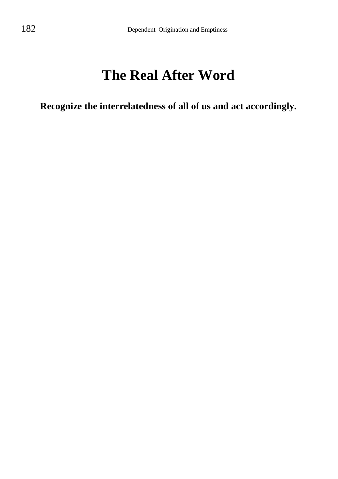# The Real After Word

Recognize the interrelatedness of all of us and act accordingly.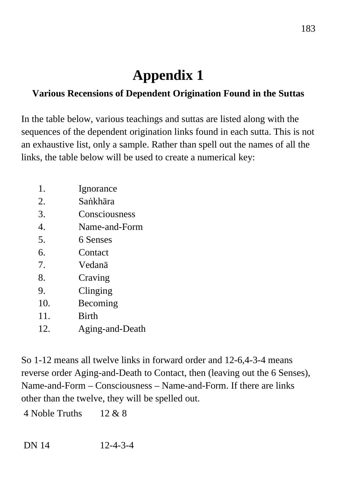# Appendix 1

### Various Recensions of Dependent Origination Found in the Suttas

In the table below, various teachings and suttas are listed along with the sequences of the dependent origination links found in each sutta. This is not an exhaustive list, only a sample. Rather than spell out the names of all the links, the table below will be used to create a numerical key:

- 1. Ignorance
- 2. Saṅkhāra
- 3. Consciousness
- 4. Name-and-Form
- 5. 6 Senses
- 6. Contact
- 7. Vedanā
- 8. Craving
- 9. Clinging
- 10. Becoming
- 11. Birth
- 12. Aging-and-Death

So 1-12 means all twelve links in forward order and 12-6,4-3-4 means reverse order Aging-and-Death to Contact, then (leaving out the 6 Senses), Name-and-Form – Consciousness – Name-and-Form. If there are links other than the twelve, they will be spelled out.

4 Noble Truths 12 & 8

DN 14 12-4-3-4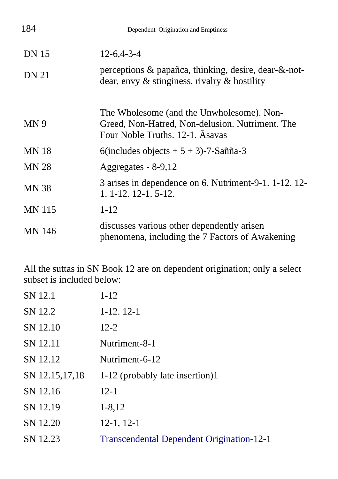| Dependent Origination and Emptiness                                                                                             |
|---------------------------------------------------------------------------------------------------------------------------------|
| $12 - 6, 4 - 3 - 4$                                                                                                             |
| perceptions & papañca, thinking, desire, dear-&-not-<br>dear, envy & stinginess, rivalry & hostility                            |
| The Wholesome (and the Unwholesome). Non-<br>Greed, Non-Hatred, Non-delusion. Nutriment. The<br>Four Noble Truths. 12-1. Asavas |
| $6$ (includes objects + 5 + 3)-7-Sañña-3                                                                                        |
| Aggregates - 8-9,12                                                                                                             |
| 3 arises in dependence on 6. Nutriment-9-1. 1-12. 12-<br>1. 1-12. 12-1. 5-12.                                                   |
| $1 - 12$                                                                                                                        |
| discusses various other dependently arisen<br>phenomena, including the 7 Factors of Awakening                                   |
|                                                                                                                                 |

All the suttas in SN Book 12 are on dependent origination; only a select subset is included below:

| SN 12.1        | $1 - 12$                                         |
|----------------|--------------------------------------------------|
| SN 12.2        | $1-12.12-1$                                      |
| SN 12.10       | $12 - 2$                                         |
| SN 12.11       | Nutriment-8-1                                    |
| SN 12.12       | Nutriment-6-12                                   |
| SN 12.15,17,18 | 1-12 (probably late insertion)1                  |
| SN 12.16       | $12 - 1$                                         |
| SN 12.19       | $1 - 8,12$                                       |
| SN 12.20       | $12-1, 12-1$                                     |
| SN 12.23       | <b>Transcendental Dependent Origination-12-1</b> |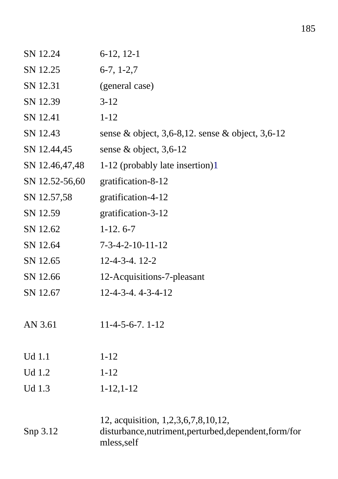| SN 12.24       | $6-12, 12-1$                                                                                                 |
|----------------|--------------------------------------------------------------------------------------------------------------|
| SN 12.25       | $6-7, 1-2, 7$                                                                                                |
| SN 12.31       | (general case)                                                                                               |
| SN 12.39       | $3-12$                                                                                                       |
| SN 12.41       | $1 - 12$                                                                                                     |
| SN 12.43       | sense & object, 3,6-8,12. sense & object, 3,6-12                                                             |
| SN 12.44,45    | sense & object, $3,6-12$                                                                                     |
| SN 12.46,47,48 | 1-12 (probably late insertion)1                                                                              |
| SN 12.52-56,60 | gratification-8-12                                                                                           |
| SN 12.57,58    | gratification-4-12                                                                                           |
| SN 12.59       | gratification-3-12                                                                                           |
| SN 12.62       | $1-12.6-7$                                                                                                   |
| SN 12.64       | 7-3-4-2-10-11-12                                                                                             |
| SN 12.65       | 12-4-3-4. 12-2                                                                                               |
| SN 12.66       | 12-Acquisitions-7-pleasant                                                                                   |
| SN 12.67       | 12-4-3-4. 4-3-4-12                                                                                           |
|                |                                                                                                              |
| AN 3.61        | 11-4-5-6-7.1-12                                                                                              |
|                |                                                                                                              |
| Ud 1.1         | $1 - 12$                                                                                                     |
| <b>Ud 1.2</b>  | $1 - 12$                                                                                                     |
| Ud 1.3         | $1 - 12, 1 - 12$                                                                                             |
|                |                                                                                                              |
| Snp 3.12       | 12, acquisition, 1,2,3,6,7,8,10,12,<br>disturbance, nutriment, perturbed, dependent, form/for<br>mless, self |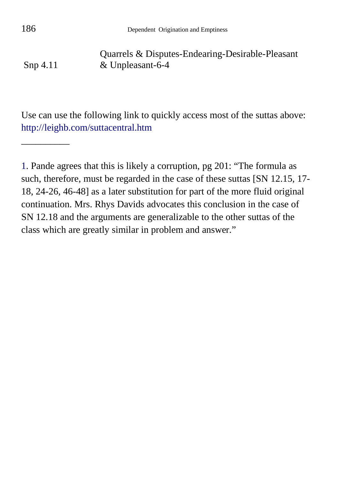Snp 4.11 Quarrels & Disputes-Endearing-Desirable-Pleasant & Unpleasant-6-4

Use can use the following link to quickly access most of the suttas above: http://leighb.com/suttacentral.htm

1. Pande agrees that this is likely a corruption, pg 201: "The formula as such, therefore, must be regarded in the case of these suttas [SN 12.15, 17- 18, 24-26, 46-48] as a later substitution for part of the more fluid original continuation. Mrs. Rhys Davids advocates this conclusion in the case of SN 12.18 and the arguments are generalizable to the other suttas of the class which are greatly similar in problem and answer."

 $\overline{\phantom{a}}$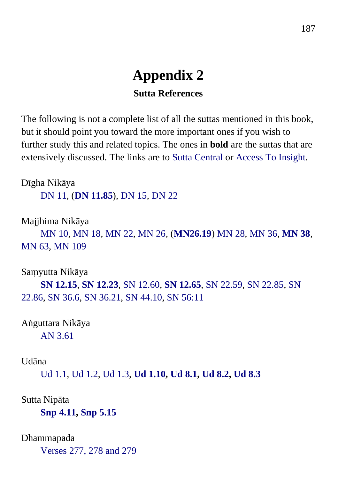# Appendix 2

#### Sutta References

The following is not a complete list of all the suttas mentioned in this book, but it should point you toward the more important ones if you wish to further study this and related topics. The ones in **bold** are the suttas that are extensively discussed. The links are to Sutta Central or Access To Insight.

#### Dīgha Nikāya

DN 11, (DN 11.85), DN 15, DN 22

Majjhima Nikāya

 MN 10, MN 18, MN 22, MN 26, (MN26.19) MN 28, MN 36, MN 38, MN 63, MN 109

#### Saṃyutta Nikāya

 SN 12.15, SN 12.23, SN 12.60, SN 12.65, SN 22.59, SN 22.85, SN 22.86, SN 36.6, SN 36.21, SN 44.10, SN 56:11

Aṅguttara Nikāya AN 3.61

#### Udāna

Ud 1.1, Ud 1.2, Ud 1.3, Ud 1.10, Ud 8.1, Ud 8.2, Ud 8.3

Sutta Nipāta

Snp 4.11, Snp 5.15

Dhammapada Verses 277, 278 and 279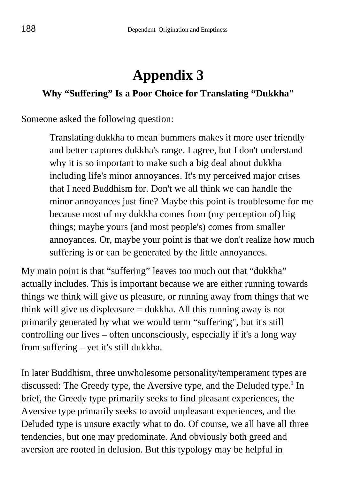# Appendix 3

### Why "Suffering" Is a Poor Choice for Translating "Dukkha"

Someone asked the following question:

Translating dukkha to mean bummers makes it more user friendly and better captures dukkha's range. I agree, but I don't understand why it is so important to make such a big deal about dukkha including life's minor annoyances. It's my perceived major crises that I need Buddhism for. Don't we all think we can handle the minor annoyances just fine? Maybe this point is troublesome for me because most of my dukkha comes from (my perception of) big things; maybe yours (and most people's) comes from smaller annoyances. Or, maybe your point is that we don't realize how much suffering is or can be generated by the little annoyances.

My main point is that "suffering" leaves too much out that "dukkha" actually includes. This is important because we are either running towards things we think will give us pleasure, or running away from things that we think will give us displeasure = dukkha. All this running away is not primarily generated by what we would term "suffering", but it's still controlling our lives – often unconsciously, especially if it's a long way from suffering – yet it's still dukkha.

In later Buddhism, three unwholesome personality/temperament types are discussed: The Greedy type, the Aversive type, and the Deluded type.<sup>1</sup> In brief, the Greedy type primarily seeks to find pleasant experiences, the Aversive type primarily seeks to avoid unpleasant experiences, and the Deluded type is unsure exactly what to do. Of course, we all have all three tendencies, but one may predominate. And obviously both greed and aversion are rooted in delusion. But this typology may be helpful in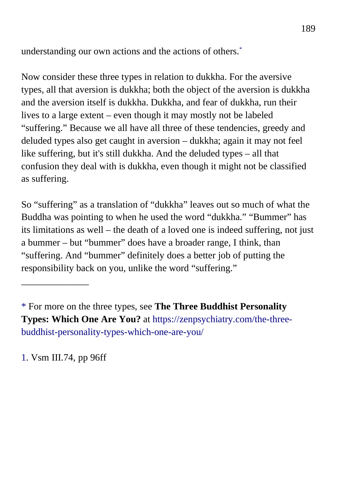understanding our own actions and the actions of others.<sup>\*</sup>

Now consider these three types in relation to dukkha. For the aversive types, all that aversion is dukkha; both the object of the aversion is dukkha and the aversion itself is dukkha. Dukkha, and fear of dukkha, run their lives to a large extent – even though it may mostly not be labeled "suffering." Because we all have all three of these tendencies, greedy and deluded types also get caught in aversion – dukkha; again it may not feel like suffering, but it's still dukkha. And the deluded types – all that confusion they deal with is dukkha, even though it might not be classified as suffering.

So "suffering" as a translation of "dukkha" leaves out so much of what the Buddha was pointing to when he used the word "dukkha." "Bummer" has its limitations as well – the death of a loved one is indeed suffering, not just a bummer – but "bummer" does have a broader range, I think, than "suffering. And "bummer" definitely does a better job of putting the responsibility back on you, unlike the word "suffering."

1. Vsm III.74, pp 96ff

 $\overline{\phantom{a}}$ 

<sup>\*</sup> For more on the three types, see The Three Buddhist Personality Types: Which One Are You? at https://zenpsychiatry.com/the-threebuddhist-personality-types-which-one-are-you/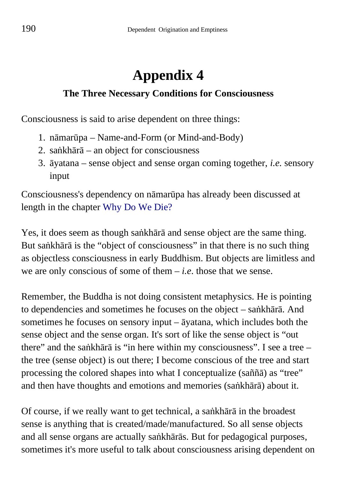# Appendix 4

### The Three Necessary Conditions for Consciousness

Consciousness is said to arise dependent on three things:

- 1. nāmarūpa Name-and-Form (or Mind-and-Body)
- 2. saṅkhārā an object for consciousness
- 3. āyatana sense object and sense organ coming together, i.e. sensory input

Consciousness's dependency on nāmarūpa has already been discussed at length in the chapter Why Do We Die?

Yes, it does seem as though saṅkhārā and sense object are the same thing. But saṅkhārā is the "object of consciousness" in that there is no such thing as objectless consciousness in early Buddhism. But objects are limitless and we are only conscious of some of them  $-i.e.$  those that we sense.

Remember, the Buddha is not doing consistent metaphysics. He is pointing to dependencies and sometimes he focuses on the object – saṅkhārā. And sometimes he focuses on sensory input – āyatana, which includes both the sense object and the sense organ. It's sort of like the sense object is "out there" and the saṅkhārā is "in here within my consciousness". I see a tree – the tree (sense object) is out there; I become conscious of the tree and start processing the colored shapes into what I conceptualize (saññā) as "tree" and then have thoughts and emotions and memories (saṅkhārā) about it.

Of course, if we really want to get technical, a saṅkhārā in the broadest sense is anything that is created/made/manufactured. So all sense objects and all sense organs are actually saṅkhārās. But for pedagogical purposes, sometimes it's more useful to talk about consciousness arising dependent on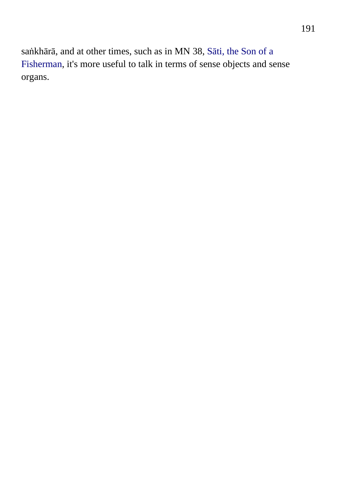saṅkhārā, and at other times, such as in MN 38, Sāti, the Son of a Fisherman, it's more useful to talk in terms of sense objects and sense organs.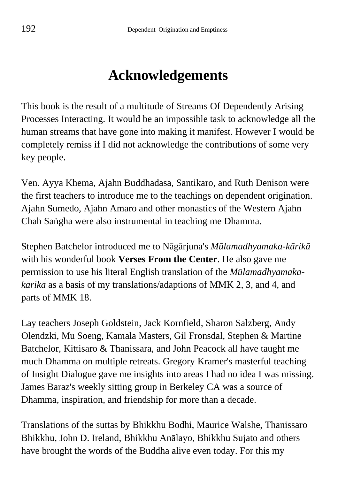# Acknowledgements

This book is the result of a multitude of Streams Of Dependently Arising Processes Interacting. It would be an impossible task to acknowledge all the human streams that have gone into making it manifest. However I would be completely remiss if I did not acknowledge the contributions of some very key people.

Ven. Ayya Khema, Ajahn Buddhadasa, Santikaro, and Ruth Denison were the first teachers to introduce me to the teachings on dependent origination. Ajahn Sumedo, Ajahn Amaro and other monastics of the Western Ajahn Chah Saṅgha were also instrumental in teaching me Dhamma.

Stephen Batchelor introduced me to Nāgārjuna's Mūlamadhyamaka-kārikā with his wonderful book Verses From the Center. He also gave me permission to use his literal English translation of the Mūlamadhyamakakārikā as a basis of my translations/adaptions of MMK 2, 3, and 4, and parts of MMK 18.

Lay teachers Joseph Goldstein, Jack Kornfield, Sharon Salzberg, Andy Olendzki, Mu Soeng, Kamala Masters, Gil Fronsdal, Stephen & Martine Batchelor, Kittisaro & Thanissara, and John Peacock all have taught me much Dhamma on multiple retreats. Gregory Kramer's masterful teaching of Insight Dialogue gave me insights into areas I had no idea I was missing. James Baraz's weekly sitting group in Berkeley CA was a source of Dhamma, inspiration, and friendship for more than a decade.

Translations of the suttas by Bhikkhu Bodhi, Maurice Walshe, Thanissaro Bhikkhu, John D. Ireland, Bhikkhu Anālayo, Bhikkhu Sujato and others have brought the words of the Buddha alive even today. For this my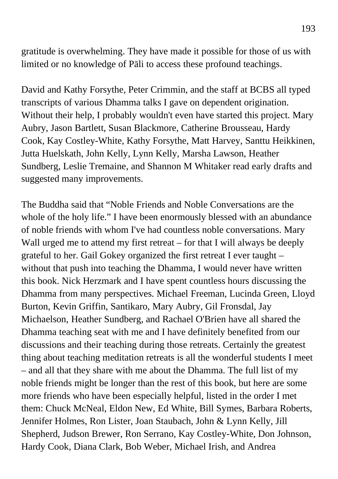gratitude is overwhelming. They have made it possible for those of us with limited or no knowledge of Pāli to access these profound teachings.

David and Kathy Forsythe, Peter Crimmin, and the staff at BCBS all typed transcripts of various Dhamma talks I gave on dependent origination. Without their help, I probably wouldn't even have started this project. Mary Aubry, Jason Bartlett, Susan Blackmore, Catherine Brousseau, Hardy Cook, Kay Costley-White, Kathy Forsythe, Matt Harvey, Santtu Heikkinen, Jutta Huelskath, John Kelly, Lynn Kelly, Marsha Lawson, Heather Sundberg, Leslie Tremaine, and Shannon M Whitaker read early drafts and suggested many improvements.

The Buddha said that "Noble Friends and Noble Conversations are the whole of the holy life." I have been enormously blessed with an abundance of noble friends with whom I've had countless noble conversations. Mary Wall urged me to attend my first retreat – for that I will always be deeply grateful to her. Gail Gokey organized the first retreat I ever taught – without that push into teaching the Dhamma, I would never have written this book. Nick Herzmark and I have spent countless hours discussing the Dhamma from many perspectives. Michael Freeman, Lucinda Green, Lloyd Burton, Kevin Griffin, Santikaro, Mary Aubry, Gil Fronsdal, Jay Michaelson, Heather Sundberg, and Rachael O'Brien have all shared the Dhamma teaching seat with me and I have definitely benefited from our discussions and their teaching during those retreats. Certainly the greatest thing about teaching meditation retreats is all the wonderful students I meet – and all that they share with me about the Dhamma. The full list of my noble friends might be longer than the rest of this book, but here are some more friends who have been especially helpful, listed in the order I met them: Chuck McNeal, Eldon New, Ed White, Bill Symes, Barbara Roberts, Jennifer Holmes, Ron Lister, Joan Staubach, John & Lynn Kelly, Jill Shepherd, Judson Brewer, Ron Serrano, Kay Costley-White, Don Johnson, Hardy Cook, Diana Clark, Bob Weber, Michael Irish, and Andrea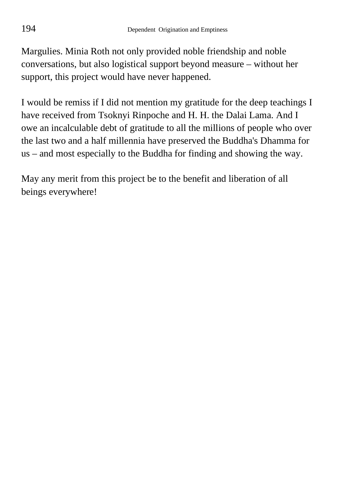Margulies. Minia Roth not only provided noble friendship and noble conversations, but also logistical support beyond measure – without her support, this project would have never happened.

I would be remiss if I did not mention my gratitude for the deep teachings I have received from Tsoknyi Rinpoche and H. H. the Dalai Lama. And I owe an incalculable debt of gratitude to all the millions of people who over the last two and a half millennia have preserved the Buddha's Dhamma for us – and most especially to the Buddha for finding and showing the way.

May any merit from this project be to the benefit and liberation of all beings everywhere!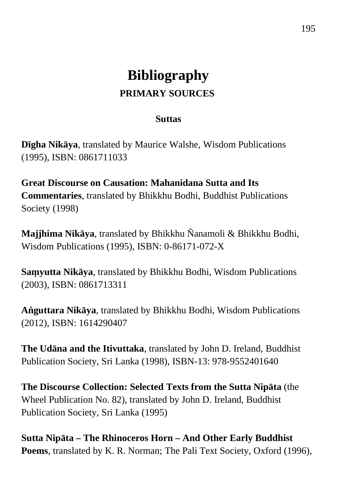### **Bibliography** PRIMARY SOURCES

#### Suttas

Dīgha Nikāya, translated by Maurice Walshe, Wisdom Publications (1995), ISBN: 0861711033

Great Discourse on Causation: Mahanidana Sutta and Its Commentaries, translated by Bhikkhu Bodhi, Buddhist Publications Society (1998)

Majjhima Nikāya, translated by Bhikkhu Ñanamoli & Bhikkhu Bodhi, Wisdom Publications (1995), ISBN: 0-86171-072-X

Saṃyutta Nikāya, translated by Bhikkhu Bodhi, Wisdom Publications (2003), ISBN: 0861713311

Aṅguttara Nikāya, translated by Bhikkhu Bodhi, Wisdom Publications (2012), ISBN: 1614290407

The Udāna and the Itivuttaka, translated by John D. Ireland, Buddhist Publication Society, Sri Lanka (1998), ISBN-13: 978-9552401640

The Discourse Collection: Selected Texts from the Sutta Nipāta (the Wheel Publication No. 82), translated by John D. Ireland, Buddhist Publication Society, Sri Lanka (1995)

Sutta Nipāta – The Rhinoceros Horn – And Other Early Buddhist Poems, translated by K. R. Norman; The Pali Text Society, Oxford (1996),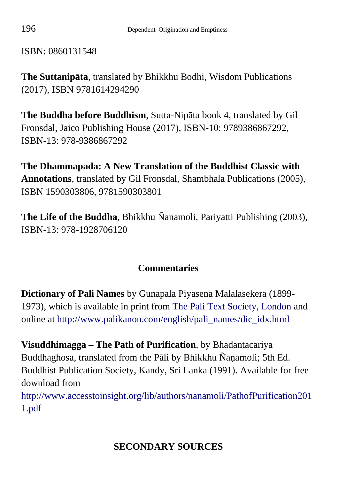ISBN: 0860131548

The Suttanipāta, translated by Bhikkhu Bodhi, Wisdom Publications (2017), ISBN 9781614294290

The Buddha before Buddhism, Sutta-Nipāta book 4, translated by Gil Fronsdal, Jaico Publishing House (2017), ISBN-10: 9789386867292, ISBN-13: 978-9386867292

The Dhammapada: A New Translation of the Buddhist Classic with Annotations, translated by Gil Fronsdal, Shambhala Publications (2005), ISBN 1590303806, 9781590303801

The Life of the Buddha, Bhikkhu Ñanamoli, Pariyatti Publishing (2003), ISBN-13: 978-1928706120

### Commentaries

Dictionary of Pali Names by Gunapala Piyasena Malalasekera (1899- 1973), which is available in print from The Pali Text Society, London and online at http://www.palikanon.com/english/pali\_names/dic\_idx.html

Visuddhimagga – The Path of Purification, by Bhadantacariya Buddhaghosa, translated from the Pāli by Bhikkhu Ñaṇamoli; 5th Ed. Buddhist Publication Society, Kandy, Sri Lanka (1991). Available for free download from

http://www.accesstoinsight.org/lib/authors/nanamoli/PathofPurification201 1.pdf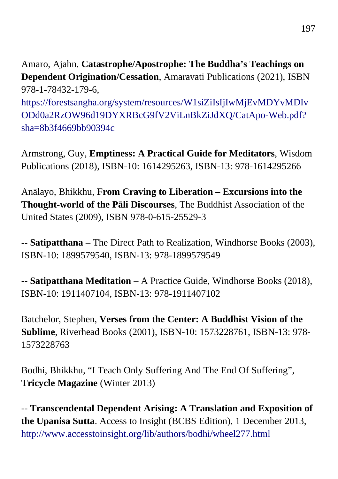Amaro, Ajahn, Catastrophe/Apostrophe: The Buddha's Teachings on Dependent Origination/Cessation, Amaravati Publications (2021), ISBN 978-1-78432-179-6,

https://forestsangha.org/system/resources/W1siZiIsIjIwMjEvMDYvMDIv ODd0a2RzOW96d19DYXRBcG9fV2ViLnBkZiJdXQ/CatApo-Web.pdf? sha=8b3f4669bb90394c

Armstrong, Guy, Emptiness: A Practical Guide for Meditators, Wisdom Publications (2018), ISBN-10: 1614295263, ISBN-13: 978-1614295266

Anālayo, Bhikkhu, From Craving to Liberation – Excursions into the Thought-world of the Pāli Discourses, The Buddhist Association of the United States (2009), ISBN 978-0-615-25529-3

-- Satipatthana – The Direct Path to Realization, Windhorse Books (2003), ISBN-10: 1899579540, ISBN-13: 978-1899579549

-- Satipatthana Meditation – A Practice Guide, Windhorse Books (2018), ISBN-10: 1911407104, ISBN-13: 978-1911407102

Batchelor, Stephen, Verses from the Center: A Buddhist Vision of the Sublime, Riverhead Books (2001), ISBN-10: 1573228761, ISBN-13: 978- 1573228763

Bodhi, Bhikkhu, "I Teach Only Suffering And The End Of Suffering", Tricycle Magazine (Winter 2013)

-- Transcendental Dependent Arising: A Translation and Exposition of the Upanisa Sutta. Access to Insight (BCBS Edition), 1 December 2013, http://www.accesstoinsight.org/lib/authors/bodhi/wheel277.html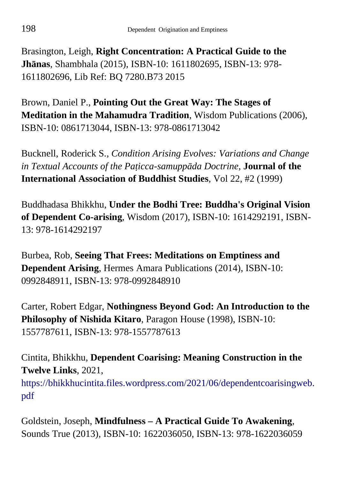Brasington, Leigh, Right Concentration: A Practical Guide to the Jhānas, Shambhala (2015), ISBN-10: 1611802695, ISBN-13: 978- 1611802696, Lib Ref: BQ 7280.B73 2015

Brown, Daniel P., Pointing Out the Great Way: The Stages of Meditation in the Mahamudra Tradition, Wisdom Publications (2006), ISBN-10: 0861713044, ISBN-13: 978-0861713042

Bucknell, Roderick S., Condition Arising Evolves: Variations and Change in Textual Accounts of the Paticca-samuppāda Doctrine, Journal of the International Association of Buddhist Studies, Vol 22, #2 (1999)

Buddhadasa Bhikkhu, Under the Bodhi Tree: Buddha's Original Vision of Dependent Co-arising, Wisdom (2017), ISBN-10: 1614292191, ISBN-13: 978-1614292197

Burbea, Rob, Seeing That Frees: Meditations on Emptiness and Dependent Arising, Hermes Amara Publications (2014), ISBN-10: 0992848911, ISBN-13: 978-0992848910

Carter, Robert Edgar, Nothingness Beyond God: An Introduction to the Philosophy of Nishida Kitaro, Paragon House (1998), ISBN-10: 1557787611, ISBN-13: 978-1557787613

Cintita, Bhikkhu, Dependent Coarising: Meaning Construction in the Twelve Links, 2021, https://bhikkhucintita.files.wordpress.com/2021/06/dependentcoarisingweb. pdf

Goldstein, Joseph, Mindfulness – A Practical Guide To Awakening, Sounds True (2013), ISBN-10: 1622036050, ISBN-13: 978-1622036059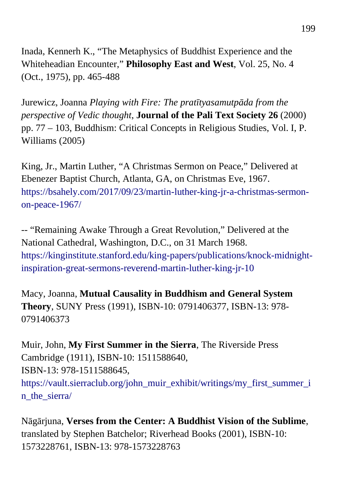Inada, Kennerh K., "The Metaphysics of Buddhist Experience and the Whiteheadian Encounter," Philosophy East and West, Vol. 25, No. 4 (Oct., 1975), pp. 465-488

Jurewicz, Joanna Playing with Fire: The pratītyasamutpāda from the perspective of Vedic thought, Journal of the Pali Text Society 26 (2000) pp. 77 – 103, Buddhism: Critical Concepts in Religious Studies, Vol. I, P. Williams (2005)

King, Jr., Martin Luther, "A Christmas Sermon on Peace," Delivered at Ebenezer Baptist Church, Atlanta, GA, on Christmas Eve, 1967. https://bsahely.com/2017/09/23/martin-luther-king-jr-a-christmas-sermonon-peace-1967/

-- "Remaining Awake Through a Great Revolution," Delivered at the National Cathedral, Washington, D.C., on 31 March 1968. https://kinginstitute.stanford.edu/king-papers/publications/knock-midnightinspiration-great-sermons-reverend-martin-luther-king-jr-10

Macy, Joanna, Mutual Causality in Buddhism and General System Theory, SUNY Press (1991), ISBN-10: 0791406377, ISBN-13: 978- 0791406373

Muir, John, My First Summer in the Sierra, The Riverside Press Cambridge (1911), ISBN-10: 1511588640, ISBN-13: 978-1511588645, https://vault.sierraclub.org/john\_muir\_exhibit/writings/my\_first\_summer\_i n the sierra/

Nāgārjuna, Verses from the Center: A Buddhist Vision of the Sublime, translated by Stephen Batchelor; Riverhead Books (2001), ISBN-10: 1573228761, ISBN-13: 978-1573228763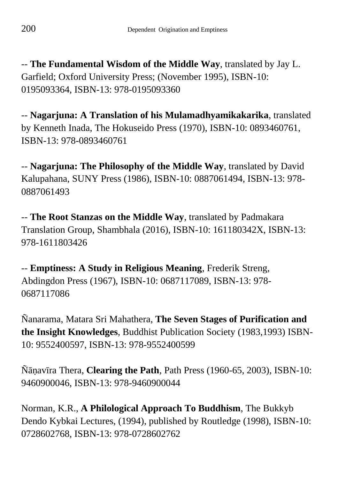-- The Fundamental Wisdom of the Middle Way, translated by Jay L. Garfield; Oxford University Press; (November 1995), ISBN-10: 0195093364, ISBN-13: 978-0195093360

-- Nagarjuna: A Translation of his Mulamadhyamikakarika, translated by Kenneth Inada, The Hokuseido Press (1970), ISBN-10: 0893460761, ISBN-13: 978-0893460761

-- Nagarjuna: The Philosophy of the Middle Way, translated by David Kalupahana, SUNY Press (1986), ISBN-10: 0887061494, ISBN-13: 978- 0887061493

-- The Root Stanzas on the Middle Way, translated by Padmakara Translation Group, Shambhala (2016), ISBN-10: 161180342X, ISBN-13: 978-1611803426

-- Emptiness: A Study in Religious Meaning, Frederik Streng, Abdingdon Press (1967), ISBN-10: 0687117089, ISBN-13: 978- 0687117086

Ñanarama, Matara Sri Mahathera, The Seven Stages of Purification and the Insight Knowledges, Buddhist Publication Society (1983,1993) ISBN-10: 9552400597, ISBN-13: 978-9552400599

Ñāṇavīra Thera, Clearing the Path, Path Press (1960-65, 2003), ISBN-10: 9460900046, ISBN-13: 978-9460900044

Norman, K.R., A Philological Approach To Buddhism, The Bukkyb Dendo Kybkai Lectures, (1994), published by Routledge (1998), ISBN-10: 0728602768, ISBN-13: 978-0728602762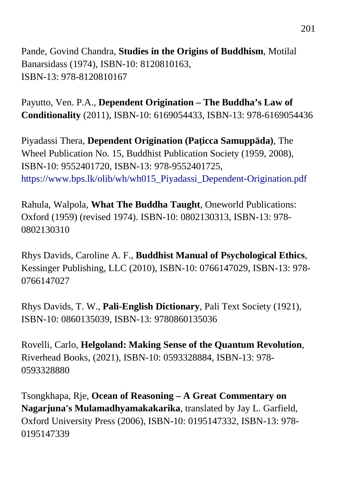Pande, Govind Chandra, Studies in the Origins of Buddhism, Motilal Banarsidass (1974), ISBN-10: 8120810163, ISBN-13: 978-8120810167

Payutto, Ven. P.A., Dependent Origination – The Buddha's Law of Conditionality (2011), ISBN-10: 6169054433, ISBN-13: 978-6169054436

Piyadassi Thera, Dependent Origination (Paṭicca Samuppāda), The Wheel Publication No. 15, Buddhist Publication Society (1959, 2008), ISBN-10: 9552401720, ISBN-13: 978-9552401725, https://www.bps.lk/olib/wh/wh015\_Piyadassi\_Dependent-Origination.pdf

Rahula, Walpola, What The Buddha Taught, Oneworld Publications: Oxford (1959) (revised 1974). ISBN-10: 0802130313, ISBN-13: 978- 0802130310

Rhys Davids, Caroline A. F., Buddhist Manual of Psychological Ethics, Kessinger Publishing, LLC (2010), ISBN-10: 0766147029, ISBN-13: 978- 0766147027

Rhys Davids, T. W., Pali-English Dictionary, Pali Text Society (1921), ISBN-10: 0860135039, ISBN-13: 9780860135036

Rovelli, Carlo, Helgoland: Making Sense of the Quantum Revolution, Riverhead Books, (2021), ISBN-10: 0593328884, ISBN-13: 978- 0593328880

Tsongkhapa, Rje, Ocean of Reasoning – A Great Commentary on Nagarjuna's Mulamadhyamakakarika, translated by Jay L. Garfield, Oxford University Press (2006), ISBN-10: 0195147332, ISBN-13: 978- 0195147339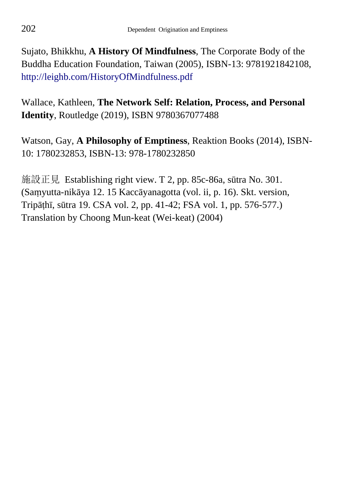Sujato, Bhikkhu, A History Of Mindfulness, The Corporate Body of the Buddha Education Foundation, Taiwan (2005), ISBN-13: 9781921842108, http://leighb.com/HistoryOfMindfulness.pdf

Wallace, Kathleen, The Network Self: Relation, Process, and Personal Identity, Routledge (2019), ISBN 9780367077488

Watson, Gay, A Philosophy of Emptiness, Reaktion Books (2014), ISBN-10: 1780232853, ISBN-13: 978-1780232850

施設正見 Establishing right view. T 2, pp. 85c-86a, sūtra No. 301. (Saṃyutta-nikāya 12. 15 Kaccāyanagotta (vol. ii, p. 16). Skt. version, Tripāṭhī, sūtra 19. CSA vol. 2, pp. 41-42; FSA vol. 1, pp. 576-577.) Translation by Choong Mun-keat (Wei-keat) (2004)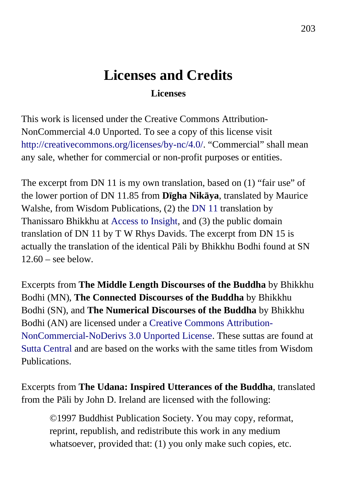### Licenses and Credits **Licenses**

This work is licensed under the Creative Commons Attribution-NonCommercial 4.0 Unported. To see a copy of this license visit http://creativecommons.org/licenses/by-nc/4.0/. "Commercial" shall mean any sale, whether for commercial or non-profit purposes or entities.

The excerpt from DN 11 is my own translation, based on (1) "fair use" of the lower portion of DN 11.85 from **Digha Nikāya**, translated by Maurice Walshe, from Wisdom Publications, (2) the DN 11 translation by Thanissaro Bhikkhu at Access to Insight, and (3) the public domain translation of DN 11 by T W Rhys Davids. The excerpt from DN 15 is actually the translation of the identical Pāli by Bhikkhu Bodhi found at SN  $12.60$  – see below.

Excerpts from The Middle Length Discourses of the Buddha by Bhikkhu Bodhi (MN), The Connected Discourses of the Buddha by Bhikkhu Bodhi (SN), and The Numerical Discourses of the Buddha by Bhikkhu Bodhi (AN) are licensed under a Creative Commons Attribution-NonCommercial-NoDerivs 3.0 Unported License. These suttas are found at Sutta Central and are based on the works with the same titles from Wisdom Publications.

Excerpts from The Udana: Inspired Utterances of the Buddha, translated from the Pāli by John D. Ireland are licensed with the following:

©1997 Buddhist Publication Society. You may copy, reformat, reprint, republish, and redistribute this work in any medium whatsoever, provided that: (1) you only make such copies, etc.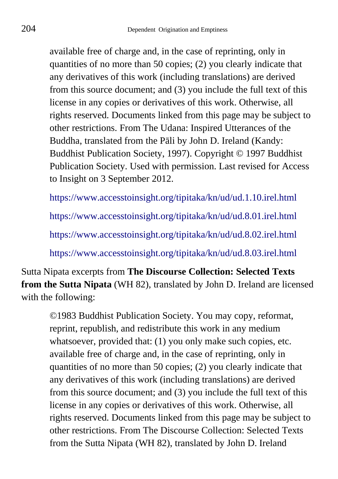available free of charge and, in the case of reprinting, only in quantities of no more than 50 copies; (2) you clearly indicate that any derivatives of this work (including translations) are derived from this source document; and (3) you include the full text of this license in any copies or derivatives of this work. Otherwise, all rights reserved. Documents linked from this page may be subject to other restrictions. From The Udana: Inspired Utterances of the Buddha, translated from the Pāli by John D. Ireland (Kandy: Buddhist Publication Society, 1997). Copyright © 1997 Buddhist Publication Society. Used with permission. Last revised for Access to Insight on 3 September 2012.

https://www.accesstoinsight.org/tipitaka/kn/ud/ud.1.10.irel.html https://www.accesstoinsight.org/tipitaka/kn/ud/ud.8.01.irel.html https://www.accesstoinsight.org/tipitaka/kn/ud/ud.8.02.irel.html

https://www.accesstoinsight.org/tipitaka/kn/ud/ud.8.03.irel.html

Sutta Nipata excerpts from The Discourse Collection: Selected Texts from the Sutta Nipata (WH 82), translated by John D. Ireland are licensed with the following:

©1983 Buddhist Publication Society. You may copy, reformat, reprint, republish, and redistribute this work in any medium whatsoever, provided that: (1) you only make such copies, etc. available free of charge and, in the case of reprinting, only in quantities of no more than 50 copies; (2) you clearly indicate that any derivatives of this work (including translations) are derived from this source document; and (3) you include the full text of this license in any copies or derivatives of this work. Otherwise, all rights reserved. Documents linked from this page may be subject to other restrictions. From The Discourse Collection: Selected Texts from the Sutta Nipata (WH 82), translated by John D. Ireland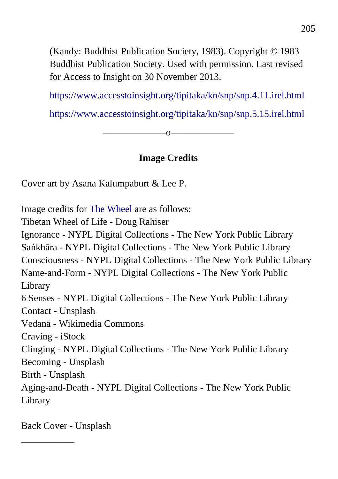(Kandy: Buddhist Publication Society, 1983). Copyright © 1983 Buddhist Publication Society. Used with permission. Last revised for Access to Insight on 30 November 2013.

https://www.accesstoinsight.org/tipitaka/kn/snp/snp.4.11.irel.html

https://www.accesstoinsight.org/tipitaka/kn/snp/snp.5.15.irel.html

–––––––––––––o–––––––––––––

#### Image Credits

Cover art by Asana Kalumpaburt & Lee P.

Image credits for The Wheel are as follows:

Tibetan Wheel of Life - Doug Rahiser

Ignorance - NYPL Digital Collections - The New York Public Library Saṅkhāra - NYPL Digital Collections - The New York Public Library Consciousness - NYPL Digital Collections - The New York Public Library Name-and-Form - NYPL Digital Collections - The New York Public Library 6 Senses - NYPL Digital Collections - The New York Public Library Contact - Unsplash Vedanā - Wikimedia Commons Craving - iStock

Clinging - NYPL Digital Collections - The New York Public Library Becoming - Unsplash

Birth - Unsplash

 $\overline{\phantom{a}}$ 

Aging-and-Death - NYPL Digital Collections - The New York Public Library

Back Cover - Unsplash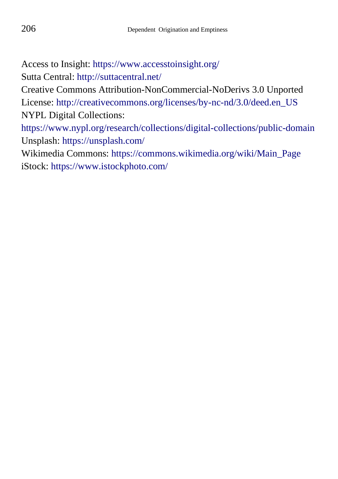Access to Insight: https://www.accesstoinsight.org/

Sutta Central: http://suttacentral.net/

Creative Commons Attribution-NonCommercial-NoDerivs 3.0 Unported License: http://creativecommons.org/licenses/by-nc-nd/3.0/deed.en\_US NYPL Digital Collections:

https://www.nypl.org/research/collections/digital-collections/public-domain Unsplash: https://unsplash.com/

Wikimedia Commons: https://commons.wikimedia.org/wiki/Main\_Page iStock: https://www.istockphoto.com/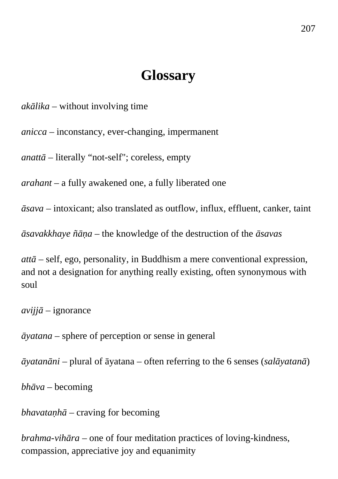### **Glossary**

akālika – without involving time

anicca – inconstancy, ever-changing, impermanent

anattā – literally "not-self"; coreless, empty

arahant – a fully awakened one, a fully liberated one

āsava – intoxicant; also translated as outflow, influx, effluent, canker, taint

āsavakkhaye ñāṇa – the knowledge of the destruction of the āsavas

 $at\bar{a}$  – self, ego, personality, in Buddhism a mere conventional expression, and not a designation for anything really existing, often synonymous with soul

 $aviji\bar{a}$  – ignorance

āyatana – sphere of perception or sense in general

 $\bar{a}$ yatanāni – plural of āyatana – often referring to the 6 senses (salāyatanā)

bhāva – becoming

bhavataṇhā  $-$  craving for becoming

brahma-vihāra – one of four meditation practices of loving-kindness, compassion, appreciative joy and equanimity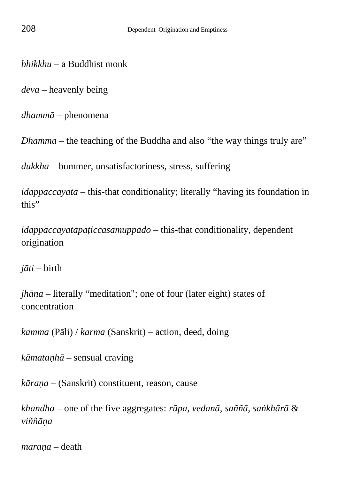bhikkhu – a Buddhist monk

deva – heavenly being

dhammā – phenomena

Dhamma – the teaching of the Buddha and also "the way things truly are"

dukkha – bummer, unsatisfactoriness, stress, suffering

idappaccayatā – this-that conditionality; literally "having its foundation in this"

idappaccayatāpaticcasamuppādo – this-that conditionality, dependent origination

jāti – birth

jhāna – literally "meditation"; one of four (later eight) states of concentration

kamma (Pāli) / karma (Sanskrit) – action, deed, doing

 $k\bar{a}$ matanh $\bar{a}$  – sensual craving

kāraṇa – (Sanskrit) constituent, reason, cause

khandha – one of the five aggregates:  $rūpa$ , vedanā, saññā, saṅkhārā & viññāṇa

marana – death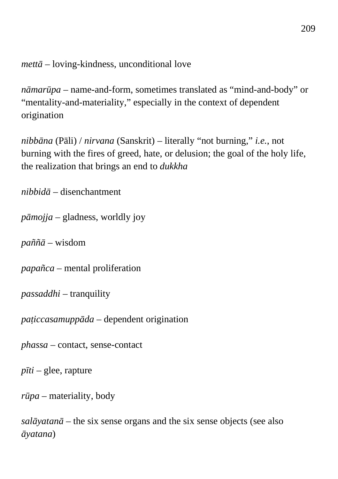mettā – loving-kindness, unconditional love

nāmarūpa – name-and-form, sometimes translated as "mind-and-body" or "mentality-and-materiality," especially in the context of dependent origination

nibbāna (Pāli) / nirvana (Sanskrit) – literally "not burning," i.e., not burning with the fires of greed, hate, or delusion; the goal of the holy life, the realization that brings an end to dukkha

nibbidā – disenchantment

pāmojja – gladness, worldly joy

paññā – wisdom

papañca – mental proliferation

passaddhi – tranquility

paṭiccasamuppāda – dependent origination

phassa – contact, sense-contact

pīti – glee, rapture

 $r\bar{u}pa$  – materiality, body

salāyatanā – the six sense organs and the six sense objects (see also āyatana)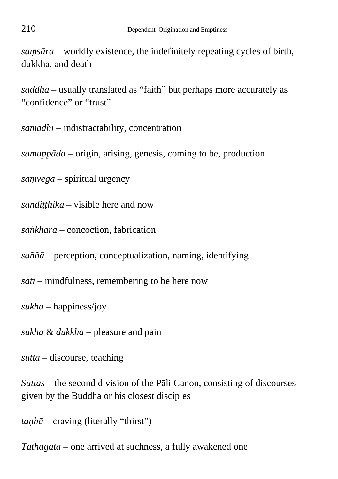saṃsāra – worldly existence, the indefinitely repeating cycles of birth, dukkha, and death

saddhā – usually translated as "faith" but perhaps more accurately as "confidence" or "trust"

samādhi – indistractability, concentration

samuppāda – origin, arising, genesis, coming to be, production

saṃvega – spiritual urgency

sanditthika – visible here and now

saṅkhāra – concoction, fabrication

saññā – perception, conceptualization, naming, identifying

sati – mindfulness, remembering to be here now

sukha – happiness/joy

sukha & dukkha – pleasure and pain

sutta – discourse, teaching

Suttas – the second division of the Pāli Canon, consisting of discourses given by the Buddha or his closest disciples

 $tanh\bar{a}$  – craving (literally "thirst")

Tathāgata – one arrived at suchness, a fully awakened one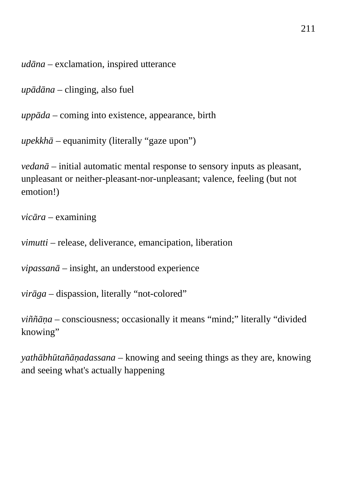udāna – exclamation, inspired utterance

upādāna – clinging, also fuel

uppāda – coming into existence, appearance, birth

upekkhā – equanimity (literally "gaze upon")

vedanā – initial automatic mental response to sensory inputs as pleasant, unpleasant or neither-pleasant-nor-unpleasant; valence, feeling (but not emotion!)

vicāra – examining

vimutti – release, deliverance, emancipation, liberation

vipassanā – insight, an understood experience

virāga – dispassion, literally "not-colored"

viññāṇa – consciousness; occasionally it means "mind;" literally "divided knowing"

yathābhūtañāṇadassana – knowing and seeing things as they are, knowing and seeing what's actually happening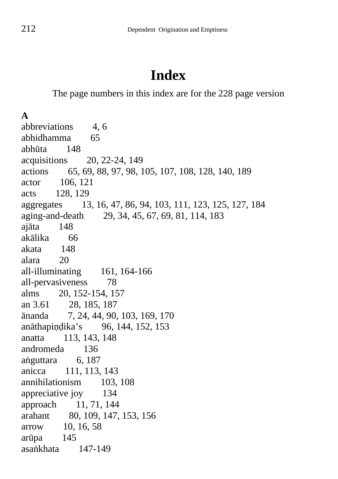# **Index**

The page numbers in this index are for the 228 page version

### A

abbreviations 4, 6 abhidhamma 65 abhūta 148 acquisitions 20, 22-24, 149 actions 65, 69, 88, 97, 98, 105, 107, 108, 128, 140, 189 actor 106, 121 acts 128, 129 aggregates 13, 16, 47, 86, 94, 103, 111, 123, 125, 127, 184 aging-and-death 29, 34, 45, 67, 69, 81, 114, 183 ajāta 148 akālika 66 akata 148 alara 20 all-illuminating 161, 164-166 all-pervasiveness 78 alms 20, 152-154, 157 an 3.61 28, 185, 187 ānanda 7, 24, 44, 90, 103, 169, 170 anāthapiṇḍika's 96, 144, 152, 153 anatta 113, 143, 148 andromeda 136 anguttara 6, 187 anicca 111, 113, 143 annihilationism 103, 108 appreciative joy 134 approach 11, 71, 144 arahant 80, 109, 147, 153, 156 arrow 10, 16, 58 arūpa 145 asaṅkhata 147-149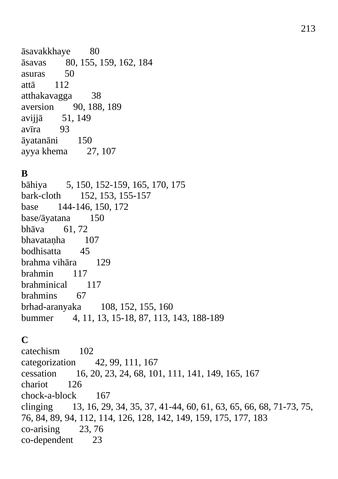āsavakkhaye 80 āsavas 80, 155, 159, 162, 184 asuras 50 attā 112 atthakavagga 38 aversion 90, 188, 189 avijjā 51, 149 avīra 93 āyatanāni 150 ayya khema 27, 107

#### B

bāhiya 5, 150, 152-159, 165, 170, 175 bark-cloth 152, 153, 155-157 base 144-146, 150, 172 base/āyatana 150 bhāva 61, 72 bhavatanha 107 bodhisatta 45 brahma vihāra 129 brahmin 117 brahminical 117 brahmins 67 brhad-aranyaka 108, 152, 155, 160 bummer 4, 11, 13, 15-18, 87, 113, 143, 188-189

#### $\mathsf{C}$

catechism 102 categorization 42, 99, 111, 167 cessation 16, 20, 23, 24, 68, 101, 111, 141, 149, 165, 167 chariot 126 chock-a-block 167 clinging 13, 16, 29, 34, 35, 37, 41-44, 60, 61, 63, 65, 66, 68, 71-73, 75, 76, 84, 89, 94, 112, 114, 126, 128, 142, 149, 159, 175, 177, 183  $co\text{-arising}$  23, 76 co-dependent 23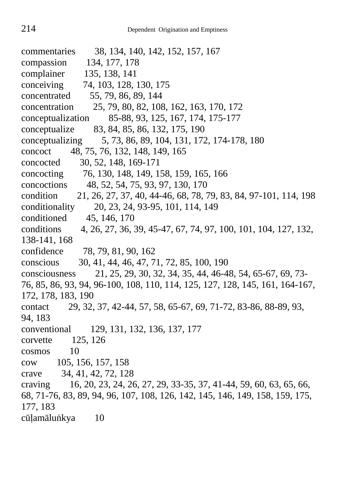commentaries 38, 134, 140, 142, 152, 157, 167 compassion 134, 177, 178 complainer 135, 138, 141 conceiving 74, 103, 128, 130, 175 concentrated 55, 79, 86, 89, 144 concentration 25, 79, 80, 82, 108, 162, 163, 170, 172 conceptualization 85-88, 93, 125, 167, 174, 175-177 conceptualize 83, 84, 85, 86, 132, 175, 190 conceptualizing 5, 73, 86, 89, 104, 131, 172, 174-178, 180 concoct 48, 75, 76, 132, 148, 149, 165 concocted 30, 52, 148, 169-171 concocting 76, 130, 148, 149, 158, 159, 165, 166 concoctions 48, 52, 54, 75, 93, 97, 130, 170 condition 21, 26, 27, 37, 40, 44-46, 68, 78, 79, 83, 84, 97-101, 114, 198 conditionality 20, 23, 24, 93-95, 101, 114, 149 conditioned 45, 146, 170 conditions 4, 26, 27, 36, 39, 45-47, 67, 74, 97, 100, 101, 104, 127, 132, 138-141, 168 confidence 78, 79, 81, 90, 162 conscious 30, 41, 44, 46, 47, 71, 72, 85, 100, 190 consciousness 21, 25, 29, 30, 32, 34, 35, 44, 46-48, 54, 65-67, 69, 73- 76, 85, 86, 93, 94, 96-100, 108, 110, 114, 125, 127, 128, 145, 161, 164-167, 172, 178, 183, 190 contact 29, 32, 37, 42-44, 57, 58, 65-67, 69, 71-72, 83-86, 88-89, 93, 94, 183 conventional 129, 131, 132, 136, 137, 177 corvette 125, 126 cosmos 10 cow 105, 156, 157, 158 crave 34, 41, 42, 72, 128 craving 16, 20, 23, 24, 26, 27, 29, 33-35, 37, 41-44, 59, 60, 63, 65, 66, 68, 71-76, 83, 89, 94, 96, 107, 108, 126, 142, 145, 146, 149, 158, 159, 175, 177, 183 cūḷamāluṅkya 10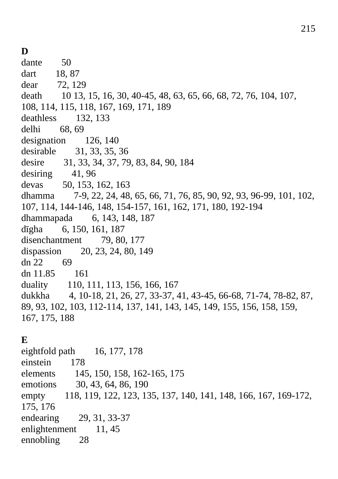D

dante 50 dart 18, 87 dear 72, 129 death 10 13, 15, 16, 30, 40-45, 48, 63, 65, 66, 68, 72, 76, 104, 107, 108, 114, 115, 118, 167, 169, 171, 189 deathless 132, 133 delhi 68, 69 designation 126, 140 desirable 31, 33, 35, 36 desire 31, 33, 34, 37, 79, 83, 84, 90, 184  $design 41, 96$ devas 50, 153, 162, 163 dhamma 7-9, 22, 24, 48, 65, 66, 71, 76, 85, 90, 92, 93, 96-99, 101, 102, 107, 114, 144-146, 148, 154-157, 161, 162, 171, 180, 192-194 dhammapada 6, 143, 148, 187 dīgha 6, 150, 161, 187 disenchantment 79, 80, 177 dispassion 20, 23, 24, 80, 149 dn 22 69 dn 11.85 161 duality 110, 111, 113, 156, 166, 167 dukkha 4, 10-18, 21, 26, 27, 33-37, 41, 43-45, 66-68, 71-74, 78-82, 87, 89, 93, 102, 103, 112-114, 137, 141, 143, 145, 149, 155, 156, 158, 159, 167, 175, 188

#### E

eightfold path 16, 177, 178 einstein 178 elements 145, 150, 158, 162-165, 175 emotions 30, 43, 64, 86, 190 empty 118, 119, 122, 123, 135, 137, 140, 141, 148, 166, 167, 169-172, 175, 176 endearing 29, 31, 33-37 enlightenment 11, 45 ennobling 28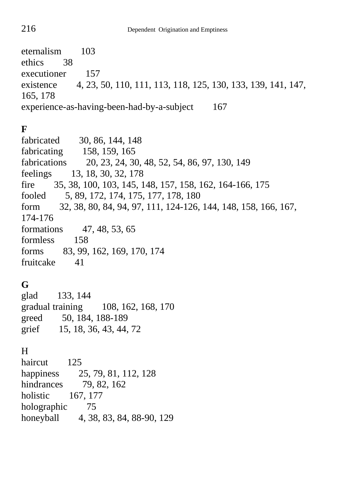eternalism 103 ethics 38 executioner 157 existence 4, 23, 50, 110, 111, 113, 118, 125, 130, 133, 139, 141, 147, 165, 178 experience-as-having-been-had-by-a-subject 167

#### F

fabricated 30, 86, 144, 148 fabricating 158, 159, 165 fabrications 20, 23, 24, 30, 48, 52, 54, 86, 97, 130, 149 feelings 13, 18, 30, 32, 178 fire 35, 38, 100, 103, 145, 148, 157, 158, 162, 164-166, 175 fooled 5, 89, 172, 174, 175, 177, 178, 180 form 32, 38, 80, 84, 94, 97, 111, 124-126, 144, 148, 158, 166, 167, 174-176 formations 47, 48, 53, 65 formless 158 forms 83, 99, 162, 169, 170, 174 fruitcake 41

### G

glad 133, 144 gradual training 108, 162, 168, 170 greed 50, 184, 188-189 grief 15, 18, 36, 43, 44, 72

#### H

haircut 125 happiness 25, 79, 81, 112, 128 hindrances 79, 82, 162 holistic 167, 177 holographic 75 honeyball 4, 38, 83, 84, 88-90, 129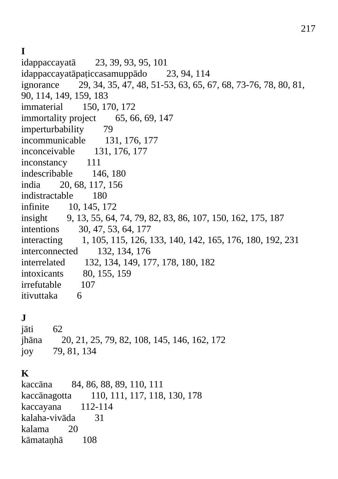# $\mathbf{I}$

23, 39, 93, 95, 101 idappaccavatā idappaccayatāpaticcasamuppādo 23, 94, 114 29, 34, 35, 47, 48, 51-53, 63, 65, 67, 68, 73-76, 78, 80, 81, ignorance 90, 114, 149, 159, 183 150, 170, 172 immaterial immortality project 65, 66, 69, 147 imperturbability 79 incommunicable 131, 176, 177 inconceivable 131, 176, 177 inconstancy 111 indescribable 146, 180 20, 68, 117, 156 india indistractable 180 10, 145, 172 infinite 9, 13, 55, 64, 74, 79, 82, 83, 86, 107, 150, 162, 175, 187 insight 30, 47, 53, 64, 177 intentions 1, 105, 115, 126, 133, 140, 142, 165, 176, 180, 192, 231 interacting interconnected 132, 134, 176 interrelated 132, 134, 149, 177, 178, 180, 182 80, 155, 159 intoxicants irrefutable 107 itivuttaka 6

## $\mathbf{J}$

62 iāti jhāna 20, 21, 25, 79, 82, 108, 145, 146, 162, 172 79.81.134 iov

#### $\mathbf K$

kaccāna 84, 86, 88, 89, 110, 111 110, 111, 117, 118, 130, 178 kaccānagotta kaccavana 112-114 kalaha-vivāda 31 kalama 20 kāmatanhā 108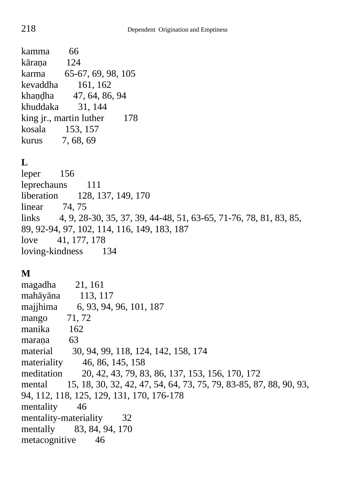kamma 66 kārana 124 karma 65-67, 69, 98, 105 kevaddha 161, 162 khandha 47, 64, 86, 94 khuddaka 31, 144 king jr., martin luther 178 kosala 153, 157 kurus 7, 68, 69

# $\mathbf{L}$

leper 156 leprechauns 111 liberation 128, 137, 149, 170 linear 74, 75 links 4, 9, 28-30, 35, 37, 39, 44-48, 51, 63-65, 71-76, 78, 81, 83, 85, 89, 92-94, 97, 102, 114, 116, 149, 183, 187 love 41, 177, 178 loving-kindness 134

## M

magadha 21, 161 mahāyāna 113, 117 majihima 6, 93, 94, 96, 101, 187 mango 71, 72 manika 162 marana 63 material 30, 94, 99, 118, 124, 142, 158, 174 materiality 46, 86, 145, 158 meditation 20, 42, 43, 79, 83, 86, 137, 153, 156, 170, 172 mental 15, 18, 30, 32, 42, 47, 54, 64, 73, 75, 79, 83-85, 87, 88, 90, 93, 94, 112, 118, 125, 129, 131, 170, 176-178 mentality 46 mentality-materiality 32 mentally 83, 84, 94, 170 metacognitive 46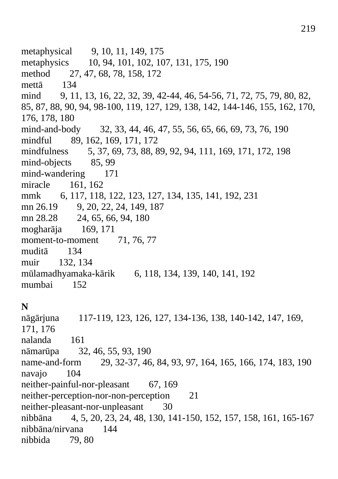metaphysical 9, 10, 11, 149, 175 10, 94, 101, 102, 107, 131, 175, 190 metaphysics method 27, 47, 68, 78, 158, 172 mettā 134 9, 11, 13, 16, 22, 32, 39, 42-44, 46, 54-56, 71, 72, 75, 79, 80, 82, mind 85, 87, 88, 90, 94, 98-100, 119, 127, 129, 138, 142, 144-146, 155, 162, 170, 176, 178, 180 32, 33, 44, 46, 47, 55, 56, 65, 66, 69, 73, 76, 190 mind-and-body 89, 162, 169, 171, 172 mindful 5, 37, 69, 73, 88, 89, 92, 94, 111, 169, 171, 172, 198 mindfulness mind-objects 85.99 mind-wandering 171 miracle 161, 162 6, 117, 118, 122, 123, 127, 134, 135, 141, 192, 231 mmk 9, 20, 22, 24, 149, 187 mn 26.19 24, 65, 66, 94, 180 mn 28.28 mogharāja 169, 171 moment-to-moment 71, 76, 77 134 muditā 132, 134 muir mūlamadhyamaka-kārik 6, 118, 134, 139, 140, 141, 192

219

mumbai

152

#### $\mathbf N$

117-119, 123, 126, 127, 134-136, 138, 140-142, 147, 169, nāgārjuna 171, 176 nalanda 161 32, 46, 55, 93, 190 nāmarūpa 29, 32-37, 46, 84, 93, 97, 164, 165, 166, 174, 183, 190 name-and-form navajo 104 neither-painful-nor-pleasant 67, 169 neither-perception-nor-non-perception 21 neither-pleasant-nor-unpleasant 30 4, 5, 20, 23, 24, 48, 130, 141-150, 152, 157, 158, 161, 165-167 nibbāna nibbāna/nirvana 144 nibbida 79,80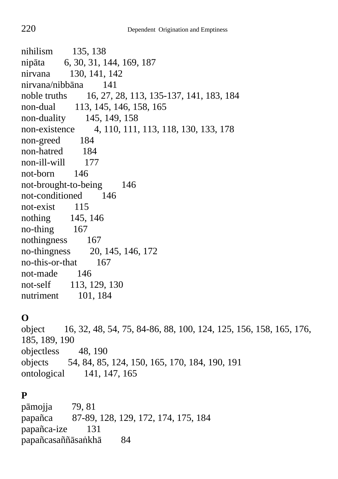nihilism 135, 138 6, 30, 31, 144, 169, 187 nipāta 130, 141, 142 nirvana nirvana/nibbāna 141 16, 27, 28, 113, 135-137, 141, 183, 184 noble truths 113, 145, 146, 158, 165 non-dual non-duality 145, 149, 158 4, 110, 111, 113, 118, 130, 133, 178 non-existence non-greed 184 non-hatred 184 non-ill-will 177 not-born 146 not-brought-to-being  $146$ not-conditioned 146 115 not-exist 145, 146 nothing 167 no-thing nothingness 167 no-thingness 20, 145, 146, 172 no-this-or-that 167 not-made 146 not-self 113, 129, 130 nutriment 101, 184

# $\Omega$

16, 32, 48, 54, 75, 84-86, 88, 100, 124, 125, 156, 158, 165, 176, obiect 185, 189, 190 48, 190 obiectless 54, 84, 85, 124, 150, 165, 170, 184, 190, 191 objects 141, 147, 165 ontological

## P

pāmojia 79.81 papañca 87-89, 128, 129, 172, 174, 175, 184 papañca-ize 131 papañcasaññāsankhā 84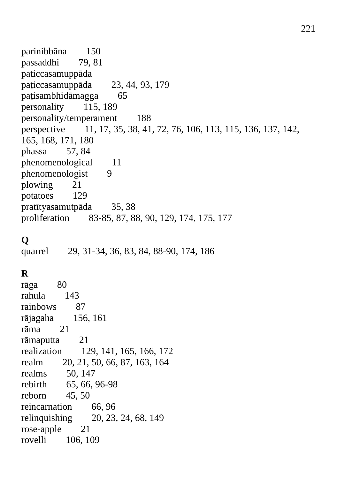parinibbāna 150 passaddhi 79, 81 paticcasamuppāda paṭiccasamuppāda 23, 44, 93, 179 patisambhidāmagga 65 personality 115, 189 personality/temperament 188 perspective 11, 17, 35, 38, 41, 72, 76, 106, 113, 115, 136, 137, 142, 165, 168, 171, 180 phassa 57, 84 phenomenological 11 phenomenologist 9 plowing 21 potatoes 129 pratītyasamutpāda 35, 38 proliferation 83-85, 87, 88, 90, 129, 174, 175, 177

# $\mathbf{O}$

quarrel 29, 31-34, 36, 83, 84, 88-90, 174, 186

#### R

rāga 80 rahula 143 rainbows 87 rājagaha 156, 161 rāma 21 rāmaputta 21 realization 129, 141, 165, 166, 172 realm 20, 21, 50, 66, 87, 163, 164 realms 50, 147 rebirth 65, 66, 96-98 reborn 45, 50 reincarnation 66, 96 relinquishing 20, 23, 24, 68, 149 rose-apple 21 rovelli 106, 109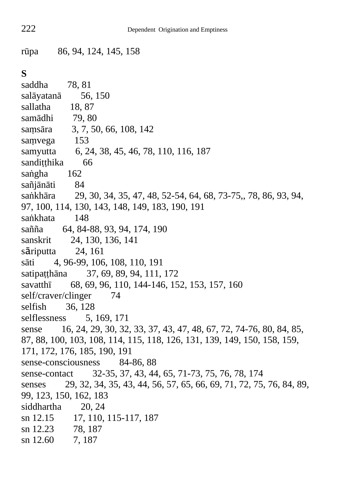rūpa 86, 94, 124, 145, 158

#### S

```
78.81
saddha
               56, 150
salāvatanā
             18.87
sallatha
samādhi
             79.80
samsāra
             3, 7, 50, 66, 108, 142
              153
samvega
              6, 24, 38, 45, 46, 78, 110, 116, 187
samyutta
sanditthika
                66
            162
sangha
sañiānāti
              84sankhāra
              29, 30, 34, 35, 47, 48, 52-54, 64, 68, 73-75,, 78, 86, 93, 94,
97, 100, 114, 130, 143, 148, 149, 183, 190, 191
sankhata
              148
          64, 84-88, 93, 94, 174, 190
sañña
             24, 130, 136, 141
sanskrit
              24, 161
sāriputta
sāti
        4, 96-99, 106, 108, 110, 191
                 37, 69, 89, 94, 111, 172
satipatthāna
savatthī
             68, 69, 96, 110, 144-146, 152, 153, 157, 160
self/craver/clinger
                       74selfish
           36, 128
selflessness
                 5, 169, 171
          16, 24, 29, 30, 32, 33, 37, 43, 47, 48, 67, 72, 74-76, 80, 84, 85,
sense
87, 88, 100, 103, 108, 114, 115, 118, 126, 131, 139, 149, 150, 158, 159,
171, 172, 176, 185, 190, 191
sense-consciousness
                         84-86, 88
                  32-35, 37, 43, 44, 65, 71-73, 75, 76, 78, 174
sense-contact
           29, 32, 34, 35, 43, 44, 56, 57, 65, 66, 69, 71, 72, 75, 76, 84, 89,
senses
99, 123, 150, 162, 183
siddhartha
               20, 24
\sin 12.1517, 110, 115-117, 187
sn 12.23
             78, 187
sn 12.60
             7,187
```
222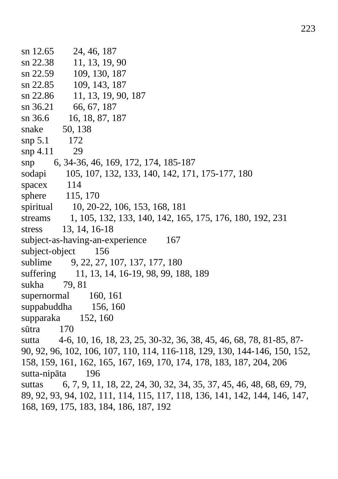sn 12.65 24, 46, 187 11, 13, 19, 90 sn 22.38 sn 22.59 109, 130, 187 sn 22.85 109, 143, 187 11, 13, 19, 90, 187 sn 22.86 66, 67, 187 sn 36.21  $\sin 36.6$ 16, 18, 87, 187 snake 50, 138 172  $\sin\theta$  5.1  $sup 4.11$ 29 6, 34-36, 46, 169, 172, 174, 185-187 snp 105, 107, 132, 133, 140, 142, 171, 175-177, 180 sodapi 114 spacex 115, 170 sphere 10, 20-22, 106, 153, 168, 181 spiritual 1, 105, 132, 133, 140, 142, 165, 175, 176, 180, 192, 231 streams 13, 14, 16-18 stress subject-as-having-an-experience 167 subject-object 156 9, 22, 27, 107, 137, 177, 180 sublime 11, 13, 14, 16-19, 98, 99, 188, 189 suffering 79, 81 sukha supernormal 160, 161 suppabuddha 156, 160 supparaka 152, 160 170 sūtra 4-6, 10, 16, 18, 23, 25, 30-32, 36, 38, 45, 46, 68, 78, 81-85, 87sutta 90, 92, 96, 102, 106, 107, 110, 114, 116-118, 129, 130, 144-146, 150, 152, 158, 159, 161, 162, 165, 167, 169, 170, 174, 178, 183, 187, 204, 206 sutta-nipāta 196 6, 7, 9, 11, 18, 22, 24, 30, 32, 34, 35, 37, 45, 46, 48, 68, 69, 79, suttas 89, 92, 93, 94, 102, 111, 114, 115, 117, 118, 136, 141, 142, 144, 146, 147, 168, 169, 175, 183, 184, 186, 187, 192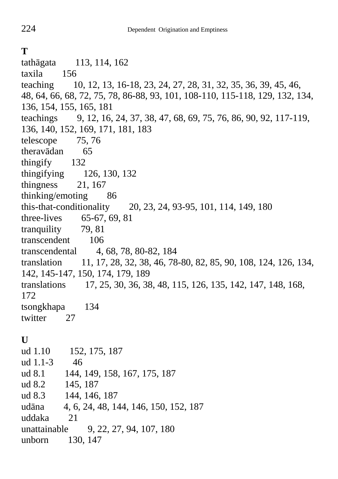#### T

tathāgata 113, 114, 162 taxila 156 10, 12, 13, 16-18, 23, 24, 27, 28, 31, 32, 35, 36, 39, 45, 46, teaching 48, 64, 66, 68, 72, 75, 78, 86-88, 93, 101, 108-110, 115-118, 129, 132, 134, 136, 154, 155, 165, 181 9, 12, 16, 24, 37, 38, 47, 68, 69, 75, 76, 86, 90, 92, 117-119, teachings 136, 140, 152, 169, 171, 181, 183 75.76 telescope theravādan 65 thingify 132 thingifying 126, 130, 132 thingness 21, 167 thinking/emoting 86 20, 23, 24, 93-95, 101, 114, 149, 180 this-that-conditionality three-lives 65-67, 69, 81 tranquility 79, 81 transcendent 106 transcendental 4, 68, 78, 80-82, 184 translation 11, 17, 28, 32, 38, 46, 78-80, 82, 85, 90, 108, 124, 126, 134, 142, 145-147, 150, 174, 179, 189 17, 25, 30, 36, 38, 48, 115, 126, 135, 142, 147, 148, 168, translations 172 tsongkhapa 134 twitter 27  $\mathbf{U}$  $ud$  1.10 152, 175, 187 46  $ud$  1.1-3 ud 8.1 144, 149, 158, 167, 175, 187 ud 8.2 145, 187 144, 146, 187  $ud\ 8.3$ 

4, 6, 24, 48, 144, 146, 150, 152, 187 udāna

uddaka 21

unattainable 9, 22, 27, 94, 107, 180

unborn 130, 147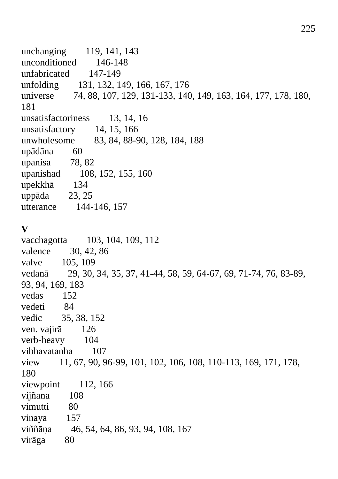unchanging 119, 141, 143 unconditioned 146-148 unfabricated 147-149 131, 132, 149, 166, 167, 176 unfolding 74, 88, 107, 129, 131-133, 140, 149, 163, 164, 177, 178, 180, universe 181 13, 14, 16 unsatisfactoriness unsatisfactory 14, 15, 166 83, 84, 88-90, 128, 184, 188 unwholesome upādāna 60 78.82 upanisa 108, 152, 155, 160 upanishad upekkhā 134 23.25 uppāda 144-146, 157 utterance

#### $\mathbf{V}$

103, 104, 109, 112 vacchagotta valence 30, 42, 86 valve 105, 109 29, 30, 34, 35, 37, 41-44, 58, 59, 64-67, 69, 71-74, 76, 83-89, vedanā 93, 94, 169, 183 vedas 152 vedeti 84 35, 38, 152 vedic 126 ven. vajirā verb-heavy 104 vibhavatanha 107 11, 67, 90, 96-99, 101, 102, 106, 108, 110-113, 169, 171, 178, view 180 112, 166 viewpoint 108 vijñana vimutti 80 157 vinava 46, 54, 64, 86, 93, 94, 108, 167 viññāna virāga 80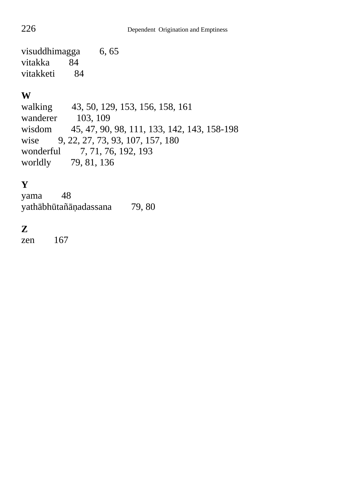visuddhimagga 6, 65 vitakka 84 vitakketi 84

# W

walking 43, 50, 129, 153, 156, 158, 161 wanderer 103, 109 wisdom 45, 47, 90, 98, 111, 133, 142, 143, 158-198 wise 9, 22, 27, 73, 93, 107, 157, 180 wonderful 7, 71, 76, 192, 193 worldly 79, 81, 136

# Y

yama 48 yathābhūtañāṇadassana 79, 80

#### Z

zen 167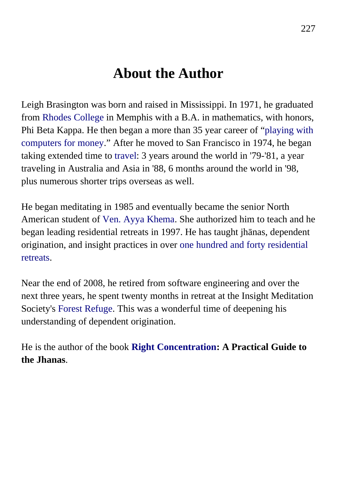# About the Author

Leigh Brasington was born and raised in Mississippi. In 1971, he graduated from Rhodes College in Memphis with a B.A. in mathematics, with honors, Phi Beta Kappa. He then began a more than 35 year career of "playing with computers for money." After he moved to San Francisco in 1974, he began taking extended time to travel: 3 years around the world in '79-'81, a year traveling in Australia and Asia in '88, 6 months around the world in '98, plus numerous shorter trips overseas as well.

He began meditating in 1985 and eventually became the senior North American student of Ven. Ayya Khema. She authorized him to teach and he began leading residential retreats in 1997. He has taught jhānas, dependent origination, and insight practices in over one hundred and forty residential retreats.

Near the end of 2008, he retired from software engineering and over the next three years, he spent twenty months in retreat at the Insight Meditation Society's Forest Refuge. This was a wonderful time of deepening his understanding of dependent origination.

He is the author of the book Right Concentration: A Practical Guide to the Jhanas.